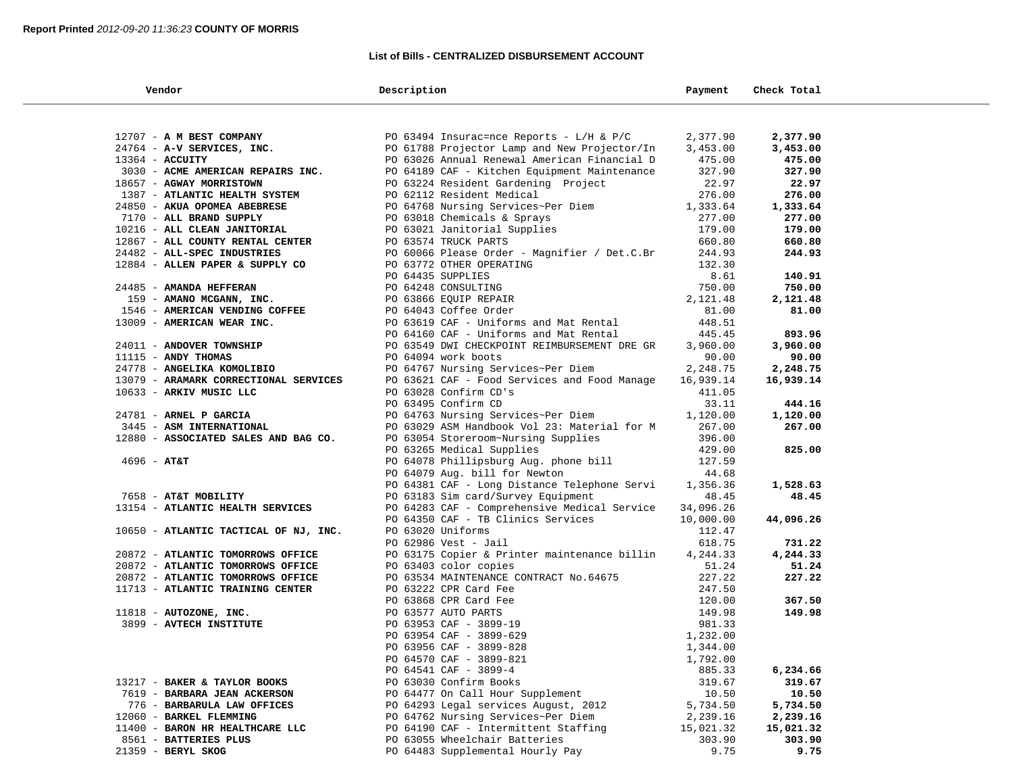## **List of Bills - CENTRALIZED DISBURSEMENT ACCOUNT**

| Vendor                                | Description                                                                                                                    | Payment   | Check Total        |  |
|---------------------------------------|--------------------------------------------------------------------------------------------------------------------------------|-----------|--------------------|--|
|                                       |                                                                                                                                |           |                    |  |
| 12707 - A M BEST COMPANY              | PO 63494 Insurac=nce Reports - $L/H$ & P/C 2,377.90                                                                            |           | 2,377.90           |  |
| 24764 - A-V SERVICES, INC.            | PO 61788 Projector Lamp and New Projector/In                                                                                   | 3,453.00  | 3,453.00           |  |
| $13364$ - ACCUITY                     | PO 63026 Annual Renewal American Financial D                                                                                   | 475.00    | 475.00             |  |
| 3030 - ACME AMERICAN REPAIRS INC.     | PO 64189 CAF - Kitchen Equipment Maintenance                                                                                   | 327.90    | 327.90             |  |
| 18657 - AGWAY MORRISTOWN              | PO 63224 Resident Gardening Project                                                                                            | 22.97     | 22.97              |  |
| 1387 - ATLANTIC HEALTH SYSTEM         | PO 62112 Resident Medical                                                                                                      | 276.00    | 276.00             |  |
| 24850 - AKUA OPOMEA ABEBRESE          |                                                                                                                                | 1,333.64  |                    |  |
| 7170 - ALL BRAND SUPPLY               | PO 64768 Nursing Services~Per Diem                                                                                             | 277.00    | 1,333.64<br>277.00 |  |
|                                       |                                                                                                                                |           |                    |  |
| 10216 - ALL CLEAN JANITORIAL          | PO 63018 Chemicals & Sprays<br>PO 63021 Janitorial Supplies<br>PO 63574 TRUCK PARTS                                            | 179.00    | 179.00             |  |
| 12867 - ALL COUNTY RENTAL CENTER      | PO 63574 TRUCK PARTS                                                                                                           | 660.80    | 660.80             |  |
| 24482 - ALL-SPEC INDUSTRIES           | PO 60066 Please Order - Magnifier / Det.C.Br                                                                                   | 244.93    | 244.93             |  |
| 12884 - ALLEN PAPER & SUPPLY CO       | PO 63772 OTHER OPERATING                                                                                                       | 132.30    |                    |  |
|                                       | PO 64435 SUPPLIES                                                                                                              | 8.61      | 140.91             |  |
| 24485 - AMANDA HEFFERAN               | PO 64248 CONSULTING                                                                                                            | 750.00    | 750.00             |  |
| 159 - AMANO MCGANN, INC.              | PO 63866 EQUIP REPAIR                                                                                                          | 2,121.48  | 2,121.48           |  |
| 1546 - AMERICAN VENDING COFFEE        | PO 64043 Coffee Order                                                                                                          | 81.00     | 81.00              |  |
| 13009 - AMERICAN WEAR INC.            | PO 63619 CAF - Uniforms and Mat Rental                                                                                         | 448.51    |                    |  |
|                                       | PO 64160 CAF - Uniforms and Mat Rental                                                                                         | 445.45    | 893.96             |  |
| 24011 - ANDOVER TOWNSHIP              | PO 63549 DWI CHECKPOINT REIMBURSEMENT DRE GR                                                                                   | 3,960.00  | 3,960.00           |  |
| $11115$ - ANDY THOMAS                 | PO 64094 work boots                                                                                                            | 90.00     | 90.00              |  |
| 24778 - ANGELIKA KOMOLIBIO            | PO 64767 Nursing Services~Per Diem                                                                                             | 2,248.75  | 2,248.75           |  |
| 13079 - ARAMARK CORRECTIONAL SERVICES | PO 63621 CAF - Food Services and Food Manage                                                                                   | 16,939.14 | 16,939.14          |  |
| 10633 - ARKIV MUSIC LLC               | PO 63028 Confirm CD's                                                                                                          | 411.05    |                    |  |
|                                       | PO 63495 Confirm CD                                                                                                            | 33.11     | 444.16             |  |
| 24781 - ARNEL P GARCIA                | PO 64763 Nursing Services~Per Diem                                                                                             | 1,120.00  | 1,120.00           |  |
| 3445 - ASM INTERNATIONAL              | PO 63029 ASM Handbook Vol 23: Material for M                                                                                   | 267.00    | 267.00             |  |
| 12880 - ASSOCIATED SALES AND BAG CO.  | PO 63054 Storeroom~Nursing Supplies                                                                                            | 396.00    |                    |  |
|                                       | PO 63265 Medical Supplies                                                                                                      | 429.00    | 825.00             |  |
| 4696 - АТ&Т                           | PO 64078 Phillipsburg Aug. phone bill                                                                                          | 127.59    |                    |  |
|                                       | PO 64079 Aug. bill for Newton                                                                                                  | 44.68     |                    |  |
|                                       | PO 64381 CAF - Long Distance Telephone Servi                                                                                   | 1,356.36  | 1,528.63           |  |
| 7658 - AT&T MOBILITY                  | PO 63183 Sim card/Survey Equipment                                                                                             | 48.45     | 48.45              |  |
| 13154 - ATLANTIC HEALTH SERVICES      | PO 64283 CAF - Comprehensive Medical Service                                                                                   | 34,096.26 |                    |  |
|                                       | PO 64350 CAF - TB Clinics Services                                                                                             | 10,000.00 | 44,096.26          |  |
| 10650 - ATLANTIC TACTICAL OF NJ, INC. | PO 63020 Uniforms                                                                                                              | 112.47    |                    |  |
|                                       | PO 62986 Vest - Jail                                                                                                           | 618.75    | 731.22             |  |
| 20872 - ATLANTIC TOMORROWS OFFICE     | PO 63175 Copier & Printer maintenance billin                                                                                   | 4,244.33  | 4,244.33           |  |
| 20872 - ATLANTIC TOMORROWS OFFICE     | PO 63403 color copies                                                                                                          | 51.24     | 51.24              |  |
| 20872 - ATLANTIC TOMORROWS OFFICE     | PO 63534 MAINTENANCE CONTRACT No.64675                                                                                         | 227.22    | 227.22             |  |
| 11713 - ATLANTIC TRAINING CENTER      | PO 63222 CPR Card Fee                                                                                                          | 247.50    |                    |  |
|                                       | PO 63868 CPR Card Fee<br>PO 63868 CPR Card Fee<br>PO 63953 CAF - 3899-19<br>PO 63954 CAF - 3899-629<br>PO 63956 CAF - 3899-628 | 120.00    | 367.50             |  |
| $11818$ - AUTOZONE, INC.              |                                                                                                                                | 149.98    | 149.98             |  |
| 3899 - AVTECH INSTITUTE               |                                                                                                                                | 981.33    |                    |  |
|                                       |                                                                                                                                | 1,232.00  |                    |  |
|                                       |                                                                                                                                | 1,344.00  |                    |  |
|                                       | PO 64570 CAF - 3899-821                                                                                                        | 1,792.00  |                    |  |
|                                       | PO 64541 CAF - 3899-4                                                                                                          | 885.33    | 6,234.66           |  |
| 13217 - BAKER & TAYLOR BOOKS          | PO 63030 Confirm Books                                                                                                         | 319.67    | 319.67             |  |
| 7619 - BARBARA JEAN ACKERSON          | PO 64477 On Call Hour Supplement                                                                                               | 10.50     | 10.50              |  |
| 776 - BARBARULA LAW OFFICES           | PO 64293 Legal services August, 2012                                                                                           | 5,734.50  | 5,734.50           |  |
| 12060 - BARKEL FLEMMING               | PO 64762 Nursing Services~Per Diem                                                                                             | 2,239.16  | 2,239.16           |  |
| 11400 - BARON HR HEALTHCARE LLC       | PO 64190 CAF - Intermittent Staffing                                                                                           | 15,021.32 | 15,021.32          |  |
| 8561 - BATTERIES PLUS                 | PO 63055 Wheelchair Batteries                                                                                                  | 303.90    | 303.90             |  |
| 21359 - BERYL SKOG                    | PO 64483 Supplemental Hourly Pay                                                                                               | 9.75      | 9.75               |  |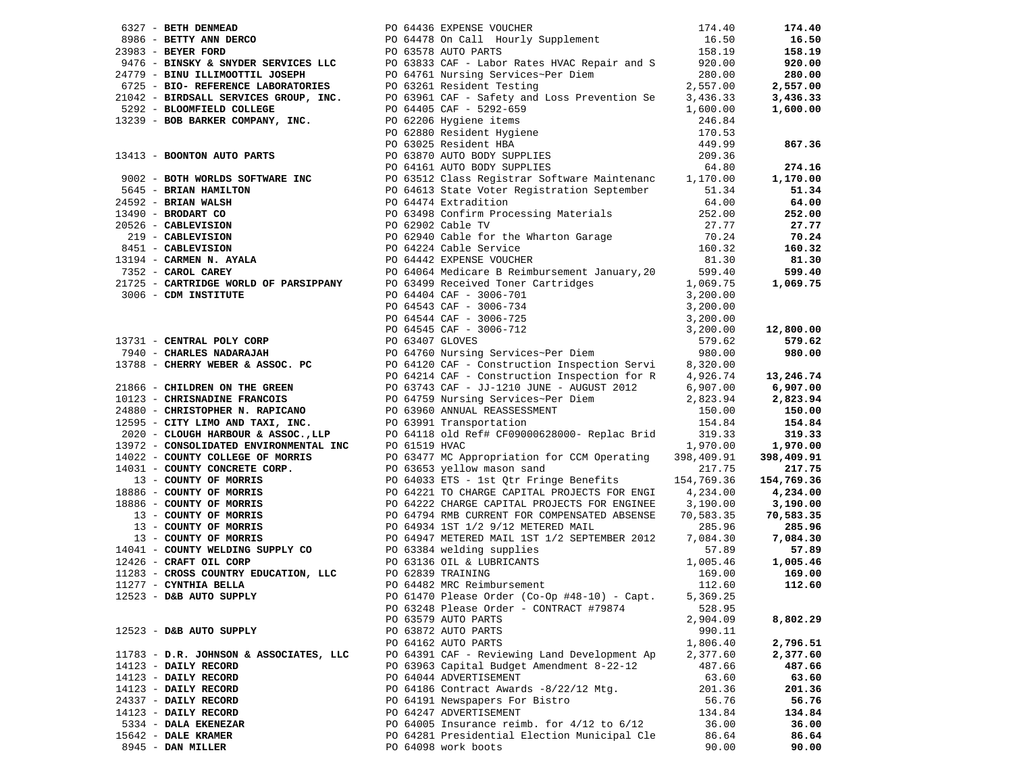|                                        | 2021 Mark 200010 200 Mark 200010 200 Mark 200010 200 Mark 200 Mark 200 Mark 200 Mark 200 Mark 200 Mark 200 Mark 200 Mark 200 Mark 200 Mark 200 Mark 200 Mark 200 Mark 200 Mark 200 Mark 200 Mark 200 Mark 200 Mark 200 Mark |          |          |
|----------------------------------------|-----------------------------------------------------------------------------------------------------------------------------------------------------------------------------------------------------------------------------|----------|----------|
|                                        |                                                                                                                                                                                                                             |          |          |
|                                        |                                                                                                                                                                                                                             |          |          |
|                                        |                                                                                                                                                                                                                             |          |          |
|                                        |                                                                                                                                                                                                                             |          |          |
|                                        |                                                                                                                                                                                                                             |          |          |
|                                        |                                                                                                                                                                                                                             |          |          |
|                                        |                                                                                                                                                                                                                             |          |          |
|                                        |                                                                                                                                                                                                                             |          |          |
|                                        |                                                                                                                                                                                                                             |          |          |
|                                        |                                                                                                                                                                                                                             |          |          |
|                                        |                                                                                                                                                                                                                             |          |          |
|                                        |                                                                                                                                                                                                                             |          |          |
|                                        |                                                                                                                                                                                                                             |          |          |
|                                        |                                                                                                                                                                                                                             |          |          |
|                                        |                                                                                                                                                                                                                             |          |          |
|                                        |                                                                                                                                                                                                                             |          |          |
|                                        |                                                                                                                                                                                                                             |          |          |
|                                        |                                                                                                                                                                                                                             |          |          |
|                                        |                                                                                                                                                                                                                             |          |          |
|                                        |                                                                                                                                                                                                                             |          |          |
|                                        | PO 63248 Please Order - CONTRACT #79874                                                                                                                                                                                     | 528.95   |          |
|                                        | PO 63579 AUTO PARTS                                                                                                                                                                                                         | 2,904.09 | 8,802.29 |
| 12523 - D&B AUTO SUPPLY                | PO 63872 AUTO PARTS                                                                                                                                                                                                         | 990.11   |          |
|                                        | PO 64162 AUTO PARTS                                                                                                                                                                                                         | 1,806.40 | 2,796.51 |
| 11783 - D.R. JOHNSON & ASSOCIATES, LLC | PO 64391 CAF - Reviewing Land Development Ap                                                                                                                                                                                | 2,377.60 | 2,377.60 |
| 14123 - DAILY RECORD                   | PO 63963 Capital Budget Amendment 8-22-12                                                                                                                                                                                   | 487.66   | 487.66   |
| 14123 - DAILY RECORD                   | PO 64044 ADVERTISEMENT                                                                                                                                                                                                      | 63.60    | 63.60    |
| 14123 - DAILY RECORD                   | PO 64186 Contract Awards -8/22/12 Mtg.                                                                                                                                                                                      | 201.36   | 201.36   |
| 24337 - DAILY RECORD                   | PO 64191 Newspapers For Bistro                                                                                                                                                                                              | 56.76    | 56.76    |
| 14123 - DAILY RECORD                   | PO 64247 ADVERTISEMENT                                                                                                                                                                                                      | 134.84   | 134.84   |
| 5334 - DALA EKENEZAR                   | PO 64005 Insurance reimb. for $4/12$ to $6/12$                                                                                                                                                                              | 36.00    | 36.00    |
| $15642$ - DALE KRAMER                  | PO 64281 Presidential Election Municipal Cle                                                                                                                                                                                | 86.64    | 86.64    |
| 8945 - DAN MILLER                      | PO 64098 work boots                                                                                                                                                                                                         | 90.00    | 90.00    |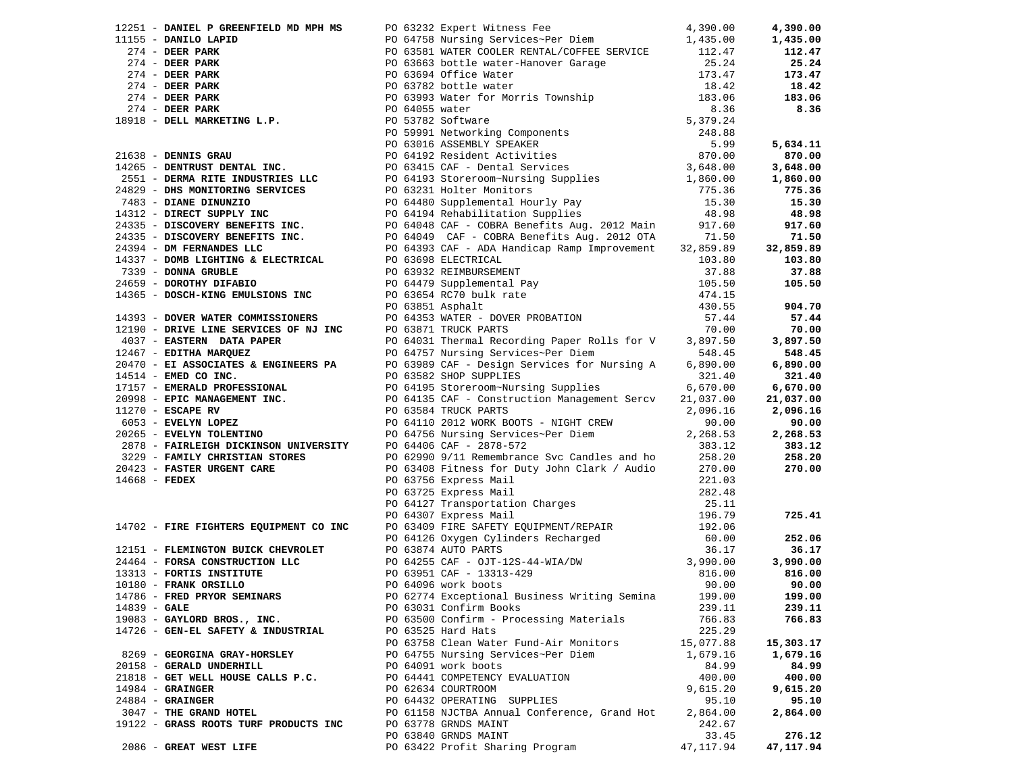|                |                                       |                                                                                                                                                                                                                                                                        |           | 4,390.00  |
|----------------|---------------------------------------|------------------------------------------------------------------------------------------------------------------------------------------------------------------------------------------------------------------------------------------------------------------------|-----------|-----------|
|                |                                       |                                                                                                                                                                                                                                                                        |           | 1,435.00  |
|                |                                       |                                                                                                                                                                                                                                                                        |           | 112.47    |
|                |                                       |                                                                                                                                                                                                                                                                        |           | 25.24     |
|                |                                       |                                                                                                                                                                                                                                                                        |           | 173.47    |
|                |                                       |                                                                                                                                                                                                                                                                        |           | 18.42     |
|                |                                       |                                                                                                                                                                                                                                                                        |           | 183.06    |
|                |                                       |                                                                                                                                                                                                                                                                        |           | 8.36      |
|                |                                       |                                                                                                                                                                                                                                                                        |           |           |
|                |                                       |                                                                                                                                                                                                                                                                        |           |           |
|                |                                       |                                                                                                                                                                                                                                                                        |           | 5,634.11  |
|                |                                       |                                                                                                                                                                                                                                                                        |           | 870.00    |
|                |                                       |                                                                                                                                                                                                                                                                        |           |           |
|                |                                       |                                                                                                                                                                                                                                                                        |           | 3,648.00  |
|                |                                       |                                                                                                                                                                                                                                                                        |           | 1,860.00  |
|                |                                       |                                                                                                                                                                                                                                                                        |           | 775.36    |
|                |                                       |                                                                                                                                                                                                                                                                        |           | 15.30     |
|                |                                       |                                                                                                                                                                                                                                                                        |           | 48.98     |
|                |                                       |                                                                                                                                                                                                                                                                        |           | 917.60    |
|                |                                       |                                                                                                                                                                                                                                                                        |           | 71.50     |
|                |                                       |                                                                                                                                                                                                                                                                        |           | 32,859.89 |
|                |                                       |                                                                                                                                                                                                                                                                        |           | 103.80    |
|                |                                       |                                                                                                                                                                                                                                                                        |           | 37.88     |
|                |                                       |                                                                                                                                                                                                                                                                        |           | 105.50    |
|                |                                       |                                                                                                                                                                                                                                                                        |           |           |
|                |                                       |                                                                                                                                                                                                                                                                        |           | 904.70    |
|                |                                       |                                                                                                                                                                                                                                                                        |           | 57.44     |
|                |                                       |                                                                                                                                                                                                                                                                        |           | 70.00     |
|                |                                       |                                                                                                                                                                                                                                                                        |           | 3,897.50  |
|                |                                       |                                                                                                                                                                                                                                                                        |           | 548.45    |
|                |                                       |                                                                                                                                                                                                                                                                        |           | 6,890.00  |
|                |                                       |                                                                                                                                                                                                                                                                        |           | 321.40    |
|                |                                       |                                                                                                                                                                                                                                                                        |           |           |
|                |                                       |                                                                                                                                                                                                                                                                        |           | 6,670.00  |
|                |                                       |                                                                                                                                                                                                                                                                        |           | 21,037.00 |
|                |                                       |                                                                                                                                                                                                                                                                        |           | 2,096.16  |
|                |                                       |                                                                                                                                                                                                                                                                        |           | 90.00     |
|                |                                       |                                                                                                                                                                                                                                                                        |           | 2,268.53  |
|                |                                       |                                                                                                                                                                                                                                                                        |           | 383.12    |
|                |                                       |                                                                                                                                                                                                                                                                        |           | 258.20    |
|                |                                       |                                                                                                                                                                                                                                                                        |           | 270.00    |
|                |                                       |                                                                                                                                                                                                                                                                        |           |           |
|                |                                       |                                                                                                                                                                                                                                                                        |           |           |
|                |                                       |                                                                                                                                                                                                                                                                        |           |           |
|                |                                       |                                                                                                                                                                                                                                                                        |           | 725.41    |
|                |                                       |                                                                                                                                                                                                                                                                        |           |           |
|                |                                       |                                                                                                                                                                                                                                                                        |           | 252.06    |
|                |                                       |                                                                                                                                                                                                                                                                        |           | 36.17     |
|                |                                       | 12151 - FLEMINGTON BUICK CHEVROLET<br>24464 - FORSA CONSTRUCTION LLC<br>26.17<br>26.17<br>26.17<br>26.17<br>26.17<br>26.17<br>26.17<br>26.17<br>26.17<br>26.17<br>26.17<br>26.17<br>26.27<br>20.00<br>20.63951 CAF - 0JT-12S-44-WIA/DW<br>20.00<br>20.00<br>20.00<br>2 |           | 3,990.00  |
|                |                                       |                                                                                                                                                                                                                                                                        |           | 816.00    |
|                |                                       |                                                                                                                                                                                                                                                                        |           | 90.00     |
|                |                                       |                                                                                                                                                                                                                                                                        |           | 199.00    |
| $14839 - GALE$ |                                       | PO 63031 Confirm Books                                                                                                                                                                                                                                                 | 239.11    | 239.11    |
|                | 19083 - GAYLORD BROS., INC.           | PO 63500 Confirm - Processing Materials                                                                                                                                                                                                                                | 766.83    | 766.83    |
|                | 14726 - GEN-EL SAFETY & INDUSTRIAL    | PO 63525 Hard Hats                                                                                                                                                                                                                                                     | 225.29    |           |
|                |                                       | PO 63758 Clean Water Fund-Air Monitors                                                                                                                                                                                                                                 | 15,077.88 | 15,303.17 |
|                | 8269 - GEORGINA GRAY-HORSLEY          |                                                                                                                                                                                                                                                                        |           |           |
|                |                                       | PO 64755 Nursing Services~Per Diem                                                                                                                                                                                                                                     | 1,679.16  | 1,679.16  |
|                | 20158 - GERALD UNDERHILL              | PO 64091 work boots                                                                                                                                                                                                                                                    | 84.99     | 84.99     |
|                | 21818 - GET WELL HOUSE CALLS P.C.     | PO 64441 COMPETENCY EVALUATION                                                                                                                                                                                                                                         | 400.00    | 400.00    |
|                | $14984$ - GRAINGER                    | PO 62634 COURTROOM                                                                                                                                                                                                                                                     | 9,615.20  | 9,615.20  |
|                | $24884$ - GRAINGER                    | PO 64432 OPERATING SUPPLIES                                                                                                                                                                                                                                            | 95.10     | 95.10     |
|                | 3047 - THE GRAND HOTEL                | PO 61158 NJCTBA Annual Conference, Grand Hot                                                                                                                                                                                                                           | 2,864.00  | 2,864.00  |
|                | 19122 - GRASS ROOTS TURF PRODUCTS INC | PO 63778 GRNDS MAINT                                                                                                                                                                                                                                                   | 242.67    |           |
|                |                                       | PO 63840 GRNDS MAINT                                                                                                                                                                                                                                                   | 33.45     | 276.12    |
|                | 2086 - GREAT WEST LIFE                | PO 63422 Profit Sharing Program                                                                                                                                                                                                                                        | 47,117.94 | 47,117.94 |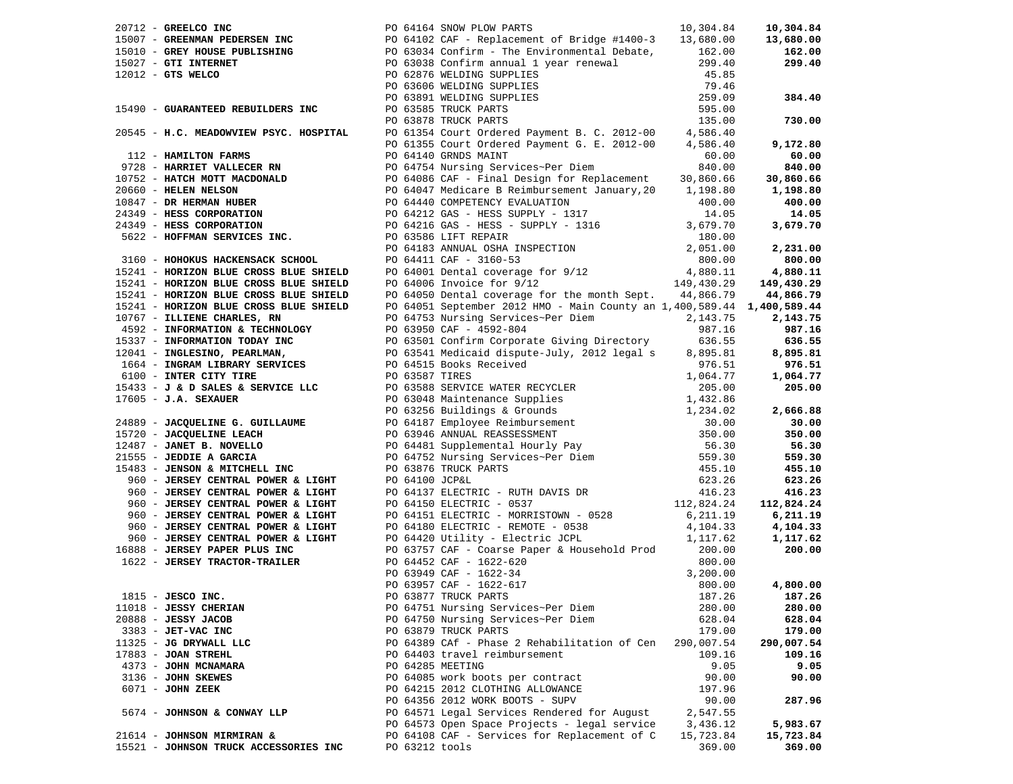|                                       |                  |                                                                                                                                                                                                                                                                                                                             |            | 30,860.66<br>1,198.80 |
|---------------------------------------|------------------|-----------------------------------------------------------------------------------------------------------------------------------------------------------------------------------------------------------------------------------------------------------------------------------------------------------------------------|------------|-----------------------|
|                                       |                  |                                                                                                                                                                                                                                                                                                                             |            |                       |
|                                       |                  |                                                                                                                                                                                                                                                                                                                             |            |                       |
|                                       |                  |                                                                                                                                                                                                                                                                                                                             |            |                       |
|                                       |                  |                                                                                                                                                                                                                                                                                                                             |            |                       |
|                                       |                  |                                                                                                                                                                                                                                                                                                                             |            |                       |
|                                       |                  |                                                                                                                                                                                                                                                                                                                             |            |                       |
|                                       |                  |                                                                                                                                                                                                                                                                                                                             |            |                       |
|                                       |                  |                                                                                                                                                                                                                                                                                                                             |            |                       |
|                                       |                  |                                                                                                                                                                                                                                                                                                                             |            |                       |
|                                       |                  |                                                                                                                                                                                                                                                                                                                             |            |                       |
|                                       |                  |                                                                                                                                                                                                                                                                                                                             |            |                       |
|                                       |                  |                                                                                                                                                                                                                                                                                                                             |            |                       |
|                                       |                  |                                                                                                                                                                                                                                                                                                                             |            |                       |
|                                       |                  |                                                                                                                                                                                                                                                                                                                             |            |                       |
|                                       |                  |                                                                                                                                                                                                                                                                                                                             |            |                       |
|                                       |                  |                                                                                                                                                                                                                                                                                                                             |            |                       |
|                                       |                  |                                                                                                                                                                                                                                                                                                                             |            |                       |
|                                       |                  |                                                                                                                                                                                                                                                                                                                             |            |                       |
|                                       |                  |                                                                                                                                                                                                                                                                                                                             |            |                       |
|                                       |                  |                                                                                                                                                                                                                                                                                                                             |            |                       |
|                                       |                  |                                                                                                                                                                                                                                                                                                                             |            |                       |
|                                       |                  |                                                                                                                                                                                                                                                                                                                             |            |                       |
|                                       |                  |                                                                                                                                                                                                                                                                                                                             |            |                       |
|                                       |                  |                                                                                                                                                                                                                                                                                                                             |            |                       |
|                                       |                  |                                                                                                                                                                                                                                                                                                                             |            |                       |
|                                       |                  |                                                                                                                                                                                                                                                                                                                             |            |                       |
|                                       |                  |                                                                                                                                                                                                                                                                                                                             |            |                       |
|                                       |                  |                                                                                                                                                                                                                                                                                                                             |            |                       |
|                                       |                  |                                                                                                                                                                                                                                                                                                                             |            |                       |
|                                       |                  |                                                                                                                                                                                                                                                                                                                             |            | 6,211.19              |
|                                       |                  |                                                                                                                                                                                                                                                                                                                             |            | 4,104.33              |
|                                       |                  |                                                                                                                                                                                                                                                                                                                             |            | 1,117.62              |
|                                       |                  | 33 - JENSON & MITCHELL INC<br>960 - JERSEY CENTRAL POWER & LIGHT<br>960 - JERSEY CENTRAL POWER & LIGHT<br>960 - JERSEY CENTRAL POWER & LIGHT<br>960 - JERSEY CENTRAL POWER & LIGHT<br>960 - JERSEY CENTRAL POWER & LIGHT<br>960 - JERSEY C                                                                                  |            | 200.00                |
| 1622 - JERSEY TRACTOR-TRAILER         |                  | $\begin{array}{lllllllllllllllllllll} \textsc{p_0} & 64452 & \textsc{Cap} & 1622-620 \\ \textsc{p_0} & 63949 & \textsc{Cap} & -1622-34 & & 3,200.00 \\ \textsc{p_0} & 63957 & \textsc{Cap} & -1622-617 & & & 800.00 \\ \textsc{p_0} & 63877 & \textsc{TRUCK} & \textsc{PARTS} & & & 187.26 & & \textbf{187.26} \end{array}$ |            |                       |
|                                       |                  |                                                                                                                                                                                                                                                                                                                             |            |                       |
|                                       |                  |                                                                                                                                                                                                                                                                                                                             |            |                       |
| $1815$ - JESCO INC.                   |                  |                                                                                                                                                                                                                                                                                                                             |            |                       |
| 11018 - JESSY CHERIAN                 |                  | PO 64751 Nursing Services~Per Diem                                                                                                                                                                                                                                                                                          | 280.00     | 280.00                |
| 20888 - JESSY JACOB                   |                  | PO 64750 Nursing Services~Per Diem                                                                                                                                                                                                                                                                                          | 628.04     | 628.04                |
| 3383 - JET-VAC INC                    |                  | PO 63879 TRUCK PARTS                                                                                                                                                                                                                                                                                                        | 179.00     | 179.00                |
| 11325 - JG DRYWALL LLC                |                  | PO 64389 CAf - Phase 2 Rehabilitation of Cen                                                                                                                                                                                                                                                                                | 290,007.54 | 290,007.54            |
| $17883$ - JOAN STREHL                 |                  | PO 64403 travel reimbursement                                                                                                                                                                                                                                                                                               | 109.16     | 109.16                |
| 4373 - JOHN MCNAMARA                  | PO 64285 MEETING |                                                                                                                                                                                                                                                                                                                             | 9.05       | 9.05                  |
| 3136 - JOHN SKEWES                    |                  | PO 64085 work boots per contract                                                                                                                                                                                                                                                                                            | 90.00      | 90.00                 |
| 6071 - JOHN ZEEK                      |                  | PO 64215 2012 CLOTHING ALLOWANCE                                                                                                                                                                                                                                                                                            | 197.96     |                       |
|                                       |                  | PO 64356 2012 WORK BOOTS - SUPV                                                                                                                                                                                                                                                                                             |            |                       |
|                                       |                  |                                                                                                                                                                                                                                                                                                                             | 90.00      | 287.96                |
| 5674 - JOHNSON & CONWAY LLP           |                  | PO 64571 Legal Services Rendered for August                                                                                                                                                                                                                                                                                 | 2,547.55   |                       |
|                                       |                  | PO 64573 Open Space Projects - legal service                                                                                                                                                                                                                                                                                | 3,436.12   | 5,983.67              |
| 21614 - JOHNSON MIRMIRAN &            |                  | PO 64108 CAF - Services for Replacement of C                                                                                                                                                                                                                                                                                | 15,723.84  | 15,723.84             |
| 15521 - JOHNSON TRUCK ACCESSORIES INC | PO 63212 tools   |                                                                                                                                                                                                                                                                                                                             | 369.00     | 369.00                |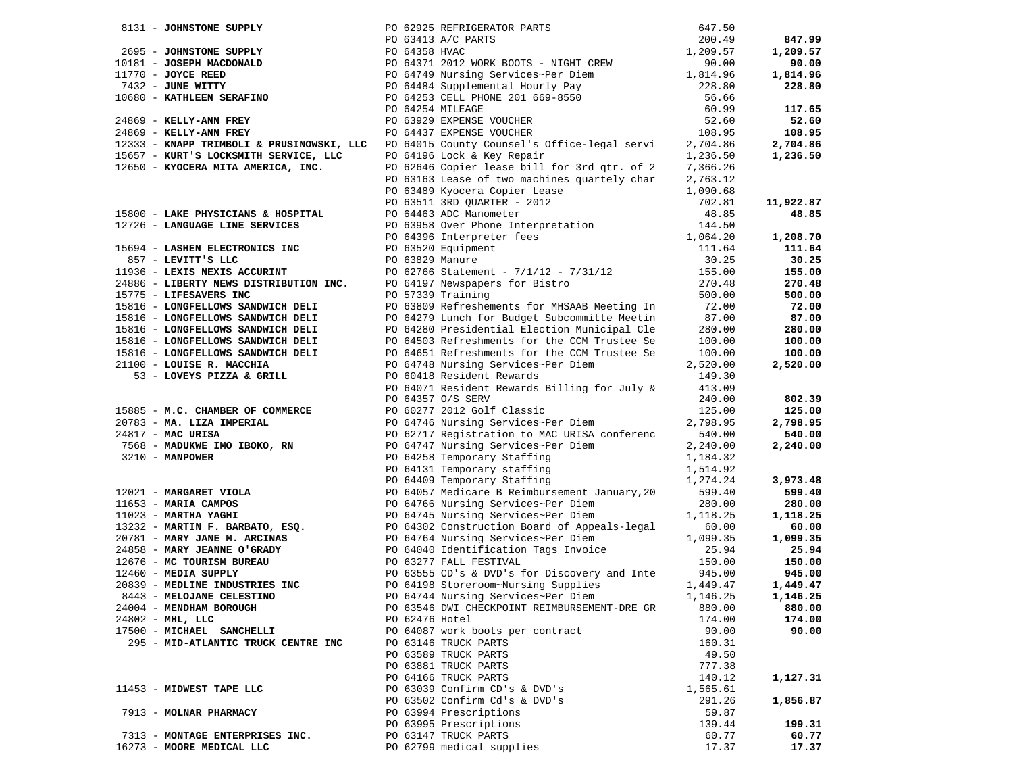|                                                                        |                 | 8131 - JOHNSTONE SUPPLY<br>2695 - JOHNSTONE SUPPLY<br>2695 - JOHNSTONE SUPPLY<br>2695 - JOHNSTONE SUPPLY<br>200.4358 HVAC<br>200.4358 HVAC<br>200.4371 2012 WORK BOOTS - NIGHT CREW<br>200.457<br>270.9.57<br>270.9.57<br>27432 - JUNE WITTY<br>200      |          |           |
|------------------------------------------------------------------------|-----------------|----------------------------------------------------------------------------------------------------------------------------------------------------------------------------------------------------------------------------------------------------------|----------|-----------|
|                                                                        |                 |                                                                                                                                                                                                                                                          |          | 847.99    |
|                                                                        |                 |                                                                                                                                                                                                                                                          |          | 1,209.57  |
|                                                                        |                 |                                                                                                                                                                                                                                                          |          | 90.00     |
|                                                                        |                 |                                                                                                                                                                                                                                                          |          | 1,814.96  |
|                                                                        |                 |                                                                                                                                                                                                                                                          |          | 228.80    |
|                                                                        |                 |                                                                                                                                                                                                                                                          |          |           |
|                                                                        |                 |                                                                                                                                                                                                                                                          |          | 117.65    |
|                                                                        |                 |                                                                                                                                                                                                                                                          |          | 52.60     |
|                                                                        |                 |                                                                                                                                                                                                                                                          |          | 108.95    |
| 12333 - KNAPP TRIMBOLI & PRUSINOWSKI, LLC                              |                 | PO 64015 County Counsel's Office-legal servi 2,704.86                                                                                                                                                                                                    |          | 2,704.86  |
| 15657 - KURT'S LOCKSMITH SERVICE, LLC                                  |                 | PO 64196 Lock & Key Repair                                                                                                                                                                                                                               | 1,236.50 | 1,236.50  |
| 12650 - KYOCERA MITA AMERICA, INC.                                     |                 | PO 62646 Copier lease bill for 3rd qtr. of 2                                                                                                                                                                                                             | 7,366.26 |           |
|                                                                        |                 | PO 63163 Lease of two machines quartely char                                                                                                                                                                                                             | 2,763.12 |           |
|                                                                        |                 |                                                                                                                                                                                                                                                          | 1,090.68 |           |
|                                                                        |                 |                                                                                                                                                                                                                                                          | 702.81   | 11,922.87 |
| 15800 - LAKE PHYSICIANS & HOSPITAL                                     |                 | PO 63163 Lease of two maximist year tory since<br>PO 6389 Nyocera Copier Lease<br>PO 63511 3RD QUARTER - 2012<br>PO 64463 ADC Manometer<br>PO 63958 Over Phone Interpretation<br>PO 63320 Equipment<br>PO 63829 Manure                                   | 48.85    | 48.85     |
| 12726 - LANGUAGE LINE SERVICES                                         |                 |                                                                                                                                                                                                                                                          | 144.50   |           |
|                                                                        |                 |                                                                                                                                                                                                                                                          | 1,064.20 | 1,208.70  |
| 15694 - LASHEN ELECTRONICS INC                                         |                 |                                                                                                                                                                                                                                                          | 111.64   | 111.64    |
| 857 - LEVITT'S LLC                                                     | PO 63829 Manure |                                                                                                                                                                                                                                                          | 30.25    | 30.25     |
| 11936 - LEXIS NEXIS ACCURINT<br>24886 - LIBERTY NEWS DISTRIBUTION INC. |                 | PO 63829 Manure<br>PO 62766 Statement - 7/1/12 - 7/31/12<br>PO 64197 Newspapers for Bistro                                                                                                                                                               | 155.00   | 155.00    |
|                                                                        |                 |                                                                                                                                                                                                                                                          | 270.48   | 270.48    |
| 15775 - LIFESAVERS INC                                                 |                 | PO 57339 Training                                                                                                                                                                                                                                        | 500.00   | 500.00    |
| 15816 - LONGFELLOWS SANDWICH DELI                                      |                 | PO 63809 Refreshements for MHSAAB Meeting In                                                                                                                                                                                                             | 72.00    | 72.00     |
| 15816 - LONGFELLOWS SANDWICH DELI                                      |                 | PO 64279 Lunch for Budget Subcommitte Meetin                                                                                                                                                                                                             | 87.00    | 87.00     |
| 15816 - LONGFELLOWS SANDWICH DELI                                      |                 | PO 64280 Presidential Election Municipal Cle                                                                                                                                                                                                             | 280.00   | 280.00    |
| 15816 - LONGFELLOWS SANDWICH DELI                                      |                 | PO 64503 Refreshments for the CCM Trustee Se                                                                                                                                                                                                             | 100.00   | 100.00    |
| 15816 - LONGFELLOWS SANDWICH DELI                                      |                 | PO 64651 Refreshments for the CCM Trustee Se                                                                                                                                                                                                             | 100.00   | 100.00    |
| 21100 - LOUISE R. MACCHIA                                              |                 | PO 64748 Nursing Services~Per Diem                                                                                                                                                                                                                       | 2,520.00 | 2,520.00  |
| 53 - LOVEYS PIZZA & GRILL                                              |                 | PO 60418 Resident Rewards                                                                                                                                                                                                                                | 149.30   |           |
|                                                                        |                 | PO 64071 Resident Rewards Billing for July &                                                                                                                                                                                                             | 413.09   |           |
|                                                                        |                 | PO 64357 O/S SERV                                                                                                                                                                                                                                        | 240.00   | 802.39    |
| 15885 - M.C. CHAMBER OF COMMERCE                                       |                 | PO 60277 2012 Golf Classic                                                                                                                                                                                                                               | 125.00   | 125.00    |
| 20783 - MA. LIZA IMPERIAL                                              |                 | PO 64746 Nursing Services~Per Diem                                                                                                                                                                                                                       | 2,798.95 | 2,798.95  |
| 24817 - MAC URISA                                                      |                 | PO 62717 Registration to MAC URISA conferenc 540.00                                                                                                                                                                                                      |          | 540.00    |
| 7568 - MADUKWE IMO IBOKO, RN                                           |                 |                                                                                                                                                                                                                                                          | 2,240.00 | 2,240.00  |
| 3210 - MANPOWER                                                        |                 | PO 64747 Nursing Services~Per Diem<br>PO 64258 Temporary Staffing<br>PO 64131 Temporary staffing<br>PO 64409 Temporary Staffing                                                                                                                          | 1,184.32 |           |
|                                                                        |                 |                                                                                                                                                                                                                                                          | 1,514.92 |           |
|                                                                        |                 |                                                                                                                                                                                                                                                          | 1,274.24 | 3,973.48  |
|                                                                        |                 |                                                                                                                                                                                                                                                          | 599.40   | 599.40    |
|                                                                        |                 |                                                                                                                                                                                                                                                          | 280.00   | 280.00    |
|                                                                        |                 |                                                                                                                                                                                                                                                          | 1,118.25 | 1,118.25  |
|                                                                        |                 |                                                                                                                                                                                                                                                          | 60.00    | 60.00     |
|                                                                        |                 |                                                                                                                                                                                                                                                          | 1,099.35 | 1,099.35  |
|                                                                        |                 | PO 64409 1emporary<br>PO 64409 1emporary<br>PO 64409 1emporary<br>PO 64766 Nursing Services-Per Diem<br>1023 - <b>MARTHA YAGHI</b><br>13232 - <b>MARTHA YAGHI</b><br>PO 64766 Nursing Services-Per Diem<br>PO 64766 Nursing Services-Per Diem<br>PO 6476 | 25.94    | 25.94     |
|                                                                        |                 |                                                                                                                                                                                                                                                          | 150.00   | 150.00    |
| 12460 - MEDIA SUPPLY                                                   |                 | PO 63277 FALL FESTIVAL<br>PO 63555 CD's & DVD's for Discovery and Inte 1945.00                                                                                                                                                                           |          | 945.00    |
| 20839 - MEDLINE INDUSTRIES INC                                         |                 | PO 64198 Storeroom~Nursing Supplies                                                                                                                                                                                                                      | 1,449.47 | 1,449.47  |
| 8443 - MELOJANE CELESTINO                                              |                 | PO 64744 Nursing Services~Per Diem                                                                                                                                                                                                                       | 1,146.25 | 1,146.25  |
| 24004 - MENDHAM BOROUGH                                                |                 | PO 63546 DWI CHECKPOINT REIMBURSEMENT-DRE GR                                                                                                                                                                                                             | 880.00   | 880.00    |
| $24802$ - MHL, LLC                                                     | PO 62476 Hotel  |                                                                                                                                                                                                                                                          | 174.00   | 174.00    |
| 17500 - MICHAEL SANCHELLI                                              |                 | PO 64087 work boots per contract                                                                                                                                                                                                                         | 90.00    | 90.00     |
| 295 - MID-ATLANTIC TRUCK CENTRE INC                                    |                 | PO 63146 TRUCK PARTS                                                                                                                                                                                                                                     | 160.31   |           |
|                                                                        |                 | PO 63589 TRUCK PARTS                                                                                                                                                                                                                                     | 49.50    |           |
|                                                                        |                 | PO 63881 TRUCK PARTS                                                                                                                                                                                                                                     | 777.38   |           |
|                                                                        |                 | PO 64166 TRUCK PARTS                                                                                                                                                                                                                                     | 140.12   | 1,127.31  |
| 11453 - MIDWEST TAPE LLC                                               |                 | PO 63039 Confirm CD's & DVD's                                                                                                                                                                                                                            | 1,565.61 |           |
|                                                                        |                 | PO 63502 Confirm Cd's & DVD's                                                                                                                                                                                                                            | 291.26   | 1,856.87  |
| 7913 - MOLNAR PHARMACY                                                 |                 | PO 63994 Prescriptions                                                                                                                                                                                                                                   | 59.87    |           |
|                                                                        |                 | PO 63995 Prescriptions                                                                                                                                                                                                                                   | 139.44   | 199.31    |
| 7313 - MONTAGE ENTERPRISES INC.                                        |                 | PO 63147 TRUCK PARTS                                                                                                                                                                                                                                     | 60.77    | 60.77     |
| 16273 - MOORE MEDICAL LLC                                              |                 | PO 62799 medical supplies                                                                                                                                                                                                                                | 17.37    | 17.37     |
|                                                                        |                 |                                                                                                                                                                                                                                                          |          |           |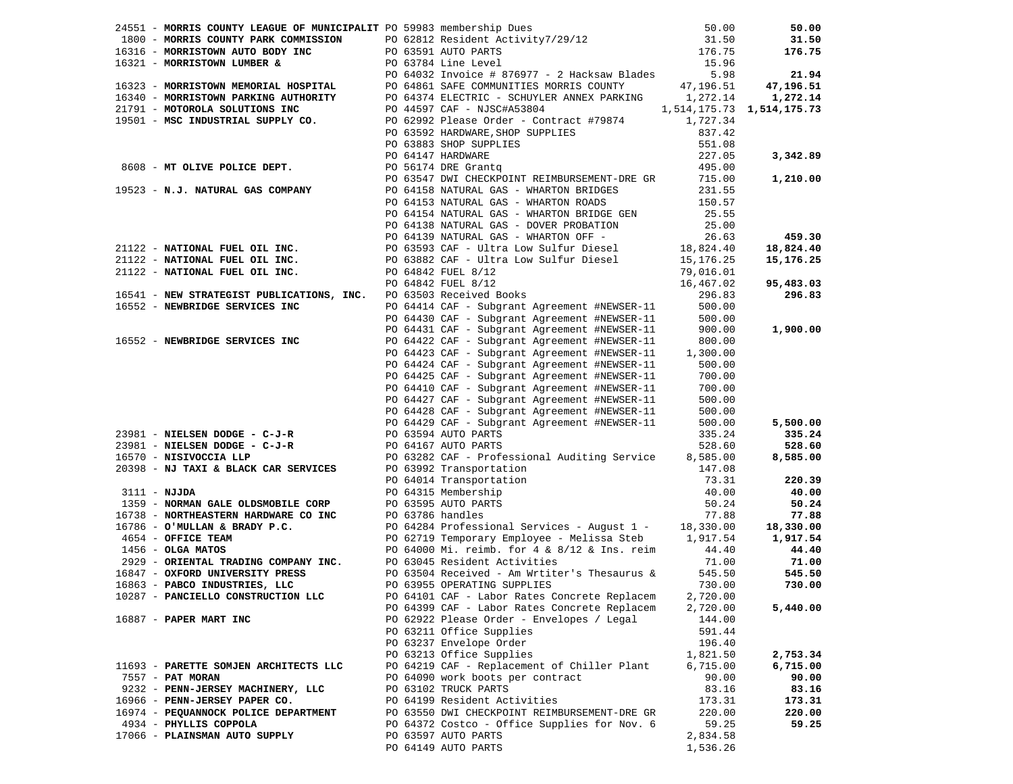|  |                                                                          |  | 1851 - MORRISTOWN AUTO BODY INC PO 63591 AUTO PARTS<br>1800 - MORRISTOWN AUTO BODY INC PO 63591 AUTO PARTS<br>16321 - MORRISTOWN MEMORIAL HOSPITAL PO 64861 SAFE CONNUNSIVE SUGGERS (1997)<br>16324 - MORRISTOWN MEMORIAL HOSPITAL         |          |           |
|--|--------------------------------------------------------------------------|--|--------------------------------------------------------------------------------------------------------------------------------------------------------------------------------------------------------------------------------------------|----------|-----------|
|  |                                                                          |  |                                                                                                                                                                                                                                            |          |           |
|  |                                                                          |  |                                                                                                                                                                                                                                            |          |           |
|  |                                                                          |  |                                                                                                                                                                                                                                            |          |           |
|  |                                                                          |  |                                                                                                                                                                                                                                            |          |           |
|  |                                                                          |  |                                                                                                                                                                                                                                            |          |           |
|  |                                                                          |  |                                                                                                                                                                                                                                            |          | 459.30    |
|  |                                                                          |  |                                                                                                                                                                                                                                            |          | 18,824.40 |
|  |                                                                          |  |                                                                                                                                                                                                                                            |          | 15,176.25 |
|  |                                                                          |  |                                                                                                                                                                                                                                            |          |           |
|  |                                                                          |  |                                                                                                                                                                                                                                            |          | 95,483.03 |
|  |                                                                          |  | ANALYMAL FUEL ULL INC.<br>PO 64842 FUEL 8/12<br>PO 64842 FUEL 8/12<br>PO 64842 FUEL 8/12<br>PO 63503 Received Books<br>16552 - NEWERPTDER CREVITER TIME                                                                                    |          | 296.83    |
|  | 16541 - NEW SIAALSSID: ACTRICIAN AND POST OF A STRIP OF THE SERVICES INC |  | PO 64414 CAF - Subgrant Agreement #NEWSER-11                                                                                                                                                                                               | 500.00   |           |
|  |                                                                          |  |                                                                                                                                                                                                                                            |          |           |
|  |                                                                          |  | PU 04414 CAF - DURSEN-1-<br>PO 64430 CAF - Subgrant Agreement #NEWSER-11                                                                                                                                                                   | 500.00   |           |
|  |                                                                          |  | PO 64431 CAF - Subgrant Agreement #NEWSER-11                                                                                                                                                                                               | 900.00   | 1,900.00  |
|  | 16552 - NEWBRIDGE SERVICES INC                                           |  | PO 64422 CAF - Subgrant Agreement #NEWSER-11 800.00<br>PO 64423 CAF - Subgrant Agreement #NEWSER-11 1,300.00                                                                                                                               |          |           |
|  |                                                                          |  |                                                                                                                                                                                                                                            |          |           |
|  |                                                                          |  | PU 04423 CAF - DUDSER-1-2<br>PO 64424 CAF - Subgrant Agreement #NEWSER-11                                                                                                                                                                  | 500.00   |           |
|  |                                                                          |  | PO 64425 CAF - Subgrant Agreement #NEWSER-11                                                                                                                                                                                               | 700.00   |           |
|  |                                                                          |  | PO 64410 CAF - Subgrant Agreement #NEWSER-11 700.00<br>PO 64427 CAF - Subgrant Agreement #NEWSER-11 500.00                                                                                                                                 |          |           |
|  |                                                                          |  |                                                                                                                                                                                                                                            |          |           |
|  |                                                                          |  |                                                                                                                                                                                                                                            |          |           |
|  |                                                                          |  |                                                                                                                                                                                                                                            |          | 5,500.00  |
|  |                                                                          |  |                                                                                                                                                                                                                                            |          | 335.24    |
|  |                                                                          |  |                                                                                                                                                                                                                                            |          | 528.60    |
|  |                                                                          |  |                                                                                                                                                                                                                                            |          | 8,585.00  |
|  |                                                                          |  |                                                                                                                                                                                                                                            |          |           |
|  |                                                                          |  | 23981 - NIELSEN DODGE - C-J-R<br>23981 - NIELSEN DODGE - C-J-R<br>23981 - NIELSEN DODGE - C-J-R<br>23981 - NIELSEN DODGE - C-J-R<br>2398 - NJ TAXI & BLACK CAR SERVICES<br>20398 - NJ TAXI & BLACK CAR SERVICES<br>20398 - NJ TAXI & BLAC  |          | 220.39    |
|  |                                                                          |  |                                                                                                                                                                                                                                            |          | 40.00     |
|  |                                                                          |  | 1359 - NORMAN GALE OLDSMOBILE CORP<br>1359 - NORMAN GALE OLDSMOBILE CORP<br>16738 - NORTHEASTERN HARDWARE CO INC<br>16786 - O'MULLAN & BRADY P.C.<br>16786 - O'MULLAN & BRADY P.C.<br>16786 - O'MULLAN & BRADY P.C.<br>16847 - OKENTAL TRA |          | 50.24     |
|  |                                                                          |  |                                                                                                                                                                                                                                            |          |           |
|  |                                                                          |  |                                                                                                                                                                                                                                            |          | 77.88     |
|  |                                                                          |  |                                                                                                                                                                                                                                            |          | 18,330.00 |
|  |                                                                          |  |                                                                                                                                                                                                                                            |          | 1,917.54  |
|  |                                                                          |  |                                                                                                                                                                                                                                            |          | 44.40     |
|  |                                                                          |  |                                                                                                                                                                                                                                            |          | 71.00     |
|  |                                                                          |  |                                                                                                                                                                                                                                            |          | 545.50    |
|  |                                                                          |  |                                                                                                                                                                                                                                            |          | 730.00    |
|  | 10287 - PANCIELLO CONSTRUCTION LLC                                       |  | PO 64101 CAF - Labor Rates Concrete Replacem                                                                                                                                                                                               | 2,720.00 |           |
|  |                                                                          |  | PO 64399 CAF - Labor Rates Concrete Replacem                                                                                                                                                                                               | 2,720.00 | 5,440.00  |
|  | 16887 - PAPER MART INC                                                   |  | PO 62922 Please Order - Envelopes / Legal                                                                                                                                                                                                  | 144.00   |           |
|  |                                                                          |  | PO 63211 Office Supplies                                                                                                                                                                                                                   | 591.44   |           |
|  |                                                                          |  | PO 63237 Envelope Order                                                                                                                                                                                                                    | 196.40   |           |
|  |                                                                          |  | PO 63213 Office Supplies                                                                                                                                                                                                                   | 1,821.50 | 2,753.34  |
|  | 11693 - PARETTE SOMJEN ARCHITECTS LLC                                    |  | PO 64219 CAF - Replacement of Chiller Plant                                                                                                                                                                                                | 6,715.00 | 6,715.00  |
|  | 7557 - <b>PAT MORAN</b>                                                  |  | PO 64090 work boots per contract                                                                                                                                                                                                           | 90.00    | 90.00     |
|  | 9232 - PENN-JERSEY MACHINERY, LLC                                        |  | PO 63102 TRUCK PARTS                                                                                                                                                                                                                       | 83.16    | 83.16     |
|  |                                                                          |  | PO 64199 Resident Activities                                                                                                                                                                                                               |          | 173.31    |
|  | 16966 - PENN-JERSEY PAPER CO.                                            |  |                                                                                                                                                                                                                                            | 173.31   |           |
|  | 16974 - PEQUANNOCK POLICE DEPARTMENT                                     |  | PO 63550 DWI CHECKPOINT REIMBURSEMENT-DRE GR                                                                                                                                                                                               | 220.00   | 220.00    |
|  | 4934 - PHYLLIS COPPOLA                                                   |  | PO 64372 Costco - Office Supplies for Nov. 6                                                                                                                                                                                               | 59.25    | 59.25     |
|  | 17066 - PLAINSMAN AUTO SUPPLY                                            |  | PO 63597 AUTO PARTS                                                                                                                                                                                                                        | 2,834.58 |           |
|  |                                                                          |  | PO 64149 AUTO PARTS                                                                                                                                                                                                                        | 1,536.26 |           |
|  |                                                                          |  |                                                                                                                                                                                                                                            |          |           |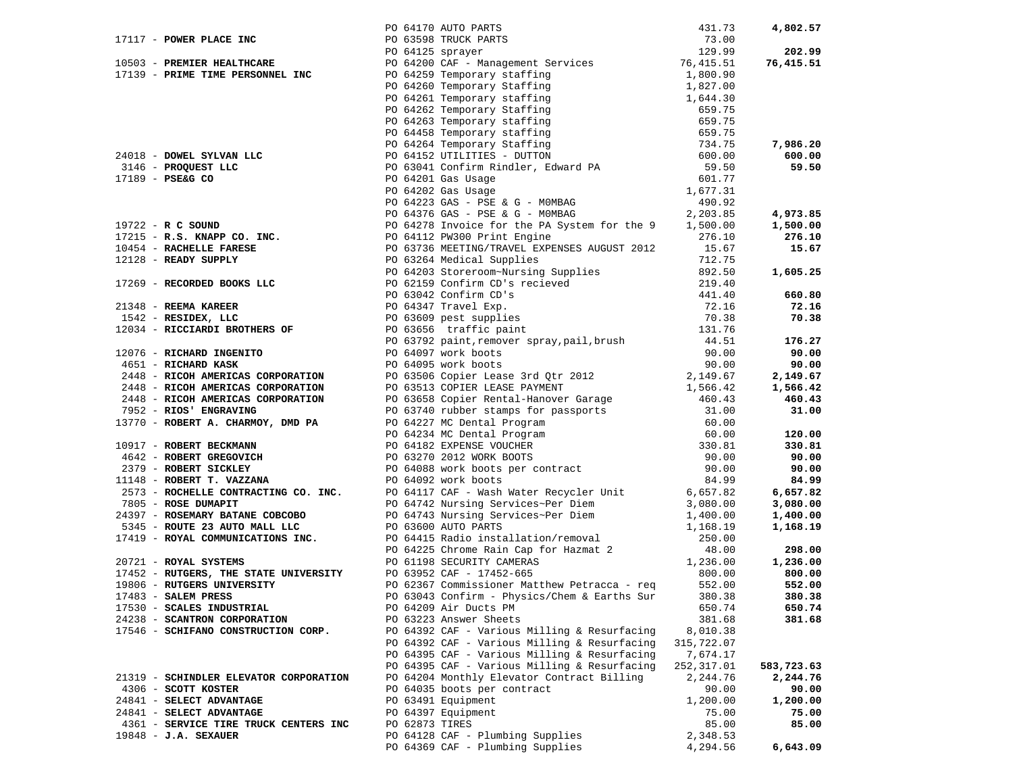|                                        |                |                                                                                                                                                                                                                               |             | 4,802.57   |
|----------------------------------------|----------------|-------------------------------------------------------------------------------------------------------------------------------------------------------------------------------------------------------------------------------|-------------|------------|
|                                        |                |                                                                                                                                                                                                                               |             |            |
|                                        |                |                                                                                                                                                                                                                               |             | 202.99     |
|                                        |                |                                                                                                                                                                                                                               |             | 76,415.51  |
|                                        |                |                                                                                                                                                                                                                               |             |            |
|                                        |                |                                                                                                                                                                                                                               |             |            |
|                                        |                |                                                                                                                                                                                                                               |             |            |
|                                        |                |                                                                                                                                                                                                                               |             |            |
|                                        |                |                                                                                                                                                                                                                               |             |            |
|                                        |                |                                                                                                                                                                                                                               |             |            |
|                                        |                |                                                                                                                                                                                                                               |             |            |
|                                        |                |                                                                                                                                                                                                                               |             | 7,986.20   |
|                                        |                |                                                                                                                                                                                                                               |             | 600.00     |
|                                        |                |                                                                                                                                                                                                                               |             | 59.50      |
|                                        |                |                                                                                                                                                                                                                               |             |            |
|                                        |                |                                                                                                                                                                                                                               |             |            |
|                                        |                |                                                                                                                                                                                                                               |             |            |
|                                        |                |                                                                                                                                                                                                                               |             | 4,973.85   |
|                                        |                |                                                                                                                                                                                                                               |             |            |
|                                        |                |                                                                                                                                                                                                                               |             | 1,500.00   |
|                                        |                |                                                                                                                                                                                                                               |             | 276.10     |
|                                        |                |                                                                                                                                                                                                                               |             | 15.67      |
|                                        |                |                                                                                                                                                                                                                               |             |            |
|                                        |                |                                                                                                                                                                                                                               |             | 1,605.25   |
|                                        |                |                                                                                                                                                                                                                               |             |            |
|                                        |                |                                                                                                                                                                                                                               |             | 660.80     |
|                                        |                |                                                                                                                                                                                                                               |             | 72.16      |
|                                        |                |                                                                                                                                                                                                                               |             | 70.38      |
|                                        |                |                                                                                                                                                                                                                               |             |            |
|                                        |                |                                                                                                                                                                                                                               |             | 176.27     |
|                                        |                |                                                                                                                                                                                                                               |             |            |
|                                        |                |                                                                                                                                                                                                                               |             | 90.00      |
|                                        |                |                                                                                                                                                                                                                               |             | 90.00      |
|                                        |                |                                                                                                                                                                                                                               |             | 2,149.67   |
|                                        |                |                                                                                                                                                                                                                               |             | 1,566.42   |
|                                        |                |                                                                                                                                                                                                                               |             | 460.43     |
|                                        |                |                                                                                                                                                                                                                               |             | 31.00      |
|                                        |                |                                                                                                                                                                                                                               |             |            |
|                                        |                |                                                                                                                                                                                                                               |             | 120.00     |
|                                        |                |                                                                                                                                                                                                                               |             | 330.81     |
|                                        |                |                                                                                                                                                                                                                               |             |            |
|                                        |                |                                                                                                                                                                                                                               |             | 90.00      |
|                                        |                |                                                                                                                                                                                                                               |             | 90.00      |
|                                        |                |                                                                                                                                                                                                                               |             | 84.99      |
|                                        |                |                                                                                                                                                                                                                               |             | 6,657.82   |
|                                        |                |                                                                                                                                                                                                                               |             | 3,080.00   |
|                                        |                |                                                                                                                                                                                                                               |             | 1,400.00   |
|                                        |                |                                                                                                                                                                                                                               |             | 1,168.19   |
|                                        |                |                                                                                                                                                                                                                               |             |            |
|                                        |                |                                                                                                                                                                                                                               |             | 298.00     |
|                                        |                | 17117 - PORTE VIATE THE ROOM (AFT AUTHOR PACK CONTROL 20117 - 2015) 2013 - 2015 - 2015 - 2015 - 2015 - 2015 - 2015 - 2015 - 2015 - 2015 - 2015 - 2015 - 2015 - 2015 - 2015 - 2015 - 2015 - 2015 - 2015 - 2015 - 2015 - 2015 - |             | 1,236.00   |
|                                        |                |                                                                                                                                                                                                                               |             |            |
|                                        |                |                                                                                                                                                                                                                               |             | 800.00     |
|                                        |                |                                                                                                                                                                                                                               |             | 552.00     |
| 17483 - SALEM PRESS                    |                | PO 63043 Confirm - Physics/Chem & Earths Sur 380.38                                                                                                                                                                           |             | 380.38     |
| 17530 - SCALES INDUSTRIAL              |                | PO 64209 Air Ducts PM                                                                                                                                                                                                         | 650.74      | 650.74     |
| 24238 - SCANTRON CORPORATION           |                | PO 63223 Answer Sheets                                                                                                                                                                                                        | 381.68      | 381.68     |
| 17546 - SCHIFANO CONSTRUCTION CORP.    |                | PO 64392 CAF - Various Milling & Resurfacing                                                                                                                                                                                  | 8,010.38    |            |
|                                        |                | PO 64392 CAF - Various Milling & Resurfacing                                                                                                                                                                                  | 315,722.07  |            |
|                                        |                | PO 64395 CAF - Various Milling & Resurfacing                                                                                                                                                                                  | 7,674.17    |            |
|                                        |                | PO 64395 CAF - Various Milling & Resurfacing                                                                                                                                                                                  | 252, 317.01 | 583,723.63 |
| 21319 - SCHINDLER ELEVATOR CORPORATION |                | PO 64204 Monthly Elevator Contract Billing                                                                                                                                                                                    | 2,244.76    | 2,244.76   |
|                                        |                |                                                                                                                                                                                                                               |             |            |
| 4306 - SCOTT KOSTER                    |                | PO 64035 boots per contract                                                                                                                                                                                                   | 90.00       | 90.00      |
| 24841 - SELECT ADVANTAGE               |                | PO 63491 Equipment                                                                                                                                                                                                            | 1,200.00    | 1,200.00   |
| 24841 - SELECT ADVANTAGE               |                | PO 64397 Equipment                                                                                                                                                                                                            | 75.00       | 75.00      |
| 4361 - SERVICE TIRE TRUCK CENTERS INC  | PO 62873 TIRES |                                                                                                                                                                                                                               | 85.00       | 85.00      |
| 19848 - J.A. SEXAUER                   |                | PO 64128 CAF - Plumbing Supplies                                                                                                                                                                                              | 2,348.53    |            |
|                                        |                | PO 64369 CAF - Plumbing Supplies                                                                                                                                                                                              | 4,294.56    | 6,643.09   |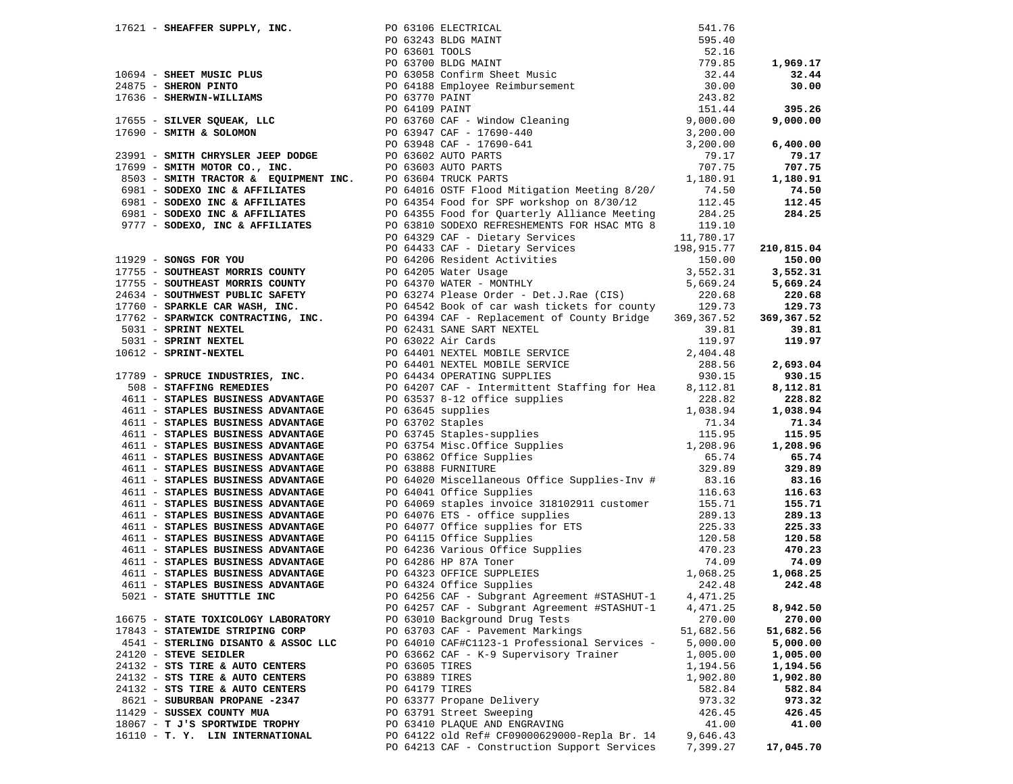|                                     |                | 17674 - SHEMATRA SUPERT, 1972, 1972, 1972, 1972, 1972, 1972, 1972, 1972, 1972, 1972, 1972, 1972, 1972, 1972, 1972, 1972, 1972, 1972, 1972, 1972, 1972, 1972, 1972, 1972, 1972, 1972, 1972, 1972, 1972, 1972, 1972, 1972, 1972 |           |           |
|-------------------------------------|----------------|-------------------------------------------------------------------------------------------------------------------------------------------------------------------------------------------------------------------------------|-----------|-----------|
|                                     |                |                                                                                                                                                                                                                               |           |           |
|                                     |                |                                                                                                                                                                                                                               |           |           |
|                                     |                |                                                                                                                                                                                                                               |           |           |
|                                     |                |                                                                                                                                                                                                                               |           |           |
|                                     |                |                                                                                                                                                                                                                               |           |           |
|                                     |                |                                                                                                                                                                                                                               |           |           |
|                                     |                |                                                                                                                                                                                                                               |           |           |
|                                     |                |                                                                                                                                                                                                                               |           |           |
|                                     |                |                                                                                                                                                                                                                               |           |           |
|                                     |                |                                                                                                                                                                                                                               |           |           |
|                                     |                |                                                                                                                                                                                                                               |           |           |
|                                     |                |                                                                                                                                                                                                                               |           |           |
|                                     |                |                                                                                                                                                                                                                               |           |           |
|                                     |                |                                                                                                                                                                                                                               |           |           |
|                                     |                |                                                                                                                                                                                                                               |           |           |
|                                     |                |                                                                                                                                                                                                                               |           |           |
|                                     |                |                                                                                                                                                                                                                               |           |           |
|                                     |                |                                                                                                                                                                                                                               |           |           |
|                                     |                | PO 64257 CAF - Subgrant Agreement #STASHUT-1                                                                                                                                                                                  | 4,471.25  | 8,942.50  |
| 16675 - STATE TOXICOLOGY LABORATORY |                | PO 63010 Background Drug Tests                                                                                                                                                                                                | 270.00    | 270.00    |
| 17843 - STATEWIDE STRIPING CORP     |                | PO 63703 CAF - Pavement Markings                                                                                                                                                                                              | 51,682.56 | 51,682.56 |
| 4541 - STERLING DISANTO & ASSOC LLC |                | PO 64010 CAF#C1123-1 Professional Services -                                                                                                                                                                                  | 5,000.00  | 5,000.00  |
| 24120 - STEVE SEIDLER               |                | PO 63662 CAF - K-9 Supervisory Trainer                                                                                                                                                                                        | 1,005.00  | 1,005.00  |
| 24132 - STS TIRE & AUTO CENTERS     | PO 63605 TIRES |                                                                                                                                                                                                                               | 1,194.56  | 1,194.56  |
| 24132 - STS TIRE & AUTO CENTERS     | PO 63889 TIRES |                                                                                                                                                                                                                               | 1,902.80  | 1,902.80  |
| 24132 - STS TIRE & AUTO CENTERS     | PO 64179 TIRES |                                                                                                                                                                                                                               | 582.84    | 582.84    |
| 8621 - SUBURBAN PROPANE -2347       |                | PO 63377 Propane Delivery                                                                                                                                                                                                     | 973.32    | 973.32    |
| 11429 - SUSSEX COUNTY MUA           |                | PO 63791 Street Sweeping                                                                                                                                                                                                      | 426.45    | 426.45    |
| 18067 - T J'S SPORTWIDE TROPHY      |                | PO 63410 PLAQUE AND ENGRAVING                                                                                                                                                                                                 | 41.00     | 41.00     |
| 16110 - T. Y. LIN INTERNATIONAL     |                | PO 64122 old Ref# CF09000629000-Repla Br. 14                                                                                                                                                                                  | 9,646.43  |           |
|                                     |                | PO 64213 CAF - Construction Support Services                                                                                                                                                                                  | 7,399.27  | 17,045.70 |
|                                     |                |                                                                                                                                                                                                                               |           |           |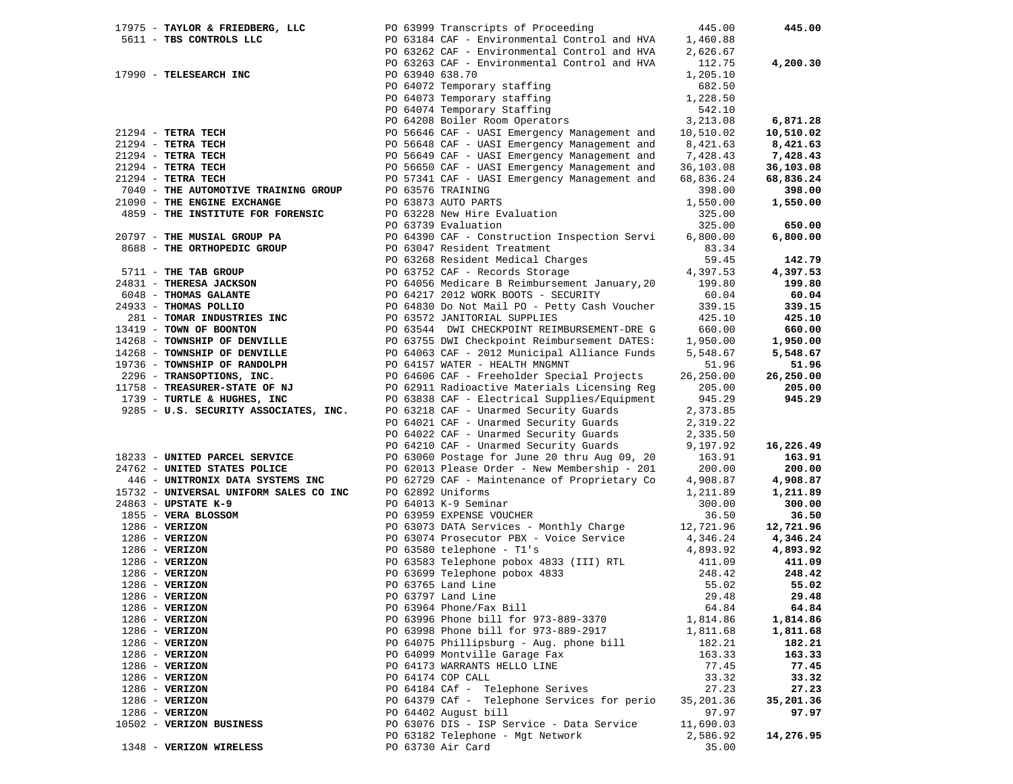|  | 17975 - TAYLOR & FRIEDBERG, LLC PO 63999 Transcripts of Proceeding                                                                                         |                 |                                                            | 445.00               | 445.00           |
|--|------------------------------------------------------------------------------------------------------------------------------------------------------------|-----------------|------------------------------------------------------------|----------------------|------------------|
|  | 5611 - TBS CONTROLS LLC                                                                                                                                    |                 | PO 63184 CAF - Environmental Control and HVA               | 1,460.88             |                  |
|  |                                                                                                                                                            |                 | PO 63262 CAF - Environmental Control and HVA               | 2,626.67             |                  |
|  |                                                                                                                                                            |                 | PO 63263 CAF - Environmental Control and HVA               | 112.75               | 4,200.30         |
|  | 17990 - TELESEARCH INC                                                                                                                                     | PO 63940 638.70 |                                                            | 1,205.10             |                  |
|  |                                                                                                                                                            |                 |                                                            | 682.50               |                  |
|  |                                                                                                                                                            |                 | PO 64072 Temporary staffing<br>PO 64073 Temporary staffing | 1,228.50             |                  |
|  |                                                                                                                                                            |                 | PO 64074 Temporary Staffing                                | 542.10               |                  |
|  |                                                                                                                                                            |                 | PO 64208 Boiler Room Operators                             | 3,213.08             | 6,871.28         |
|  | 21294 - TETRA TECH                                                                                                                                         |                 | PO 56646 CAF - UASI Emergency Management and               | 10,510.02            | 10,510.02        |
|  | $21294$ - TETRA TECH                                                                                                                                       |                 | PO 56648 CAF - UASI Emergency Management and               | 8,421.63             | 8,421.63         |
|  | $21294$ - TETRA TECH                                                                                                                                       |                 | PO 56649 CAF - UASI Emergency Management and               | 7,428.43             | 7,428.43         |
|  |                                                                                                                                                            |                 |                                                            |                      |                  |
|  | $21294$ - TETRA TECH                                                                                                                                       |                 | PO 56650 CAF - UASI Emergency Management and               | 36,103.08            | 36,103.08        |
|  | $21294$ - TETRA TECH                                                                                                                                       |                 | PO 57341 CAF - UASI Emergency Management and               | 68,836.24            | 68,836.24        |
|  | 7040 - THE AUTOMOTIVE TRAINING GROUP                                                                                                                       |                 | PO 63576 TRAINING                                          | 398.00               | 398.00           |
|  | 21090 - THE ENGINE EXCHANGE                                                                                                                                |                 | PO 63873 AUTO PARTS                                        | 1,550.00             | 1,550.00         |
|  | 4859 - THE INSTITUTE FOR FORENSIC                                                                                                                          |                 | PO 63228 New Hire Evaluation                               | 325.00               |                  |
|  |                                                                                                                                                            |                 | PO 63739 Evaluation                                        | 325.00               | 650.00           |
|  | 20797 - THE MUSIAL GROUP PA                                                                                                                                |                 | PO 64390 CAF - Construction Inspection Servi               | 6,800.00             | 6,800.00         |
|  | 8688 - THE ORTHOPEDIC GROUP                                                                                                                                |                 | PO 63047 Resident Treatment                                | 83.34                |                  |
|  |                                                                                                                                                            |                 | PO 63268 Resident Medical Charges                          | 59.45                | 142.79           |
|  | 5711 - THE TAB GROUP<br>24831 - THERESA JACKSON<br>6048 - THOMAS GALANTE<br>24933 - THOMAS POLLIO<br>281 - TOMAR INDUSTRIES INC<br>2419 - TOMAR OF BOONTON |                 | PO 63752 CAF - Records Storage                             | 4,397.53             | 4,397.53         |
|  | 24831 - THERESA JACKSON                                                                                                                                    |                 | PO 64056 Medicare B Reimbursement January, 20              | 199.80               | 199.80           |
|  |                                                                                                                                                            |                 | PO 64217 2012 WORK BOOTS - SECURITY                        | 60.04                | 60.04            |
|  | 24933 - THOMAS POLLIO                                                                                                                                      |                 | PO 64830 Do Not Mail PO - Petty Cash Voucher               | 339.15               | 339.15           |
|  |                                                                                                                                                            |                 | PO 63572 JANITORIAL SUPPLIES                               | 425.10               | 425.10           |
|  | 13419 - TOWN OF BOONTON                                                                                                                                    |                 | PO 63544 DWI CHECKPOINT REIMBURSEMENT-DRE G                | 660.00               | 660.00           |
|  | 14268 - TOWNSHIP OF DENVILLE                                                                                                                               |                 |                                                            |                      | 1,950.00         |
|  |                                                                                                                                                            |                 | PO 63755 DWI Checkpoint Reimbursement DATES:               | 1,950.00<br>5,548.67 | 5,548.67         |
|  | 14268 - TOWNSHIP OF DENVILLE                                                                                                                               |                 | PO 64063 CAF - 2012 Municipal Alliance Funds               |                      |                  |
|  | 19736 - TOWNSHIP OF RANDOLPH                                                                                                                               |                 | PO 64157 WATER - HEALTH MNGMNT                             | 51.96                | 51.96            |
|  | 2296 - TRANSOPTIONS, INC.                                                                                                                                  |                 | PO 64606 CAF - Freeholder Special Projects                 | 26,250.00            | 26,250.00        |
|  | 11758 - TREASURER-STATE OF NJ                                                                                                                              |                 | PO 62911 Radioactive Materials Licensing Reg               | 205.00               | 205.00           |
|  | 1739 - TURTLE & HUGHES, INC                                                                                                                                |                 | PO 63838 CAF - Electrical Supplies/Equipment               | 945.29               | 945.29           |
|  | 9285 - U.S. SECURITY ASSOCIATES, INC.                                                                                                                      |                 | PO 63218 CAF - Unarmed Security Guards                     | 2,373.85             |                  |
|  |                                                                                                                                                            |                 | PO 64021 CAF - Unarmed Security Guards                     | 2,319.22             |                  |
|  |                                                                                                                                                            |                 | PO 64022 CAF - Unarmed Security Guards                     | 2,335.50             |                  |
|  |                                                                                                                                                            |                 | PO 64210 CAF - Unarmed Security Guards                     | 9,197.92             | 16,226.49        |
|  | 18233 - UNITED PARCEL SERVICE                                                                                                                              |                 | PO 63060 Postage for June 20 thru Aug 09, 20               | 163.91               | 163.91           |
|  | 24762 - UNITED STATES POLICE                                                                                                                               |                 | PO 62013 Please Order - New Membership - 201               | 200.00               | 200.00           |
|  | 446 - UNITRONIX DATA SYSTEMS INC                                                                                                                           |                 | PO 62729 CAF - Maintenance of Proprietary Co               | 4,908.87             | 4,908.87         |
|  | 15732 - UNIVERSAL UNIFORM SALES CO INC                                                                                                                     |                 | PO 62892 Uniforms                                          | 1,211.89             | 1,211.89         |
|  | 24863 - UPSTATE K-9                                                                                                                                        |                 | PO 64013 K-9 Seminar                                       | 300.00               | 300.00           |
|  | 1855 - VERA BLOSSOM                                                                                                                                        |                 | PO 63959 EXPENSE VOUCHER                                   | 36.50                | 36.50            |
|  | $1286$ - VERIZON                                                                                                                                           |                 | PO 63073 DATA Services - Monthly Charge                    | 12,721.96            | 12,721.96        |
|  | $1286$ - VERIZON                                                                                                                                           |                 | PO 63074 Prosecutor PBX - Voice Service                    | 4,346.24             | 4,346.24         |
|  | $1286 - VERIZON$                                                                                                                                           |                 | PO 63580 telephone - Tl's                                  | 4,893.92             | 4,893.92         |
|  |                                                                                                                                                            |                 |                                                            |                      |                  |
|  | $1286 - VERIZON$                                                                                                                                           |                 | PO 63583 Telephone pobox 4833 (III) RTL                    | 411.09               | 411.09<br>248.42 |
|  | $1286$ - VERIZON                                                                                                                                           |                 | PO 63699 Telephone pobox 4833                              | 248.42               |                  |
|  | $1286$ - VERIZON                                                                                                                                           |                 | PO 63765 Land Line                                         | 55.02                | 55.02            |
|  | $1286$ - VERIZON                                                                                                                                           |                 | PO 63797 Land Line                                         | 29.48                | 29.48            |
|  | $1286$ - VERIZON                                                                                                                                           |                 | PO 63964 Phone/Fax Bill                                    | 64.84                | 64.84            |
|  | $1286$ - VERIZON                                                                                                                                           |                 | PO 63996 Phone bill for 973-889-3370                       | 1,814.86             | 1,814.86         |
|  | $1286$ - VERIZON                                                                                                                                           |                 | PO 63998 Phone bill for 973-889-2917                       | 1,811.68             | 1,811.68         |
|  | $1286 - VERIZON$                                                                                                                                           |                 | PO 64075 Phillipsburg - Aug. phone bill                    | 182.21               | 182.21           |
|  | $1286 - VERIZON$                                                                                                                                           |                 | PO 64099 Montville Garage Fax                              | 163.33               | 163.33           |
|  | $1286 - VERIZON$                                                                                                                                           |                 | PO 64173 WARRANTS HELLO LINE                               | 77.45                | 77.45            |
|  | $1286$ - VERIZON                                                                                                                                           |                 | PO 64174 COP CALL                                          | 33.32                | 33.32            |
|  | $1286$ - VERIZON                                                                                                                                           |                 | PO 64184 CAf - Telephone Serives                           | 27.23                | 27.23            |
|  | $1286$ - VERIZON                                                                                                                                           |                 | PO 64379 CAf - Telephone Services for perio                | 35,201.36            | 35,201.36        |
|  | $1286$ - VERIZON                                                                                                                                           |                 | PO 64402 August bill                                       | 97.97                | 97.97            |
|  | 10502 - VERIZON BUSINESS                                                                                                                                   |                 | PO 63076 DIS - ISP Service - Data Service                  | 11,690.03            |                  |
|  |                                                                                                                                                            |                 | PO 63182 Telephone - Mgt Network                           | 2,586.92             | 14,276.95        |
|  | 1348 - VERIZON WIRELESS                                                                                                                                    |                 | PO 63730 Air Card                                          | 35.00                |                  |
|  |                                                                                                                                                            |                 |                                                            |                      |                  |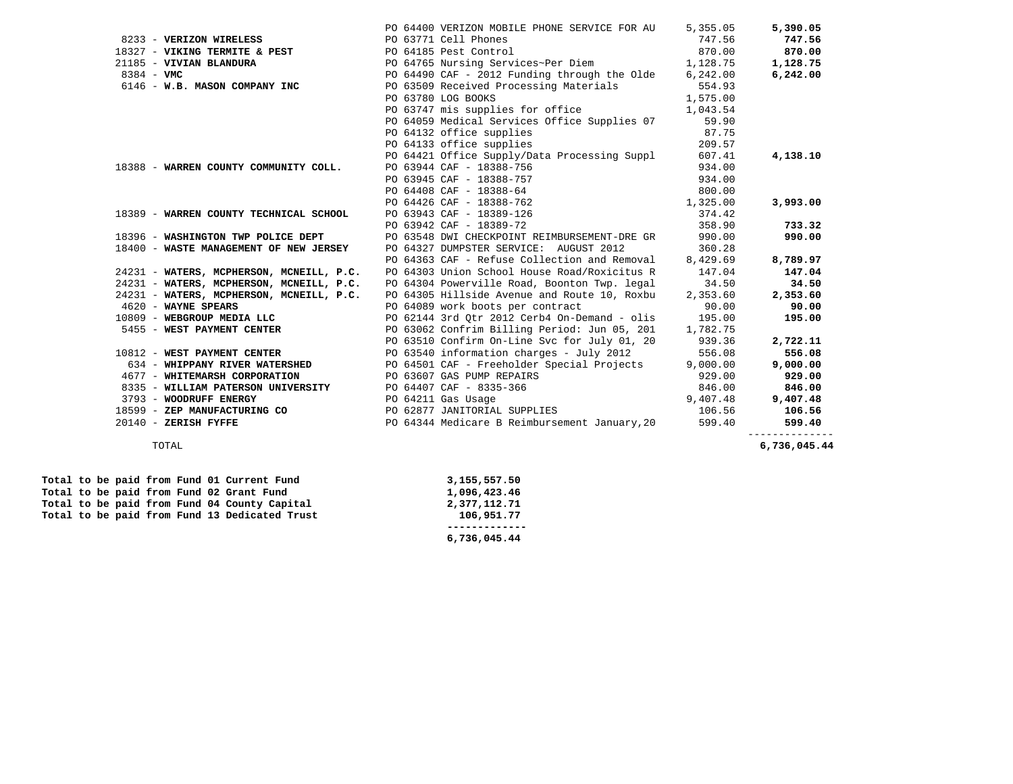| 8233 - VERIZON WIRELESS<br>18327 - VIKING TERMITE & PEST<br>19327 - VIKING TERMITE & PEST<br>194765 Mursing Servi<br>0233 - VERIZON WIRELESS 6 233 - VERIZON WIRELESS 6 233 - VERING TERMITE & PEST 6 21185 - 21185 - 21185 - 21185<br>21185 - VIVIAN BLANDURA 21185 - 21185 - 21187 - 21185 - 21187 - 21185 - 21187 - 21188 - 21188 - 21188 - 21188<br>$8384 - VMC$<br>PO $64490$ CAF - 2012 Funding through the Olde $6,242.00$<br>6146 - W.B. MASON COMPANY INC<br>PO 63509 Received Processing Materials<br>1,575.00<br>PO 63780 LOG BOOKS<br>PO 63747 mis supplies for office 1,043.54<br>PO 64059 Medical Services Office Supplies 07<br>PO 64132 office supplies<br>PO 64133 office supplies<br>PO 64421 Office Supply/Data Processing Suppl 607.41<br>18388 - WARREN COUNTY COMMUNITY COLL.<br>PO 63943 CAF - 18389-126<br>PO 63942 CAF - 18389-72<br>18389 - WARREN COUNTY TECHNICAL SCHOOL<br>PO 63548 DWI CHECKPOINT REIMBURSEMENT-DRE GR 990.00<br>18396 - WASHINGTON TWP POLICE DEPT<br>360.28<br>18400 - WASTE MANAGEMENT OF NEW JERSEY<br>PO 64327 DUMPSTER SERVICE: AUGUST 2012<br>PO 64363 CAF - Refuse Collection and Removal 8,429.69<br>24231 - WATERS, MCPHERSON, MCNEILL, P.C. PO 64303 Union School House Road/Roxicitus R<br>24231 - WATERS, MCPHERSON, MCNEILL, P.C. PO 64304 Powerville Road, Boonton Twp. legal | 747.56<br>554.93<br>59.90<br>87.75<br>209.57<br>934.00 | 747.56<br>870.00<br>1,128.75<br>6,242.00<br>4,138.10 |
|--------------------------------------------------------------------------------------------------------------------------------------------------------------------------------------------------------------------------------------------------------------------------------------------------------------------------------------------------------------------------------------------------------------------------------------------------------------------------------------------------------------------------------------------------------------------------------------------------------------------------------------------------------------------------------------------------------------------------------------------------------------------------------------------------------------------------------------------------------------------------------------------------------------------------------------------------------------------------------------------------------------------------------------------------------------------------------------------------------------------------------------------------------------------------------------------------------------------------------------------------------------------------------------------------------------------------------------------|--------------------------------------------------------|------------------------------------------------------|
|                                                                                                                                                                                                                                                                                                                                                                                                                                                                                                                                                                                                                                                                                                                                                                                                                                                                                                                                                                                                                                                                                                                                                                                                                                                                                                                                            |                                                        |                                                      |
|                                                                                                                                                                                                                                                                                                                                                                                                                                                                                                                                                                                                                                                                                                                                                                                                                                                                                                                                                                                                                                                                                                                                                                                                                                                                                                                                            |                                                        |                                                      |
|                                                                                                                                                                                                                                                                                                                                                                                                                                                                                                                                                                                                                                                                                                                                                                                                                                                                                                                                                                                                                                                                                                                                                                                                                                                                                                                                            |                                                        |                                                      |
|                                                                                                                                                                                                                                                                                                                                                                                                                                                                                                                                                                                                                                                                                                                                                                                                                                                                                                                                                                                                                                                                                                                                                                                                                                                                                                                                            |                                                        |                                                      |
|                                                                                                                                                                                                                                                                                                                                                                                                                                                                                                                                                                                                                                                                                                                                                                                                                                                                                                                                                                                                                                                                                                                                                                                                                                                                                                                                            |                                                        |                                                      |
|                                                                                                                                                                                                                                                                                                                                                                                                                                                                                                                                                                                                                                                                                                                                                                                                                                                                                                                                                                                                                                                                                                                                                                                                                                                                                                                                            |                                                        |                                                      |
|                                                                                                                                                                                                                                                                                                                                                                                                                                                                                                                                                                                                                                                                                                                                                                                                                                                                                                                                                                                                                                                                                                                                                                                                                                                                                                                                            |                                                        |                                                      |
|                                                                                                                                                                                                                                                                                                                                                                                                                                                                                                                                                                                                                                                                                                                                                                                                                                                                                                                                                                                                                                                                                                                                                                                                                                                                                                                                            |                                                        |                                                      |
|                                                                                                                                                                                                                                                                                                                                                                                                                                                                                                                                                                                                                                                                                                                                                                                                                                                                                                                                                                                                                                                                                                                                                                                                                                                                                                                                            |                                                        |                                                      |
|                                                                                                                                                                                                                                                                                                                                                                                                                                                                                                                                                                                                                                                                                                                                                                                                                                                                                                                                                                                                                                                                                                                                                                                                                                                                                                                                            |                                                        |                                                      |
|                                                                                                                                                                                                                                                                                                                                                                                                                                                                                                                                                                                                                                                                                                                                                                                                                                                                                                                                                                                                                                                                                                                                                                                                                                                                                                                                            |                                                        |                                                      |
|                                                                                                                                                                                                                                                                                                                                                                                                                                                                                                                                                                                                                                                                                                                                                                                                                                                                                                                                                                                                                                                                                                                                                                                                                                                                                                                                            |                                                        |                                                      |
|                                                                                                                                                                                                                                                                                                                                                                                                                                                                                                                                                                                                                                                                                                                                                                                                                                                                                                                                                                                                                                                                                                                                                                                                                                                                                                                                            |                                                        |                                                      |
|                                                                                                                                                                                                                                                                                                                                                                                                                                                                                                                                                                                                                                                                                                                                                                                                                                                                                                                                                                                                                                                                                                                                                                                                                                                                                                                                            |                                                        |                                                      |
|                                                                                                                                                                                                                                                                                                                                                                                                                                                                                                                                                                                                                                                                                                                                                                                                                                                                                                                                                                                                                                                                                                                                                                                                                                                                                                                                            |                                                        | 3,993.00                                             |
|                                                                                                                                                                                                                                                                                                                                                                                                                                                                                                                                                                                                                                                                                                                                                                                                                                                                                                                                                                                                                                                                                                                                                                                                                                                                                                                                            | 374.42                                                 |                                                      |
|                                                                                                                                                                                                                                                                                                                                                                                                                                                                                                                                                                                                                                                                                                                                                                                                                                                                                                                                                                                                                                                                                                                                                                                                                                                                                                                                            | 358.90                                                 | 733.32                                               |
|                                                                                                                                                                                                                                                                                                                                                                                                                                                                                                                                                                                                                                                                                                                                                                                                                                                                                                                                                                                                                                                                                                                                                                                                                                                                                                                                            |                                                        | 990.00                                               |
|                                                                                                                                                                                                                                                                                                                                                                                                                                                                                                                                                                                                                                                                                                                                                                                                                                                                                                                                                                                                                                                                                                                                                                                                                                                                                                                                            |                                                        |                                                      |
|                                                                                                                                                                                                                                                                                                                                                                                                                                                                                                                                                                                                                                                                                                                                                                                                                                                                                                                                                                                                                                                                                                                                                                                                                                                                                                                                            |                                                        | 8,789.97                                             |
|                                                                                                                                                                                                                                                                                                                                                                                                                                                                                                                                                                                                                                                                                                                                                                                                                                                                                                                                                                                                                                                                                                                                                                                                                                                                                                                                            | 147.04                                                 | 147.04                                               |
|                                                                                                                                                                                                                                                                                                                                                                                                                                                                                                                                                                                                                                                                                                                                                                                                                                                                                                                                                                                                                                                                                                                                                                                                                                                                                                                                            | 34.50                                                  | 34.50                                                |
| PO 64305 Hillside Avenue and Route 10, Roxbu<br>24231 - WATERS, MCPHERSON, MCNEILL, P.C.                                                                                                                                                                                                                                                                                                                                                                                                                                                                                                                                                                                                                                                                                                                                                                                                                                                                                                                                                                                                                                                                                                                                                                                                                                                   | 2,353.60                                               | 2,353.60                                             |
| PO 64089 work boots per contract<br>4620 - WAYNE SPEARS                                                                                                                                                                                                                                                                                                                                                                                                                                                                                                                                                                                                                                                                                                                                                                                                                                                                                                                                                                                                                                                                                                                                                                                                                                                                                    | 90.00                                                  | 90.00                                                |
| PO 62144 3rd Otr 2012 Cerb4 On-Demand - olis 195.00<br>10809 - WEBGROUP MEDIA LLC                                                                                                                                                                                                                                                                                                                                                                                                                                                                                                                                                                                                                                                                                                                                                                                                                                                                                                                                                                                                                                                                                                                                                                                                                                                          |                                                        | 195.00                                               |
| PO 63062 Confrim Billing Period: Jun 05, 201 1,782.75<br>5455 - WEST PAYMENT CENTER                                                                                                                                                                                                                                                                                                                                                                                                                                                                                                                                                                                                                                                                                                                                                                                                                                                                                                                                                                                                                                                                                                                                                                                                                                                        |                                                        |                                                      |
| PO 63510 Confirm On-Line Svc for July 01, 20 939.36                                                                                                                                                                                                                                                                                                                                                                                                                                                                                                                                                                                                                                                                                                                                                                                                                                                                                                                                                                                                                                                                                                                                                                                                                                                                                        |                                                        | 2,722.11                                             |
| 10812 - WEST PAYMENT CENTER PO 63540 information charges - July 2012                                                                                                                                                                                                                                                                                                                                                                                                                                                                                                                                                                                                                                                                                                                                                                                                                                                                                                                                                                                                                                                                                                                                                                                                                                                                       | 556.08                                                 | 556.08                                               |
| 634 - WHIPPANY RIVER WATERSHED PO 64501 CAF - Freeholder Special Projects                                                                                                                                                                                                                                                                                                                                                                                                                                                                                                                                                                                                                                                                                                                                                                                                                                                                                                                                                                                                                                                                                                                                                                                                                                                                  | 9,000.00                                               | 9,000.00                                             |
| 4677 - WHITEMARSH CORPORATION<br>8335 - WILLIAM PATERSON UNIVERSITY<br>3793 - WOODRUFF ENERGY<br>18599 - ZEP MANUFACTURING CO<br>18599 - ZEP MANUFACTURING CO<br>20 062877 JANITORIAL SUPPLIES                                                                                                                                                                                                                                                                                                                                                                                                                                                                                                                                                                                                                                                                                                                                                                                                                                                                                                                                                                                                                                                                                                                                             | 929.00                                                 | 929.00                                               |
|                                                                                                                                                                                                                                                                                                                                                                                                                                                                                                                                                                                                                                                                                                                                                                                                                                                                                                                                                                                                                                                                                                                                                                                                                                                                                                                                            | 846.00                                                 | 846.00                                               |
|                                                                                                                                                                                                                                                                                                                                                                                                                                                                                                                                                                                                                                                                                                                                                                                                                                                                                                                                                                                                                                                                                                                                                                                                                                                                                                                                            | 9,407.48                                               | 9,407.48                                             |
|                                                                                                                                                                                                                                                                                                                                                                                                                                                                                                                                                                                                                                                                                                                                                                                                                                                                                                                                                                                                                                                                                                                                                                                                                                                                                                                                            | 106.56                                                 | 106.56                                               |
| PO 64344 Medicare B Reimbursement January, 20<br>$20140$ - ZERISH FYFFE                                                                                                                                                                                                                                                                                                                                                                                                                                                                                                                                                                                                                                                                                                                                                                                                                                                                                                                                                                                                                                                                                                                                                                                                                                                                    | 599.40                                                 | 599.40                                               |

 **------------- 6,736,045.44** 

 **Total to be paid from Fund 01 Current Fund 3,155,557.50 Total to be paid from Fund 02 Grant Fund 1,096,423.46**<br> **Total to be paid from Fund 04 County Capital 2,377,112.71** Total to be paid from Fund 04 County Capital  **Total to be paid from Fund 13 Dedicated Trust 106,951.77** 

6,736,045.44 TOTAL **6,736,045.44**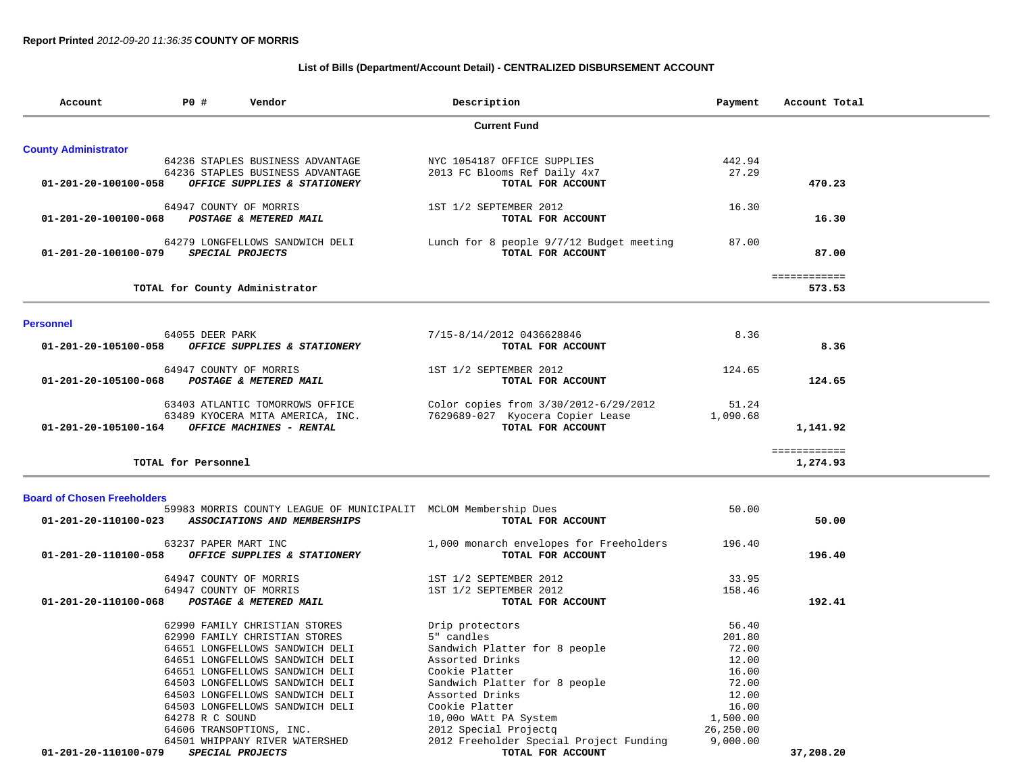# **List of Bills (Department/Account Detail) - CENTRALIZED DISBURSEMENT ACCOUNT**

| Account                            | <b>PO #</b><br>Description<br>Vendor |                                                                                                 |                                                               | Payment         | Account Total            |
|------------------------------------|--------------------------------------|-------------------------------------------------------------------------------------------------|---------------------------------------------------------------|-----------------|--------------------------|
|                                    |                                      |                                                                                                 | <b>Current Fund</b>                                           |                 |                          |
| <b>County Administrator</b>        |                                      |                                                                                                 |                                                               |                 |                          |
|                                    |                                      | 64236 STAPLES BUSINESS ADVANTAGE<br>64236 STAPLES BUSINESS ADVANTAGE                            | NYC 1054187 OFFICE SUPPLIES<br>2013 FC Blooms Ref Daily 4x7   | 442.94<br>27.29 |                          |
| 01-201-20-100100-058               |                                      | OFFICE SUPPLIES & STATIONERY                                                                    | TOTAL FOR ACCOUNT                                             |                 | 470.23                   |
|                                    |                                      | 64947 COUNTY OF MORRIS                                                                          | 1ST 1/2 SEPTEMBER 2012                                        | 16.30           |                          |
| 01-201-20-100100-068               |                                      | POSTAGE & METERED MAIL                                                                          | TOTAL FOR ACCOUNT                                             |                 | 16.30                    |
| 01-201-20-100100-079               |                                      | 64279 LONGFELLOWS SANDWICH DELI<br>SPECIAL PROJECTS                                             | Lunch for 8 people 9/7/12 Budget meeting<br>TOTAL FOR ACCOUNT | 87.00           | 87.00                    |
|                                    |                                      | TOTAL for County Administrator                                                                  |                                                               |                 | ============<br>573.53   |
| <b>Personnel</b>                   |                                      |                                                                                                 |                                                               |                 |                          |
|                                    | 64055 DEER PARK                      |                                                                                                 | 7/15-8/14/2012 0436628846                                     | 8.36            |                          |
| 01-201-20-105100-058               |                                      | OFFICE SUPPLIES & STATIONERY                                                                    | TOTAL FOR ACCOUNT                                             |                 | 8.36                     |
| 01-201-20-105100-068               |                                      | 64947 COUNTY OF MORRIS<br>POSTAGE & METERED MAIL                                                | 1ST 1/2 SEPTEMBER 2012<br>TOTAL FOR ACCOUNT                   | 124.65          | 124.65                   |
|                                    |                                      | 63403 ATLANTIC TOMORROWS OFFICE                                                                 | Color copies from 3/30/2012-6/29/2012                         | 51.24           |                          |
| 01-201-20-105100-164               |                                      | 63489 KYOCERA MITA AMERICA, INC.<br>OFFICE MACHINES - RENTAL                                    | 7629689-027 Kyocera Copier Lease<br>TOTAL FOR ACCOUNT         | 1,090.68        | 1,141.92                 |
|                                    | TOTAL for Personnel                  |                                                                                                 |                                                               |                 | ============<br>1,274.93 |
| <b>Board of Chosen Freeholders</b> |                                      |                                                                                                 |                                                               |                 |                          |
| 01-201-20-110100-023               |                                      | 59983 MORRIS COUNTY LEAGUE OF MUNICIPALIT MCLOM Membership Dues<br>ASSOCIATIONS AND MEMBERSHIPS | TOTAL FOR ACCOUNT                                             | 50.00           | 50.00                    |
| 01-201-20-110100-058               | 63237 PAPER MART INC                 | OFFICE SUPPLIES & STATIONERY                                                                    | 1,000 monarch envelopes for Freeholders<br>TOTAL FOR ACCOUNT  | 196.40          | 196.40                   |
|                                    |                                      | 64947 COUNTY OF MORRIS<br>64947 COUNTY OF MORRIS                                                | 1ST 1/2 SEPTEMBER 2012<br>1ST 1/2 SEPTEMBER 2012              | 33.95<br>158.46 |                          |

| 01910201111 01 1101011<br>01-201-20-110100-068<br>POSTAGE & METERED MAIL | TOTAL FOR ACCOUNT             | <b>_____</b><br>192.41 |
|--------------------------------------------------------------------------|-------------------------------|------------------------|
| 62990 FAMILY CHRISTIAN STORES                                            | Drip protectors               | 56.40                  |
| 62990 FAMILY CHRISTIAN STORES                                            | 5" candles                    | 201.80                 |
| 64651 LONGFELLOWS SANDWICH DELI                                          | Sandwich Platter for 8 people | 72.00                  |
| 64651 LONGFELLOWS SANDWICH DELI                                          | Assorted Drinks               | 12.00                  |
| 64651 LONGFELLOWS SANDWICH DELI                                          | Cookie Platter                | 16.00                  |
| 64503 LONGFELLOWS SANDWICH DELI                                          | Sandwich Platter for 8 people | 72.00                  |
| 64503 LONGFELLOWS SANDWICH DELI                                          | Assorted Drinks               | 12.00                  |

| 1ST 1/2 SEPTEMBER 2012                  | 33.95     |        |
|-----------------------------------------|-----------|--------|
| 1ST 1/2 SEPTEMBER 2012                  | 158.46    |        |
| TOTAL FOR ACCOUNT                       |           | 192.41 |
| Drip protectors                         | 56.40     |        |
| 5" candles                              | 201.80    |        |
| Sandwich Platter for 8 people           | 72.00     |        |
| Assorted Drinks                         | 12.00     |        |
| Cookie Platter                          | 16.00     |        |
| Sandwich Platter for 8 people           | 72.00     |        |
| Assorted Drinks                         | 12.00     |        |
| Cookie Platter                          | 16.00     |        |
| 10,00o WAtt PA System                   | 1,500.00  |        |
| 2012 Special Projectg                   | 26,250.00 |        |
| 2012 Freeholder Special Project Funding | 9,000.00  |        |
|                                         |           |        |

64606 TRANSOPTIONS, INC. 2012<br>64501 WHIPPANY RIVER WATERSHED 20 64501 WHIPPANY RIVER WATERSHED  **01-201-20-110100-079** *SPECIAL PROJECTS* **TOTAL FOR ACCOUNT 37,208.20**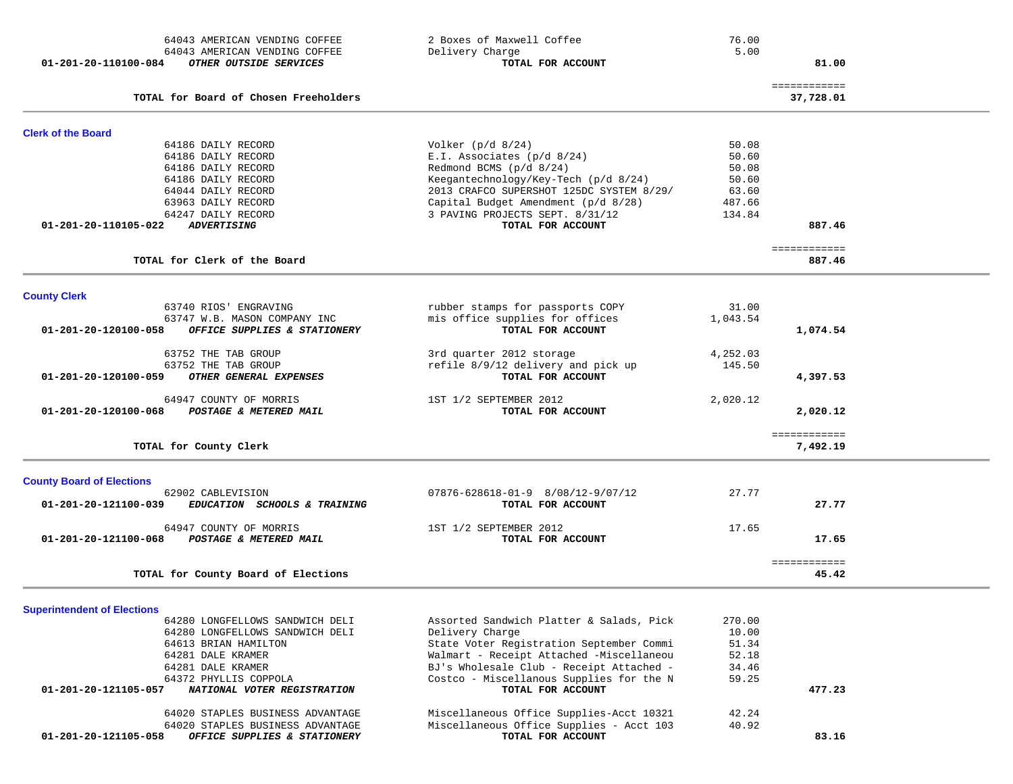| 64043 AMERICAN VENDING COFFEE                                                   | 2 Boxes of Maxwell Coffee                            | 76.00    |                           |  |
|---------------------------------------------------------------------------------|------------------------------------------------------|----------|---------------------------|--|
| 64043 AMERICAN VENDING COFFEE<br>OTHER OUTSIDE SERVICES<br>01-201-20-110100-084 | Delivery Charge<br>TOTAL FOR ACCOUNT                 | 5.00     | 81.00                     |  |
|                                                                                 |                                                      |          |                           |  |
| TOTAL for Board of Chosen Freeholders                                           |                                                      |          | ============<br>37,728.01 |  |
| <b>Clerk of the Board</b>                                                       |                                                      |          |                           |  |
| 64186 DAILY RECORD                                                              | Volker $(p/d \ 8/24)$                                | 50.08    |                           |  |
| 64186 DAILY RECORD                                                              | E.I. Associates (p/d 8/24)                           | 50.60    |                           |  |
| 64186 DAILY RECORD                                                              | Redmond BCMS (p/d 8/24)                              | 50.08    |                           |  |
| 64186 DAILY RECORD                                                              | Keegantechnology/Key-Tech (p/d 8/24)                 | 50.60    |                           |  |
| 64044 DAILY RECORD                                                              | 2013 CRAFCO SUPERSHOT 125DC SYSTEM 8/29/             | 63.60    |                           |  |
| 63963 DAILY RECORD                                                              | Capital Budget Amendment (p/d 8/28)                  | 487.66   |                           |  |
| 64247 DAILY RECORD<br><b>ADVERTISING</b><br>01-201-20-110105-022                | 3 PAVING PROJECTS SEPT. 8/31/12<br>TOTAL FOR ACCOUNT | 134.84   | 887.46                    |  |
|                                                                                 |                                                      |          |                           |  |
| TOTAL for Clerk of the Board                                                    |                                                      |          | ============<br>887.46    |  |
| <b>County Clerk</b>                                                             |                                                      |          |                           |  |
| 63740 RIOS' ENGRAVING                                                           | rubber stamps for passports COPY                     | 31.00    |                           |  |
| 63747 W.B. MASON COMPANY INC                                                    | mis office supplies for offices                      | 1,043.54 |                           |  |
| OFFICE SUPPLIES & STATIONERY<br>01-201-20-120100-058                            | TOTAL FOR ACCOUNT                                    |          | 1,074.54                  |  |
| 63752 THE TAB GROUP                                                             | 3rd quarter 2012 storage                             | 4,252.03 |                           |  |
| 63752 THE TAB GROUP                                                             | refile 8/9/12 delivery and pick up                   | 145.50   |                           |  |
| 01-201-20-120100-059<br>OTHER GENERAL EXPENSES                                  | TOTAL FOR ACCOUNT                                    |          | 4,397.53                  |  |
| 64947 COUNTY OF MORRIS                                                          | 1ST 1/2 SEPTEMBER 2012                               | 2,020.12 |                           |  |
| POSTAGE & METERED MAIL<br>01-201-20-120100-068                                  | TOTAL FOR ACCOUNT                                    |          | 2,020.12                  |  |
|                                                                                 |                                                      |          | ============              |  |
| TOTAL for County Clerk                                                          |                                                      |          | 7,492.19                  |  |
| <b>County Board of Elections</b>                                                |                                                      |          |                           |  |
| 62902 CABLEVISION                                                               | $07876 - 628618 - 01 - 9$ $8/08/12 - 9/07/12$        | 27.77    |                           |  |
| 01-201-20-121100-039<br>EDUCATION SCHOOLS & TRAINING                            | TOTAL FOR ACCOUNT                                    |          | 27.77                     |  |
| 64947 COUNTY OF MORRIS                                                          | 1ST 1/2 SEPTEMBER 2012                               | 17.65    |                           |  |
| POSTAGE & METERED MAIL<br>01-201-20-121100-068                                  | TOTAL FOR ACCOUNT                                    |          | 17.65                     |  |
|                                                                                 |                                                      |          | <b>BEBBBBBBBBBB</b>       |  |
| TOTAL for County Board of Elections                                             |                                                      |          | 45.42                     |  |

# **Superintendent of Elections**

| 01-201-20-121105-058<br>OFFICE SUPPLIES & STATIONERY | TOTAL FOR ACCOUNT                        |        | 83.16  |
|------------------------------------------------------|------------------------------------------|--------|--------|
| 64020 STAPLES BUSINESS ADVANTAGE                     | Miscellaneous Office Supplies - Acct 103 | 40.92  |        |
| 64020 STAPLES BUSINESS ADVANTAGE                     | Miscellaneous Office Supplies-Acct 10321 | 42.24  |        |
| 01-201-20-121105-057<br>NATIONAL VOTER REGISTRATION  | TOTAL FOR ACCOUNT                        |        | 477.23 |
| 64372 PHYLLIS COPPOLA                                | Costco - Miscellanous Supplies for the N | 59.25  |        |
| 64281 DALE KRAMER                                    | BJ's Wholesale Club - Receipt Attached - | 34.46  |        |
| 64281 DALE KRAMER                                    | Walmart - Receipt Attached -Miscellaneou | 52.18  |        |
| 64613 BRIAN HAMILTON                                 | State Voter Registration September Commi | 51.34  |        |
| 64280 LONGFELLOWS SANDWICH DELI                      | Delivery Charge                          | 10.00  |        |
| 64280 LONGFELLOWS SANDWICH DELI                      | Assorted Sandwich Platter & Salads, Pick | 270.00 |        |
| <b>Superintendent of Elections</b>                   |                                          |        |        |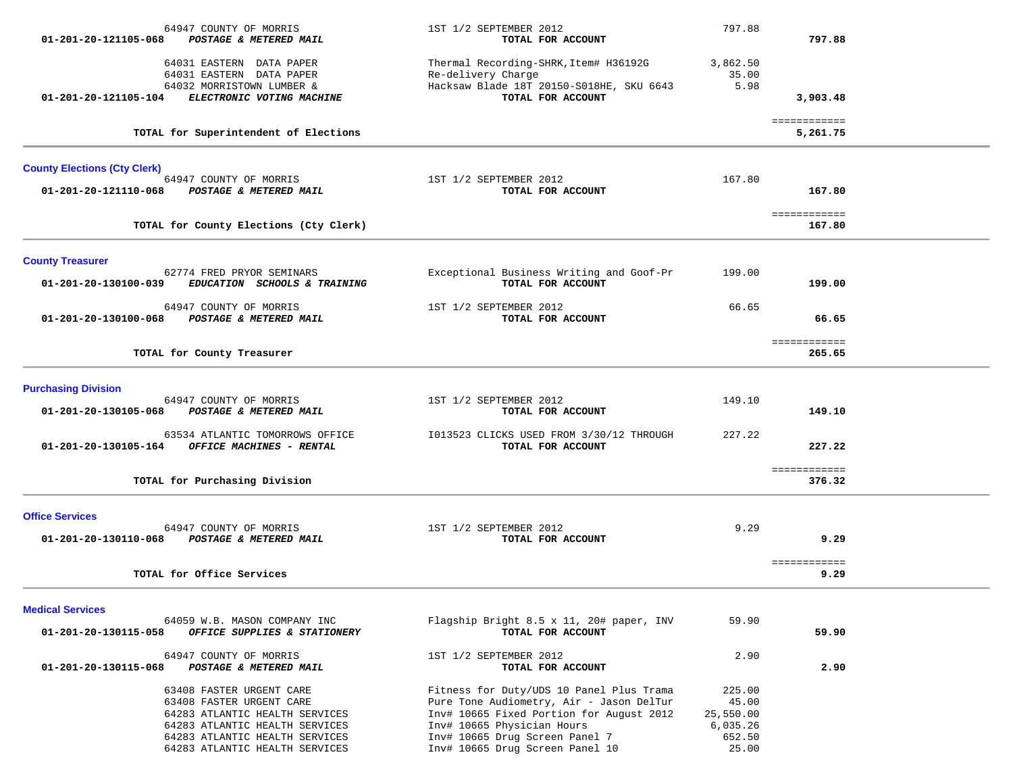| 64947 COUNTY OF MORRIS<br>01-201-20-121105-068<br>POSTAGE & METERED MAIL                                                                                                                     |                              | 1ST 1/2 SEPTEMBER 2012<br>TOTAL FOR ACCOUNT                                                                                                                                                                                         | 797.88                                                      | 797.88                   |  |
|----------------------------------------------------------------------------------------------------------------------------------------------------------------------------------------------|------------------------------|-------------------------------------------------------------------------------------------------------------------------------------------------------------------------------------------------------------------------------------|-------------------------------------------------------------|--------------------------|--|
| 64031 EASTERN DATA PAPER<br>64031 EASTERN DATA PAPER<br>64032 MORRISTOWN LUMBER &                                                                                                            |                              | Thermal Recording-SHRK, Item# H36192G<br>Re-delivery Charge<br>Hacksaw Blade 18T 20150-S018HE, SKU 6643                                                                                                                             | 3,862.50<br>35.00<br>5.98                                   |                          |  |
| 01-201-20-121105-104                                                                                                                                                                         | ELECTRONIC VOTING MACHINE    | TOTAL FOR ACCOUNT                                                                                                                                                                                                                   |                                                             | 3,903.48                 |  |
| TOTAL for Superintendent of Elections                                                                                                                                                        |                              |                                                                                                                                                                                                                                     |                                                             | ============<br>5,261.75 |  |
| <b>County Elections (Cty Clerk)</b>                                                                                                                                                          |                              |                                                                                                                                                                                                                                     |                                                             |                          |  |
| 64947 COUNTY OF MORRIS<br>POSTAGE & METERED MAIL<br>01-201-20-121110-068                                                                                                                     |                              | 1ST 1/2 SEPTEMBER 2012<br>TOTAL FOR ACCOUNT                                                                                                                                                                                         | 167.80                                                      | 167.80                   |  |
| TOTAL for County Elections (Cty Clerk)                                                                                                                                                       |                              |                                                                                                                                                                                                                                     |                                                             | ============<br>167.80   |  |
| <b>County Treasurer</b>                                                                                                                                                                      |                              |                                                                                                                                                                                                                                     |                                                             |                          |  |
| 62774 FRED PRYOR SEMINARS<br>01-201-20-130100-039                                                                                                                                            | EDUCATION SCHOOLS & TRAINING | Exceptional Business Writing and Goof-Pr<br>TOTAL FOR ACCOUNT                                                                                                                                                                       | 199.00                                                      | 199.00                   |  |
| 64947 COUNTY OF MORRIS<br>POSTAGE & METERED MAIL<br>01-201-20-130100-068                                                                                                                     |                              | 1ST 1/2 SEPTEMBER 2012<br>TOTAL FOR ACCOUNT                                                                                                                                                                                         | 66.65                                                       | 66.65                    |  |
| TOTAL for County Treasurer                                                                                                                                                                   |                              |                                                                                                                                                                                                                                     |                                                             | ============<br>265.65   |  |
| <b>Purchasing Division</b>                                                                                                                                                                   |                              |                                                                                                                                                                                                                                     |                                                             |                          |  |
| 64947 COUNTY OF MORRIS<br>01-201-20-130105-068<br>POSTAGE & METERED MAIL                                                                                                                     |                              | 1ST 1/2 SEPTEMBER 2012<br>TOTAL FOR ACCOUNT                                                                                                                                                                                         | 149.10                                                      | 149.10                   |  |
| 63534 ATLANTIC TOMORROWS OFFICE<br>OFFICE MACHINES - RENTAL<br>01-201-20-130105-164                                                                                                          |                              | I013523 CLICKS USED FROM 3/30/12 THROUGH<br>TOTAL FOR ACCOUNT                                                                                                                                                                       | 227.22                                                      | 227.22                   |  |
| TOTAL for Purchasing Division                                                                                                                                                                |                              |                                                                                                                                                                                                                                     |                                                             | ============<br>376.32   |  |
| <b>Office Services</b><br>64947 COUNTY OF MORRIS<br>01-201-20-130110-068<br><b>POSTAGE &amp; METERED MAIL</b>                                                                                |                              | 1ST 1/2 SEPTEMBER 2012<br>TOTAL FOR ACCOUNT                                                                                                                                                                                         | 9.29                                                        | 9.29                     |  |
| TOTAL for Office Services                                                                                                                                                                    |                              |                                                                                                                                                                                                                                     |                                                             | ============<br>9.29     |  |
| <b>Medical Services</b>                                                                                                                                                                      |                              |                                                                                                                                                                                                                                     |                                                             |                          |  |
| 64059 W.B. MASON COMPANY INC<br>01-201-20-130115-058                                                                                                                                         | OFFICE SUPPLIES & STATIONERY | Flagship Bright 8.5 x 11, 20# paper, INV<br>TOTAL FOR ACCOUNT                                                                                                                                                                       | 59.90                                                       | 59.90                    |  |
| 64947 COUNTY OF MORRIS<br>POSTAGE & METERED MAIL<br>01-201-20-130115-068                                                                                                                     |                              | 1ST 1/2 SEPTEMBER 2012<br>TOTAL FOR ACCOUNT                                                                                                                                                                                         | 2.90                                                        | 2.90                     |  |
| 63408 FASTER URGENT CARE<br>63408 FASTER URGENT CARE<br>64283 ATLANTIC HEALTH SERVICES<br>64283 ATLANTIC HEALTH SERVICES<br>64283 ATLANTIC HEALTH SERVICES<br>64283 ATLANTIC HEALTH SERVICES |                              | Fitness for Duty/UDS 10 Panel Plus Trama<br>Pure Tone Audiometry, Air - Jason DelTur<br>Inv# 10665 Fixed Portion for August 2012<br>Inv# 10665 Physician Hours<br>Inv# 10665 Drug Screen Panel 7<br>Inv# 10665 Drug Screen Panel 10 | 225.00<br>45.00<br>25,550.00<br>6,035.26<br>652.50<br>25.00 |                          |  |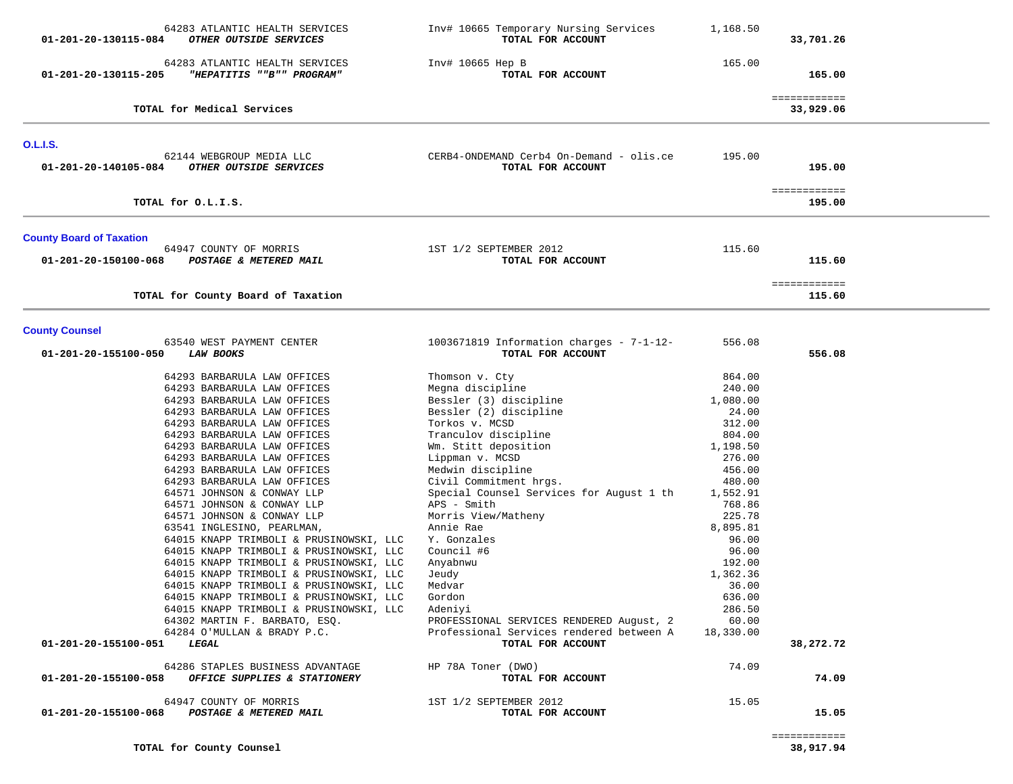| 64283 ATLANTIC HEALTH SERVICES<br>01-201-20-130115-084<br>OTHER OUTSIDE SERVICES    | Inv# 10665 Temporary Nursing Services<br>TOTAL FOR ACCOUNT    | 1,168.50           | 33,701.26                 |  |
|-------------------------------------------------------------------------------------|---------------------------------------------------------------|--------------------|---------------------------|--|
| 64283 ATLANTIC HEALTH SERVICES<br>01-201-20-130115-205<br>"HEPATITIS ""B"" PROGRAM" | Inv# 10665 Hep B<br>TOTAL FOR ACCOUNT                         | 165.00             | 165.00                    |  |
| TOTAL for Medical Services                                                          |                                                               |                    | ============<br>33,929.06 |  |
| <b>O.L.I.S.</b>                                                                     |                                                               |                    |                           |  |
| 62144 WEBGROUP MEDIA LLC<br>OTHER OUTSIDE SERVICES<br>01-201-20-140105-084          | CERB4-ONDEMAND Cerb4 On-Demand - olis.ce<br>TOTAL FOR ACCOUNT | 195.00             | 195.00                    |  |
| TOTAL for O.L.I.S.                                                                  |                                                               |                    | ============<br>195.00    |  |
| <b>County Board of Taxation</b>                                                     |                                                               |                    |                           |  |
| 64947 COUNTY OF MORRIS<br>POSTAGE & METERED MAIL<br>01-201-20-150100-068            | 1ST 1/2 SEPTEMBER 2012<br>TOTAL FOR ACCOUNT                   | 115.60             | 115.60                    |  |
| TOTAL for County Board of Taxation                                                  |                                                               |                    | ============<br>115.60    |  |
|                                                                                     |                                                               |                    |                           |  |
| <b>County Counsel</b><br>63540 WEST PAYMENT CENTER                                  | 1003671819 Information charges - $7-1-12-$                    | 556.08             |                           |  |
| 01-201-20-155100-050<br><b>LAW BOOKS</b>                                            | TOTAL FOR ACCOUNT                                             |                    | 556.08                    |  |
| 64293 BARBARULA LAW OFFICES                                                         | Thomson v. Cty                                                | 864.00             |                           |  |
| 64293 BARBARULA LAW OFFICES                                                         | Megna discipline                                              | 240.00             |                           |  |
| 64293 BARBARULA LAW OFFICES<br>64293 BARBARULA LAW OFFICES                          | Bessler (3) discipline<br>Bessler (2) discipline              | 1,080.00<br>24.00  |                           |  |
| 64293 BARBARULA LAW OFFICES                                                         | Torkos v. MCSD                                                | 312.00             |                           |  |
| 64293 BARBARULA LAW OFFICES                                                         | Tranculov discipline                                          | 804.00             |                           |  |
| 64293 BARBARULA LAW OFFICES                                                         | Wm. Stitt deposition                                          | 1,198.50           |                           |  |
| 64293 BARBARULA LAW OFFICES                                                         | Lippman v. MCSD                                               | 276.00             |                           |  |
| 64293 BARBARULA LAW OFFICES                                                         | Medwin discipline                                             | 456.00             |                           |  |
| 64293 BARBARULA LAW OFFICES                                                         | Civil Commitment hrgs.                                        | 480.00             |                           |  |
| 64571 JOHNSON & CONWAY LLP<br>64571 JOHNSON & CONWAY LLP                            | Special Counsel Services for August 1 th<br>APS - Smith       | 1,552.91<br>768.86 |                           |  |
| 64571 JOHNSON & CONWAY LLP                                                          | Morris View/Matheny                                           | 225.78             |                           |  |
| 63541 INGLESINO, PEARLMAN,                                                          | Annie Rae                                                     | 8,895.81           |                           |  |
| 64015 KNAPP TRIMBOLI & PRUSINOWSKI, LLC                                             | Y. Gonzales                                                   | 96.00              |                           |  |
| 64015 KNAPP TRIMBOLI & PRUSINOWSKI, LLC                                             | Council #6                                                    | 96.00              |                           |  |
| 64015 KNAPP TRIMBOLI & PRUSINOWSKI, LLC                                             | Anyabnwu                                                      | 192.00             |                           |  |
| 64015 KNAPP TRIMBOLI & PRUSINOWSKI, LLC<br>64015 KNAPP TRIMBOLI & PRUSINOWSKI, LLC  | Jeudy<br>Medvar                                               | 1,362.36<br>36.00  |                           |  |
| 64015 KNAPP TRIMBOLI & PRUSINOWSKI, LLC                                             | Gordon                                                        | 636.00             |                           |  |
| 64015 KNAPP TRIMBOLI & PRUSINOWSKI, LLC                                             | Adeniyi                                                       | 286.50             |                           |  |
| 64302 MARTIN F. BARBATO, ESQ.                                                       | PROFESSIONAL SERVICES RENDERED August, 2                      | 60.00              |                           |  |
| 64284 O'MULLAN & BRADY P.C.<br>01-201-20-155100-051<br>LEGAL                        | Professional Services rendered between A<br>TOTAL FOR ACCOUNT | 18,330.00          | 38,272.72                 |  |
| 64286 STAPLES BUSINESS ADVANTAGE                                                    | HP 78A Toner (DWO)                                            | 74.09              |                           |  |
| 01-201-20-155100-058<br>OFFICE SUPPLIES & STATIONERY                                | TOTAL FOR ACCOUNT                                             |                    | 74.09                     |  |
| 64947 COUNTY OF MORRIS<br>01-201-20-155100-068<br>POSTAGE & METERED MAIL            | 1ST 1/2 SEPTEMBER 2012<br>TOTAL FOR ACCOUNT                   | 15.05              | 15.05                     |  |
|                                                                                     |                                                               |                    |                           |  |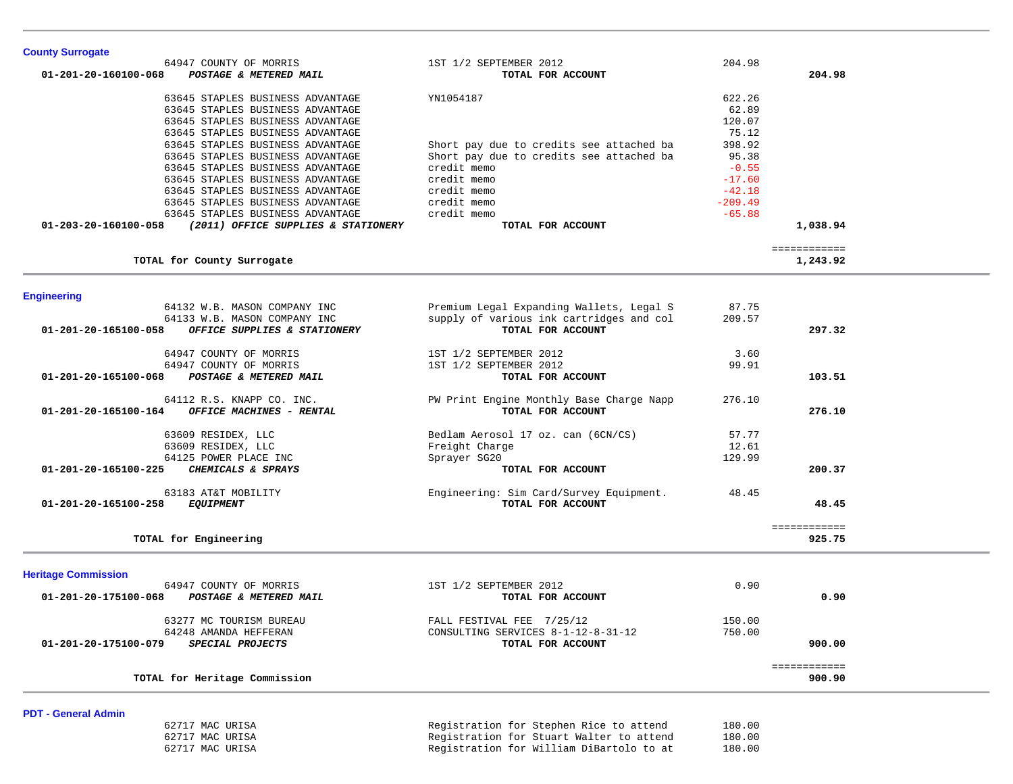| 63609 RESIDEX, LLC<br>64125 POWER PLACE INC<br>CHEMICALS & SPRAYS<br>01-201-20-165100-225 | Freight Charge<br>Sprayer SG20<br>TOTAL FOR ACCOUNT          | 12.61<br>129.99 | 200.37                 |
|-------------------------------------------------------------------------------------------|--------------------------------------------------------------|-----------------|------------------------|
| 63183 AT&T MOBILITY<br>01-201-20-165100-258 EQUIPMENT                                     | Engineering: Sim Card/Survey Equipment.<br>TOTAL FOR ACCOUNT | 48.45           | 48.45                  |
| TOTAL for Engineering                                                                     |                                                              |                 | ============<br>925.75 |
| <b>Heritage Commission</b>                                                                |                                                              |                 |                        |
| 64947 COUNTY OF MORRIS<br>POSTAGE & METERED MAIL<br>01-201-20-175100-068                  | 1ST 1/2 SEPTEMBER 2012<br>TOTAL FOR ACCOUNT                  | 0.90            | 0.90                   |
| 63277 MC TOURISM BUREAU                                                                   |                                                              |                 |                        |
|                                                                                           | FALL FESTIVAL FEE 7/25/12                                    | 150.00          |                        |
| 64248 AMANDA HEFFERAN                                                                     | CONSULTING SERVICES 8-1-12-8-31-12                           | 750.00          |                        |

| 63645 STAPLES BUSINESS ADVANTAGE<br>63645 STAPLES BUSINESS ADVANTAGE |             | 120.07<br>75.12                                    |          |
|----------------------------------------------------------------------|-------------|----------------------------------------------------|----------|
| 63645 STAPLES BUSINESS ADVANTAGE                                     |             | 398.92<br>Short pay due to credits see attached ba |          |
| 63645 STAPLES BUSINESS ADVANTAGE                                     |             | Short pay due to credits see attached ba<br>95.38  |          |
| 63645 STAPLES BUSINESS ADVANTAGE                                     | credit memo | $-0.55$                                            |          |
| 63645 STAPLES BUSINESS ADVANTAGE                                     | credit memo | $-17.60$                                           |          |
| 63645 STAPLES BUSINESS ADVANTAGE                                     | credit memo | $-42.18$                                           |          |
| 63645 STAPLES BUSINESS ADVANTAGE                                     | credit memo | $-209.49$                                          |          |
| 63645 STAPLES BUSINESS ADVANTAGE                                     | credit memo | $-65.88$                                           |          |
| 01-203-20-160100-058<br>(2011) OFFICE SUPPLIES & STATIONERY          |             | TOTAL FOR ACCOUNT                                  | 1,038.94 |

64947 COUNTY OF MORRIS 1ST 1/2 SEPTEMBER 2012 204.98  **01-201-20-160100-068** *POSTAGE & METERED MAIL* **TOTAL FOR ACCOUNT 204.98**

**PDT - General Admin** 

**County Surrogate** 

 62717 MAC URISA Registration for Stephen Rice to attend 180.00 62717 MAC URISA Registration for Stuart Walter to attend 180.00 62717 MAC URISA Registration for William DiBartolo to at 180.00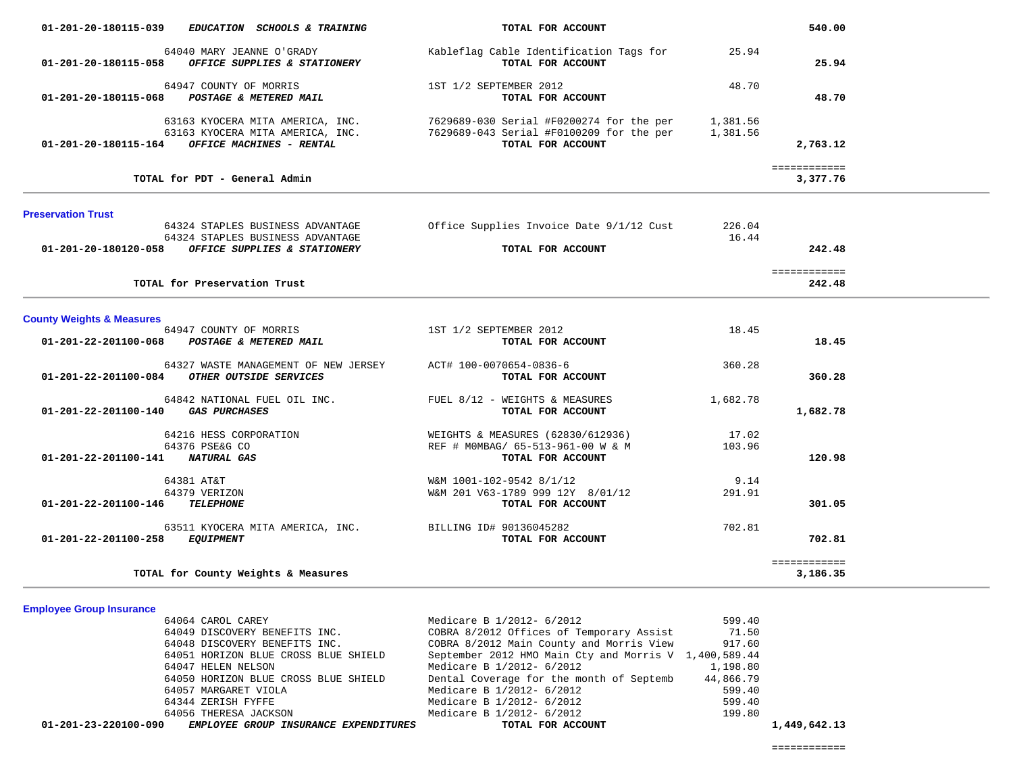| 01-201-20-180115-039<br>EDUCATION SCHOOLS & TRAINING                                                                                                                                   | TOTAL FOR ACCOUNT                                                                                                                                                                             |                 | 540.00                           |  |
|----------------------------------------------------------------------------------------------------------------------------------------------------------------------------------------|-----------------------------------------------------------------------------------------------------------------------------------------------------------------------------------------------|-----------------|----------------------------------|--|
| 64040 MARY JEANNE O'GRADY<br>01-201-20-180115-058 OFFICE SUPPLIES & STATIONERY                                                                                                         | Kableflag Cable Identification Tags for<br>TOTAL FOR ACCOUNT                                                                                                                                  | 25.94           | 25.94                            |  |
| 64947 COUNTY OF MORRIS<br>01-201-20-180115-068 POSTAGE & METERED MAIL                                                                                                                  | 1ST 1/2 SEPTEMBER 2012<br>TOTAL FOR ACCOUNT                                                                                                                                                   | 48.70           | 48.70                            |  |
| $01-201-20-180115-164$ OFFICE MACHINES - RENTAL                                                                                                                                        | 63163 KYOCERA MITA AMERICA, INC. 7629689-030 Serial #F0200274 for the per 1,381.56<br>63163 KYOCERA MITA AMERICA, INC. 7629689-043 Serial #F0100209 for the per 1,381.56<br>TOTAL FOR ACCOUNT |                 | 2,763.12                         |  |
| TOTAL for PDT - General Admin                                                                                                                                                          |                                                                                                                                                                                               |                 | ============<br>3,377.76         |  |
| <b>Preservation Trust</b><br>64324 STAPLES BUSINESS ADVANTAGE<br>64324 STAPLES BUSINESS ADVANTAGE<br>01-201-20-180120-058 OFFICE SUPPLIES & STATIONERY<br>TOTAL for Preservation Trust | Office Supplies Invoice Date 9/1/12 Cust<br>TOTAL FOR ACCOUNT                                                                                                                                 | 226.04<br>16.44 | 242.48<br>============<br>242.48 |  |
| <b>County Weights &amp; Measures</b>                                                                                                                                                   |                                                                                                                                                                                               |                 |                                  |  |
| 64947 COUNTY OF MORRIS<br>01-201-22-201100-068 POSTAGE & METERED MAIL                                                                                                                  | 1ST 1/2 SEPTEMBER 2012<br>TOTAL FOR ACCOUNT                                                                                                                                                   | 18.45           | 18.45                            |  |
| 64327 WASTE MANAGEMENT OF NEW JERSEY<br>01-201-22-201100-084 OTHER OUTSIDE SERVICES                                                                                                    | ACT# 100-0070654-0836-6<br>TOTAL FOR ACCOUNT                                                                                                                                                  | 360.28          | 360.28                           |  |
| 64842 NATIONAL FUEL OIL INC.<br>01-201-22-201100-140 GAS PURCHASES                                                                                                                     | FUEL 8/12 - WEIGHTS & MEASURES<br>TOTAL FOR ACCOUNT                                                                                                                                           | 1,682.78        | 1,682.78                         |  |
| 64216 HESS CORPORATION<br>64376 PSE&G CO<br>01-201-22-201100-141 NATURAL GAS                                                                                                           | WEIGHTS & MEASURES (62830/612936)<br>REF # MOMBAG/ 65-513-961-00 W & M<br>TOTAL FOR ACCOUNT                                                                                                   | 17.02<br>103.96 | 120.98                           |  |
| 64381 AT&T<br>64379 VERIZON<br>01-201-22-201100-146 TELEPHONE                                                                                                                          | W&M 1001-102-9542 8/1/12<br>W&M 201 V63-1789 999 12Y 8/01/12<br>TOTAL FOR ACCOUNT                                                                                                             | 9.14<br>291.91  | 301.05                           |  |
| 63511 KYOCERA MITA AMERICA, INC. BILLING ID# 90136045282<br>01-201-22-201100-258 EQUIPMENT                                                                                             | TOTAL FOR ACCOUNT                                                                                                                                                                             | 702.81          | 702.81                           |  |
| TOTAL for County Weights & Measures                                                                                                                                                    |                                                                                                                                                                                               |                 | ============<br>3,186.35         |  |

# **Employee Group Insurance**

| 01-201-23-220100-090<br>EMPLOYEE GROUP INSURANCE EXPENDITURES | TOTAL FOR ACCOUNT                                     |           | 1,449,642.13 |
|---------------------------------------------------------------|-------------------------------------------------------|-----------|--------------|
| 64056 THERESA JACKSON                                         | Medicare B 1/2012- 6/2012                             | 199.80    |              |
| 64344 ZERISH FYFFE                                            | Medicare B 1/2012- 6/2012                             | 599.40    |              |
| 64057 MARGARET VIOLA                                          | Medicare B 1/2012- 6/2012                             | 599.40    |              |
| 64050 HORIZON BLUE CROSS BLUE SHIELD                          | Dental Coverage for the month of Septemb              | 44,866.79 |              |
| 64047 HELEN NELSON                                            | Medicare B 1/2012- 6/2012                             | 1,198.80  |              |
| 64051 HORIZON BLUE CROSS BLUE SHIELD                          | September 2012 HMO Main Cty and Morris V 1,400,589.44 |           |              |
| 64048 DISCOVERY BENEFITS INC.                                 | COBRA 8/2012 Main County and Morris View              | 917.60    |              |
| 64049 DISCOVERY BENEFITS INC.                                 | COBRA 8/2012 Offices of Temporary Assist              | 71.50     |              |
| 64064 CAROL CAREY                                             | Medicare B 1/2012- 6/2012                             | 599.40    |              |

-

 $\overline{\phantom{a}}$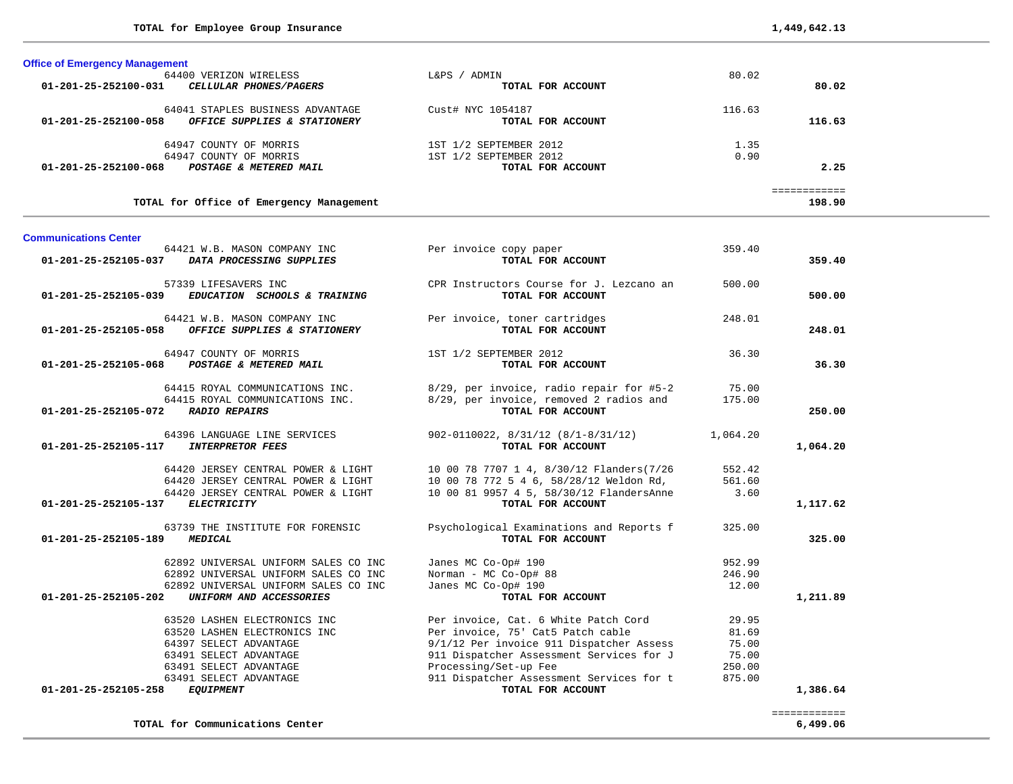198.90

| <b>Office of Emergency Management</b>                 |                        |        |              |  |
|-------------------------------------------------------|------------------------|--------|--------------|--|
| 64400 VERIZON WIRELESS                                | ADMIN<br>L&PS –        | 80.02  |              |  |
| 01-201-25-252100-031<br><i>CELLULAR PHONES/PAGERS</i> | TOTAL FOR ACCOUNT      |        | 80.02        |  |
| 64041 STAPLES BUSINESS ADVANTAGE                      | Cust# NYC 1054187      | 116.63 |              |  |
| 01-201-25-252100-058<br>OFFICE SUPPLIES & STATIONERY  | TOTAL FOR ACCOUNT      |        | 116.63       |  |
| COUNTY OF MORRIS<br>64947                             | 1ST 1/2 SEPTEMBER 2012 | 1.35   |              |  |
| 64947 COUNTY OF MORRIS                                | 1ST 1/2 SEPTEMBER 2012 | 0.90   |              |  |
| 01-201-25-252100-068<br>POSTAGE & METERED MAIL        | TOTAL FOR ACCOUNT      |        | 2.25         |  |
|                                                       |                        |        | ============ |  |

TOTAL for Office of Emergency Management

**TOTAL for Communications Center 6,499.06**

#### **Communications Center**

| CPR Instructors Course for J. Lezcano an<br>57339 LIFESAVERS INC<br>500.00<br>TOTAL FOR ACCOUNT<br>500.00<br>01-201-25-252105-039<br>EDUCATION SCHOOLS & TRAINING<br>64421 W.B. MASON COMPANY INC<br>Per invoice, toner cartridges<br>248.01<br>OFFICE SUPPLIES & STATIONERY<br>TOTAL FOR ACCOUNT<br>248.01<br>01-201-25-252105-058<br>64947 COUNTY OF MORRIS<br>36.30<br>1ST 1/2 SEPTEMBER 2012<br>36.30<br>01-201-25-252105-068<br>POSTAGE & METERED MAIL<br>TOTAL FOR ACCOUNT<br>64415 ROYAL COMMUNICATIONS INC.<br>8/29, per invoice, radio repair for #5-2<br>75.00<br>8/29, per invoice, removed 2 radios and<br>64415 ROYAL COMMUNICATIONS INC.<br>175.00<br>$01 - 201 - 25 - 252105 - 072$<br><b>RADIO REPAIRS</b><br>TOTAL FOR ACCOUNT<br>250.00<br>64396 LANGUAGE LINE SERVICES<br>902-0110022, 8/31/12 (8/1-8/31/12)<br>1,064.20<br>1,064.20<br>01-201-25-252105-117<br><b>INTERPRETOR FEES</b><br>TOTAL FOR ACCOUNT<br>64420 JERSEY CENTRAL POWER & LIGHT<br>10 00 78 7707 1 4, 8/30/12 Flanders(7/26<br>552.42<br>64420 JERSEY CENTRAL POWER & LIGHT<br>10 00 78 772 5 4 6, 58/28/12 Weldon Rd,<br>561.60<br>64420 JERSEY CENTRAL POWER & LIGHT<br>10 00 81 9957 4 5, 58/30/12 FlandersAnne<br>3.60<br><b>ELECTRICITY</b><br>TOTAL FOR ACCOUNT<br>1,117.62<br>01-201-25-252105-137<br>63739 THE INSTITUTE FOR FORENSIC<br>Psychological Examinations and Reports f<br>325.00<br>TOTAL FOR ACCOUNT<br>325.00<br>01-201-25-252105-189<br><b>MEDICAL</b><br>62892 UNIVERSAL UNIFORM SALES CO INC<br>Janes MC Co-Op# 190<br>952.99<br>62892 UNIVERSAL UNIFORM SALES CO INC<br>Norman - MC Co-Op# 88<br>246.90<br>Janes MC Co-Op# 190<br>12.00<br>62892 UNIVERSAL UNIFORM SALES CO INC<br>01-201-25-252105-202<br>UNIFORM AND ACCESSORIES<br>1,211.89<br>TOTAL FOR ACCOUNT<br>63520 LASHEN ELECTRONICS INC<br>Per invoice, Cat. 6 White Patch Cord<br>29.95<br>Per invoice, 75' Cat5 Patch cable<br>81.69<br>63520 LASHEN ELECTRONICS INC<br>9/1/12 Per invoice 911 Dispatcher Assess<br>64397 SELECT ADVANTAGE<br>75.00<br>63491 SELECT ADVANTAGE<br>911 Dispatcher Assessment Services for J<br>75.00<br>63491 SELECT ADVANTAGE<br>Processing/Set-up Fee<br>250.00<br>63491 SELECT ADVANTAGE<br>911 Dispatcher Assessment Services for t<br>875.00<br>01-201-25-252105-258<br><b>EQUIPMENT</b><br>TOTAL FOR ACCOUNT<br>1,386.64 | 01-201-25-252105-037 | 64421 W.B. MASON COMPANY INC<br>DATA PROCESSING SUPPLIES | Per invoice copy paper<br>TOTAL FOR ACCOUNT | 359.40 | 359.40 |
|-------------------------------------------------------------------------------------------------------------------------------------------------------------------------------------------------------------------------------------------------------------------------------------------------------------------------------------------------------------------------------------------------------------------------------------------------------------------------------------------------------------------------------------------------------------------------------------------------------------------------------------------------------------------------------------------------------------------------------------------------------------------------------------------------------------------------------------------------------------------------------------------------------------------------------------------------------------------------------------------------------------------------------------------------------------------------------------------------------------------------------------------------------------------------------------------------------------------------------------------------------------------------------------------------------------------------------------------------------------------------------------------------------------------------------------------------------------------------------------------------------------------------------------------------------------------------------------------------------------------------------------------------------------------------------------------------------------------------------------------------------------------------------------------------------------------------------------------------------------------------------------------------------------------------------------------------------------------------------------------------------------------------------------------------------------------------------------------------------------------------------------------------------------------------------------------------------------------------------------------------------------------------------------------------------------------------------------------|----------------------|----------------------------------------------------------|---------------------------------------------|--------|--------|
|                                                                                                                                                                                                                                                                                                                                                                                                                                                                                                                                                                                                                                                                                                                                                                                                                                                                                                                                                                                                                                                                                                                                                                                                                                                                                                                                                                                                                                                                                                                                                                                                                                                                                                                                                                                                                                                                                                                                                                                                                                                                                                                                                                                                                                                                                                                                           |                      |                                                          |                                             |        |        |
|                                                                                                                                                                                                                                                                                                                                                                                                                                                                                                                                                                                                                                                                                                                                                                                                                                                                                                                                                                                                                                                                                                                                                                                                                                                                                                                                                                                                                                                                                                                                                                                                                                                                                                                                                                                                                                                                                                                                                                                                                                                                                                                                                                                                                                                                                                                                           |                      |                                                          |                                             |        |        |
|                                                                                                                                                                                                                                                                                                                                                                                                                                                                                                                                                                                                                                                                                                                                                                                                                                                                                                                                                                                                                                                                                                                                                                                                                                                                                                                                                                                                                                                                                                                                                                                                                                                                                                                                                                                                                                                                                                                                                                                                                                                                                                                                                                                                                                                                                                                                           |                      |                                                          |                                             |        |        |
|                                                                                                                                                                                                                                                                                                                                                                                                                                                                                                                                                                                                                                                                                                                                                                                                                                                                                                                                                                                                                                                                                                                                                                                                                                                                                                                                                                                                                                                                                                                                                                                                                                                                                                                                                                                                                                                                                                                                                                                                                                                                                                                                                                                                                                                                                                                                           |                      |                                                          |                                             |        |        |
|                                                                                                                                                                                                                                                                                                                                                                                                                                                                                                                                                                                                                                                                                                                                                                                                                                                                                                                                                                                                                                                                                                                                                                                                                                                                                                                                                                                                                                                                                                                                                                                                                                                                                                                                                                                                                                                                                                                                                                                                                                                                                                                                                                                                                                                                                                                                           |                      |                                                          |                                             |        |        |
|                                                                                                                                                                                                                                                                                                                                                                                                                                                                                                                                                                                                                                                                                                                                                                                                                                                                                                                                                                                                                                                                                                                                                                                                                                                                                                                                                                                                                                                                                                                                                                                                                                                                                                                                                                                                                                                                                                                                                                                                                                                                                                                                                                                                                                                                                                                                           |                      |                                                          |                                             |        |        |
|                                                                                                                                                                                                                                                                                                                                                                                                                                                                                                                                                                                                                                                                                                                                                                                                                                                                                                                                                                                                                                                                                                                                                                                                                                                                                                                                                                                                                                                                                                                                                                                                                                                                                                                                                                                                                                                                                                                                                                                                                                                                                                                                                                                                                                                                                                                                           |                      |                                                          |                                             |        |        |
|                                                                                                                                                                                                                                                                                                                                                                                                                                                                                                                                                                                                                                                                                                                                                                                                                                                                                                                                                                                                                                                                                                                                                                                                                                                                                                                                                                                                                                                                                                                                                                                                                                                                                                                                                                                                                                                                                                                                                                                                                                                                                                                                                                                                                                                                                                                                           |                      |                                                          |                                             |        |        |
|                                                                                                                                                                                                                                                                                                                                                                                                                                                                                                                                                                                                                                                                                                                                                                                                                                                                                                                                                                                                                                                                                                                                                                                                                                                                                                                                                                                                                                                                                                                                                                                                                                                                                                                                                                                                                                                                                                                                                                                                                                                                                                                                                                                                                                                                                                                                           |                      |                                                          |                                             |        |        |
| ============                                                                                                                                                                                                                                                                                                                                                                                                                                                                                                                                                                                                                                                                                                                                                                                                                                                                                                                                                                                                                                                                                                                                                                                                                                                                                                                                                                                                                                                                                                                                                                                                                                                                                                                                                                                                                                                                                                                                                                                                                                                                                                                                                                                                                                                                                                                              |                      |                                                          |                                             |        |        |

 $6,499.06$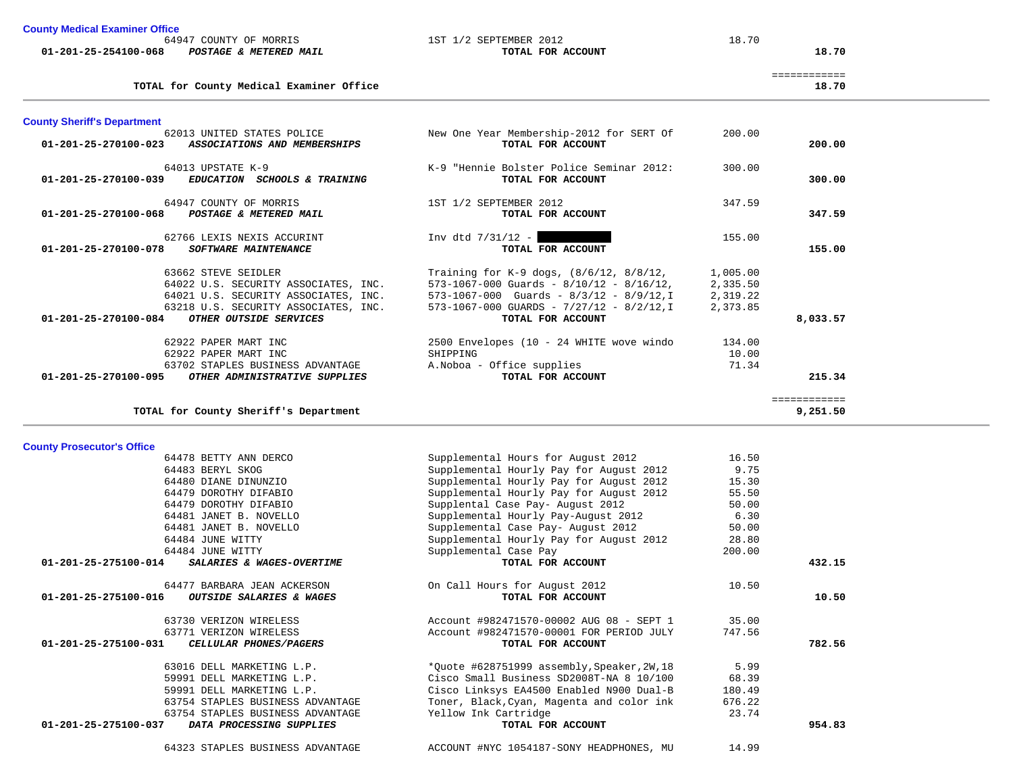| <b>County Medical Examiner Office</b> |  |
|---------------------------------------|--|
|---------------------------------------|--|

64947 COUNTY OF MORRIS 1ST 1/2 SEPTEMBER 2012 18.70

|                                | . OUNTY<br>- OF<br>$\blacksquare$<br>494 د<br>1UKKI 2 | .<br>.<br>2012<br>.<br>$\sim$ | .<br>To. |
|--------------------------------|-------------------------------------------------------|-------------------------------|----------|
| $01 - 201 -$<br>-25-254100-068 | METERED MAIL<br><i><b>POSTAGE</b></i>                 | ACCOUNT<br>FOR<br>TOTAL       | 18.70    |

**TOTAL for County Medical Examiner Office 18.70**

| <b>County Sheriff's Department</b>                    |                                                 |          |              |
|-------------------------------------------------------|-------------------------------------------------|----------|--------------|
| 62013 UNITED STATES POLICE                            | New One Year Membership-2012 for SERT Of        | 200.00   |              |
| 01-201-25-270100-023<br>ASSOCIATIONS AND MEMBERSHIPS  | TOTAL FOR ACCOUNT                               |          | 200.00       |
|                                                       |                                                 |          |              |
| 64013 UPSTATE K-9                                     | K-9 "Hennie Bolster Police Seminar 2012:        | 300.00   |              |
| EDUCATION SCHOOLS & TRAINING<br>01-201-25-270100-039  | TOTAL FOR ACCOUNT                               |          | 300.00       |
| 64947 COUNTY OF MORRIS                                | 1ST 1/2 SEPTEMBER 2012                          | 347.59   |              |
| POSTAGE & METERED MAIL<br>01-201-25-270100-068        | TOTAL FOR ACCOUNT                               |          | 347.59       |
|                                                       |                                                 |          |              |
| 62766 LEXIS NEXIS ACCURINT                            | Inv dtd $7/31/12 -$                             | 155.00   |              |
| 01-201-25-270100-078<br>SOFTWARE MAINTENANCE          | TOTAL FOR ACCOUNT                               |          | 155.00       |
|                                                       |                                                 |          |              |
| 63662 STEVE SEIDLER                                   | Training for K-9 dogs, $(8/6/12, 8/8/12,$       | 1,005.00 |              |
| 64022 U.S. SECURITY ASSOCIATES, INC.                  | $573-1067-000$ Guards - $8/10/12$ - $8/16/12$ , | 2,335.50 |              |
| 64021 U.S. SECURITY ASSOCIATES, INC.                  | $573-1067-000$ Guards - $8/3/12$ - $8/9/12$ , I | 2,319.22 |              |
| 63218 U.S. SECURITY ASSOCIATES, INC.                  | $573-1067-000$ GUARDS - $7/27/12$ - 8/2/12, I   | 2,373.85 |              |
| OTHER OUTSIDE SERVICES<br>01-201-25-270100-084        | TOTAL FOR ACCOUNT                               |          | 8,033.57     |
| 62922 PAPER MART INC                                  | 2500 Envelopes (10 - 24 WHITE wove windo        | 134.00   |              |
| 62922 PAPER MART INC                                  | SHIPPING                                        | 10.00    |              |
| 63702 STAPLES BUSINESS ADVANTAGE                      | A. Noboa - Office supplies                      | 71.34    |              |
| 01-201-25-270100-095<br>OTHER ADMINISTRATIVE SUPPLIES | TOTAL FOR ACCOUNT                               |          | 215.34       |
|                                                       |                                                 |          | ============ |
| TOTAL for County Sheriff's Department                 |                                                 |          | 9,251.50     |
|                                                       |                                                 |          |              |
| <b>County Prosecutor's Office</b>                     |                                                 |          |              |
| 64478 BETTY ANN DERCO                                 | Supplemental Hours for August 2012              | 16.50    |              |
| 64483 BERYL SKOG                                      | Supplemental Hourly Pay for August 2012         | 9.75     |              |
| 64480 DIANE DINUNZIO                                  | Supplemental Hourly Pay for August 2012         | 15.30    |              |
| 64479 DOROTHY DIFABIO                                 | Supplemental Hourly Pay for August 2012         | 55.50    |              |
| 64479 DOROTHY DIFABIO                                 | Supplental Case Pay- August 2012                | 50.00    |              |
| 64481 JANET B. NOVELLO                                | Supplemental Hourly Pay-August 2012             | 6.30     |              |
| 64481 JANET B. NOVELLO                                | Supplemental Case Pay- August 2012              | 50.00    |              |
| 64484 JUNE WITTY                                      | Supplemental Hourly Pay for August 2012         | 28.80    |              |
| 64484 JUNE WITTY                                      | Supplemental Case Pay                           | 200.00   |              |
| 01-201-25-275100-014<br>SALARIES & WAGES-OVERTIME     | TOTAL FOR ACCOUNT                               |          | 432.15       |
|                                                       |                                                 |          |              |
| 64477 BARBARA JEAN ACKERSON                           | On Call Hours for August 2012                   | 10.50    |              |
| 01-201-25-275100-016<br>OUTSIDE SALARIES & WAGES      | TOTAL FOR ACCOUNT                               |          | 10.50        |
| 63730 VERIZON WIRELESS                                | Account #982471570-00002 AUG 08 - SEPT 1        | 35.00    |              |
| 63771 VERIZON WIRELESS                                | Account #982471570-00001 FOR PERIOD JULY        | 747.56   |              |
| 01-201-25-275100-031<br>CELLULAR PHONES/PAGERS        | TOTAL FOR ACCOUNT                               |          | 782.56       |
|                                                       |                                                 |          |              |
| 63016 DELL MARKETING L.P.                             | *Quote #628751999 assembly, Speaker, 2W, 18     | 5.99     |              |
| 59991 DELL MARKETING L.P.                             |                                                 |          |              |
|                                                       | Cisco Small Business SD2008T-NA 8 10/100        | 68.39    |              |
| 59991 DELL MARKETING L.P.                             | Cisco Linksys EA4500 Enabled N900 Dual-B        | 180.49   |              |

63754 STAPLES BUSINESS ADVANTAGE THE Yellow Ink Cartridge 23.74<br>7 DATA PROCESSING SUPPLIES TOTAL FOR ACCOUNT

============

Toner, Black, Cyan, Magenta and color ink

 **01-201-25-275100-037** *DATA PROCESSING SUPPLIES* **TOTAL FOR ACCOUNT 954.83**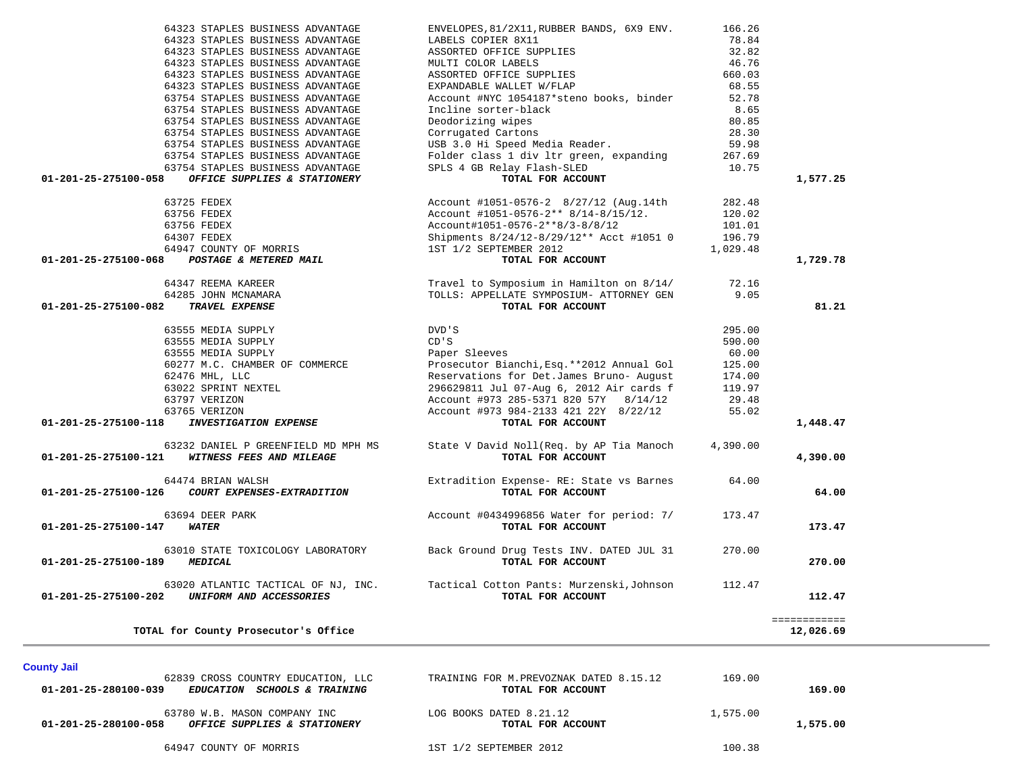| 64323 STAPLES BUSINESS ADVANTAGE                     | ENVELOPES, 81/2X11, RUBBER BANDS, 6X9 ENV.  | 166.26   |              |  |
|------------------------------------------------------|---------------------------------------------|----------|--------------|--|
| 64323 STAPLES BUSINESS ADVANTAGE                     | LABELS COPIER 8X11                          | 78.84    |              |  |
| 64323 STAPLES BUSINESS ADVANTAGE                     | ASSORTED OFFICE SUPPLIES                    | 32.82    |              |  |
| 64323 STAPLES BUSINESS ADVANTAGE                     | MULTI COLOR LABELS                          | 46.76    |              |  |
| 64323 STAPLES BUSINESS ADVANTAGE                     | ASSORTED OFFICE SUPPLIES                    | 660.03   |              |  |
| 64323 STAPLES BUSINESS ADVANTAGE                     | EXPANDABLE WALLET W/FLAP                    | 68.55    |              |  |
| 63754 STAPLES BUSINESS ADVANTAGE                     |                                             | 52.78    |              |  |
|                                                      | Account #NYC 1054187*steno books, binder    |          |              |  |
| 63754 STAPLES BUSINESS ADVANTAGE                     | Incline sorter-black                        | 8.65     |              |  |
| 63754 STAPLES BUSINESS ADVANTAGE                     | Deodorizing wipes                           | 80.85    |              |  |
| 63754 STAPLES BUSINESS ADVANTAGE                     | Corrugated Cartons                          | 28.30    |              |  |
| 63754 STAPLES BUSINESS ADVANTAGE                     | USB 3.0 Hi Speed Media Reader.              | 59.98    |              |  |
| 63754 STAPLES BUSINESS ADVANTAGE                     | Folder class 1 div 1tr green, expanding     | 267.69   |              |  |
| 63754 STAPLES BUSINESS ADVANTAGE                     | SPLS 4 GB Relay Flash-SLED                  | 10.75    |              |  |
| OFFICE SUPPLIES & STATIONERY<br>01-201-25-275100-058 | TOTAL FOR ACCOUNT                           |          | 1,577.25     |  |
| 63725 FEDEX                                          | Account #1051-0576-2 8/27/12 (Aug.14th      | 282.48   |              |  |
| 63756 FEDEX                                          | Account #1051-0576-2** $8/14-8/15/12$ .     | 120.02   |              |  |
| 63756 FEDEX                                          | Account#1051-0576-2**8/3-8/8/12             | 101.01   |              |  |
| 64307 FEDEX                                          | Shipments 8/24/12-8/29/12** Acct #1051 0    | 196.79   |              |  |
| 64947 COUNTY OF MORRIS                               | 1ST 1/2 SEPTEMBER 2012                      | 1,029.48 |              |  |
|                                                      |                                             |          |              |  |
| 01-201-25-275100-068 POSTAGE & METERED MAIL          | TOTAL FOR ACCOUNT                           |          | 1,729.78     |  |
| 64347 REEMA KAREER                                   | Travel to Symposium in Hamilton on 8/14/    | 72.16    |              |  |
| 64285 JOHN MCNAMARA                                  | TOLLS: APPELLATE SYMPOSIUM- ATTORNEY GEN    | 9.05     |              |  |
| TRAVEL EXPENSE<br>01-201-25-275100-082               | TOTAL FOR ACCOUNT                           |          | 81.21        |  |
| 63555 MEDIA SUPPLY                                   | DVD'S                                       | 295.00   |              |  |
| 63555 MEDIA SUPPLY                                   | CD'S                                        | 590.00   |              |  |
| 63555 MEDIA SUPPLY                                   | Paper Sleeves                               | 60.00    |              |  |
| 60277 M.C. CHAMBER OF COMMERCE                       | Prosecutor Bianchi, Esq. ** 2012 Annual Gol | 125.00   |              |  |
|                                                      | Reservations for Det.James Bruno- August    | 174.00   |              |  |
| 62476 MHL, LLC                                       |                                             |          |              |  |
| 63022 SPRINT NEXTEL                                  | 296629811 Jul 07-Aug 6, 2012 Air cards f    | 119.97   |              |  |
| 63797 VERIZON                                        | Account #973 285-5371 820 57Y 8/14/12       | 29.48    |              |  |
| 63765 VERIZON                                        | Account #973 984-2133 421 22Y 8/22/12       | 55.02    |              |  |
| <b>INVESTIGATION EXPENSE</b><br>01-201-25-275100-118 | TOTAL FOR ACCOUNT                           |          | 1,448.47     |  |
| 63232 DANIEL P GREENFIELD MD MPH MS                  | State V David Noll(Req. by AP Tia Manoch    | 4,390.00 |              |  |
| WITNESS FEES AND MILEAGE<br>01-201-25-275100-121     | TOTAL FOR ACCOUNT                           |          | 4,390.00     |  |
| 64474 BRIAN WALSH                                    | Extradition Expense- RE: State vs Barnes    | 64.00    |              |  |
| 01-201-25-275100-126<br>COURT EXPENSES-EXTRADITION   | TOTAL FOR ACCOUNT                           |          | 64.00        |  |
| 63694 DEER PARK                                      | Account #0434996856 Water for period: 7/    | 173.47   |              |  |
| 01-201-25-275100-147<br><b>WATER</b>                 | TOTAL FOR ACCOUNT                           |          | 173.47       |  |
|                                                      |                                             |          |              |  |
| 63010 STATE TOXICOLOGY LABORATORY                    | Back Ground Drug Tests INV. DATED JUL 31    | 270.00   |              |  |
| 01-201-25-275100-189 MEDICAL                         | TOTAL FOR ACCOUNT                           |          | 270.00       |  |
| 63020 ATLANTIC TACTICAL OF NJ, INC.                  | Tactical Cotton Pants: Murzenski, Johnson   | 112.47   |              |  |
| UNIFORM AND ACCESSORIES<br>01-201-25-275100-202      | TOTAL FOR ACCOUNT                           |          | 112.47       |  |
|                                                      |                                             |          | ============ |  |
|                                                      |                                             |          | 12,026.69    |  |

**County Jail** 

| 62839 CROSS COUNTRY EDUCATION, LLC                                                   | TRAINING FOR M.PREVOZNAK DATED 8.15.12       | 169.00   |          |
|--------------------------------------------------------------------------------------|----------------------------------------------|----------|----------|
| 01-201-25-280100-039<br><i>SCHOOLS &amp; TRAINING</i><br><i>EDUCATION</i>            | TOTAL FOR ACCOUNT                            |          | 169.00   |
| 63780 W.B. MASON COMPANY INC<br>01-201-25-280100-058<br>OFFICE SUPPLIES & STATIONERY | LOG BOOKS DATED 8.21.12<br>TOTAL FOR ACCOUNT | 1,575.00 | 1,575.00 |
| 64947 COUNTY OF MORRIS                                                               | 1ST 1/2 SEPTEMBER 2012                       | 100.38   |          |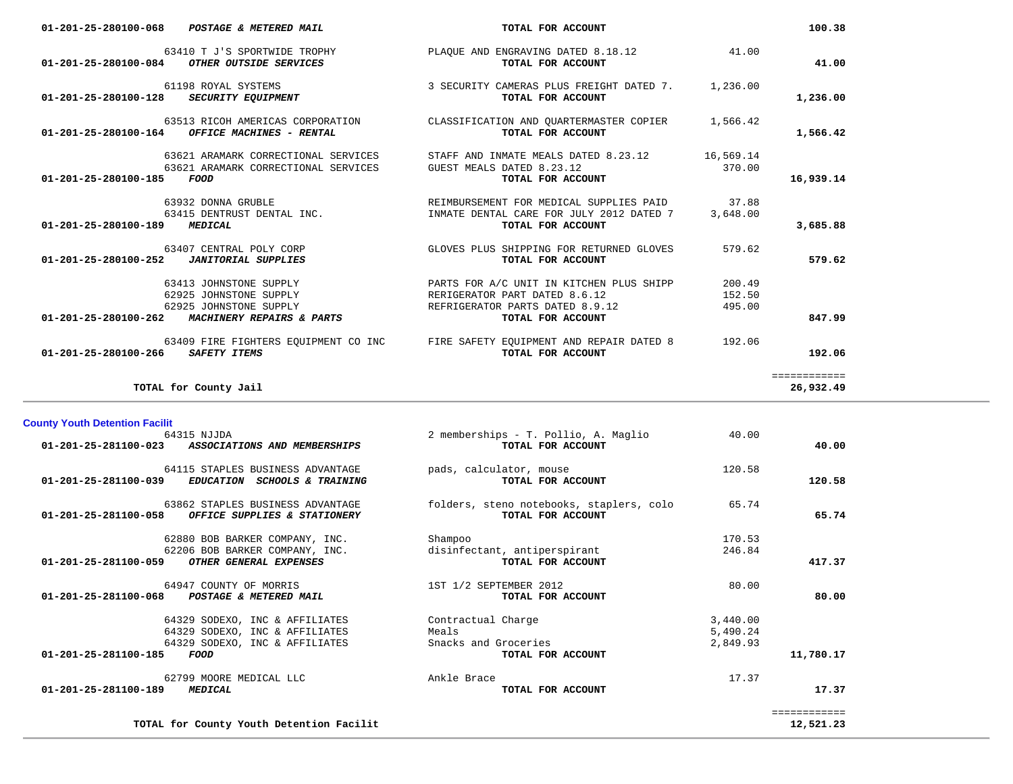| 01-201-25-280100-068              | POSTAGE & METERED MAIL                                                                                                       | TOTAL FOR ACCOUNT                                                                                                                            |                            | 100.38                    |
|-----------------------------------|------------------------------------------------------------------------------------------------------------------------------|----------------------------------------------------------------------------------------------------------------------------------------------|----------------------------|---------------------------|
|                                   | 63410 T J'S SPORTWIDE TROPHY<br>01-201-25-280100-084 OTHER OUTSIDE SERVICES                                                  | PLAOUE AND ENGRAVING DATED 8.18.12<br>TOTAL FOR ACCOUNT                                                                                      | 41.00                      | 41.00                     |
| $01 - 201 - 25 - 280100 - 128$    | 61198 ROYAL SYSTEMS<br><b>SECURITY EQUIPMENT</b>                                                                             | 3 SECURITY CAMERAS PLUS FREIGHT DATED 7.<br>TOTAL FOR ACCOUNT                                                                                | 1,236.00                   | 1,236.00                  |
| 01-201-25-280100-164              | 63513 RICOH AMERICAS CORPORATION<br>OFFICE MACHINES - RENTAL                                                                 | CLASSIFICATION AND OUARTERMASTER COPIER<br>TOTAL FOR ACCOUNT                                                                                 | 1,566.42                   | 1,566.42                  |
| 01-201-25-280100-185              | 63621 ARAMARK CORRECTIONAL SERVICES<br>63621 ARAMARK CORRECTIONAL SERVICES<br>FOOD                                           | STAFF AND INMATE MEALS DATED 8.23.12<br>GUEST MEALS DATED 8.23.12<br>TOTAL FOR ACCOUNT                                                       | 16,569.14<br>370.00        | 16,939.14                 |
| 01-201-25-280100-189              | 63932 DONNA GRUBLE<br><b>MEDICAL</b>                                                                                         | REIMBURSEMENT FOR MEDICAL SUPPLIES PAID<br>63415 DENTRUST DENTAL INC. THE REAL TIMATE DENTAL CARE FOR JULY 2012 DATED 7<br>TOTAL FOR ACCOUNT | 37.88<br>3,648.00          | 3,685.88                  |
|                                   | 63407 CENTRAL POLY CORP                                                                                                      | GLOVES PLUS SHIPPING FOR RETURNED GLOVES<br>TOTAL FOR ACCOUNT                                                                                | 579.62                     | 579.62                    |
|                                   | 63413 JOHNSTONE SUPPLY<br>62925 JOHNSTONE SUPPLY<br>62925 JOHNSTONE SUPPLY<br>01-201-25-280100-262 MACHINERY REPAIRS & PARTS | PARTS FOR A/C UNIT IN KITCHEN PLUS SHIPP<br>RERIGERATOR PART DATED 8.6.12<br>REFRIGERATOR PARTS DATED 8.9.12<br>TOTAL FOR ACCOUNT            | 200.49<br>152.50<br>495.00 | 847.99                    |
| 01-201-25-280100-266 SAFETY ITEMS | 63409 FIRE FIGHTERS EOUIPMENT CO INC                                                                                         | FIRE SAFETY EOUIPMENT AND REPAIR DATED 8<br>TOTAL FOR ACCOUNT                                                                                | 192.06                     | 192.06                    |
|                                   | TOTAL for County Jail                                                                                                        |                                                                                                                                              |                            | ============<br>26,932.49 |

 64315 NJJDA 2 memberships - T. Pollio, A. Maglio 40.00  **01-201-25-281100-023** *ASSOCIATIONS AND MEMBERSHIPS* **TOTAL FOR ACCOUNT 40.00**64115 STAPLES BUSINESS ADVANTAGE pads, calculator, mouse 120.58<br> **EDUCATION SCHOOLS & TRAINING TOTAL FOR ACCOUNT 01-201-25-281100-039** *EDUCATION SCHOOLS & TRAINING* **TOTAL FOR ACCOUNT 120.58** 63862 STAPLES BUSINESS ADVANTAGE folders, steno notebooks, staplers, colo 65.74  **01-201-25-281100-058** *OFFICE SUPPLIES & STATIONERY* **TOTAL FOR ACCOUNT 65.74**62880 BOB BARKER COMPANY, INC. Shampoo 3170.53 62206 BOB BARKER COMPANY, INC. disinfectant, antiperspirant 246.84  **01-201-25-281100-059** *OTHER GENERAL EXPENSES* **TOTAL FOR ACCOUNT 417.37** 64947 COUNTY OF MORRIS 1ST 1/2 SEPTEMBER 2012 80.00  **01-201-25-281100-068** *POSTAGE & METERED MAIL* **TOTAL FOR ACCOUNT 80.00** 64329 SODEXO, INC & AFFILIATES Contractual Charge 3,440.00 64329 SODEXO, INC & AFFILIATES Meals 5,490.24 64329 SODEXO, INC & AFFILIATES Snacks and Groceries 2,849.93  **01-201-25-281100-185** *FOOD* **TOTAL FOR ACCOUNT 11,780.17** 62799 MOORE MEDICAL LLC Ankle Brace 17.37  **01-201-25-281100-189** *MEDICAL* **TOTAL FOR ACCOUNT 17.37** ============ **TOTAL for County Youth Detention Facilit 12,521.23**

**County Youth Detention Facilit**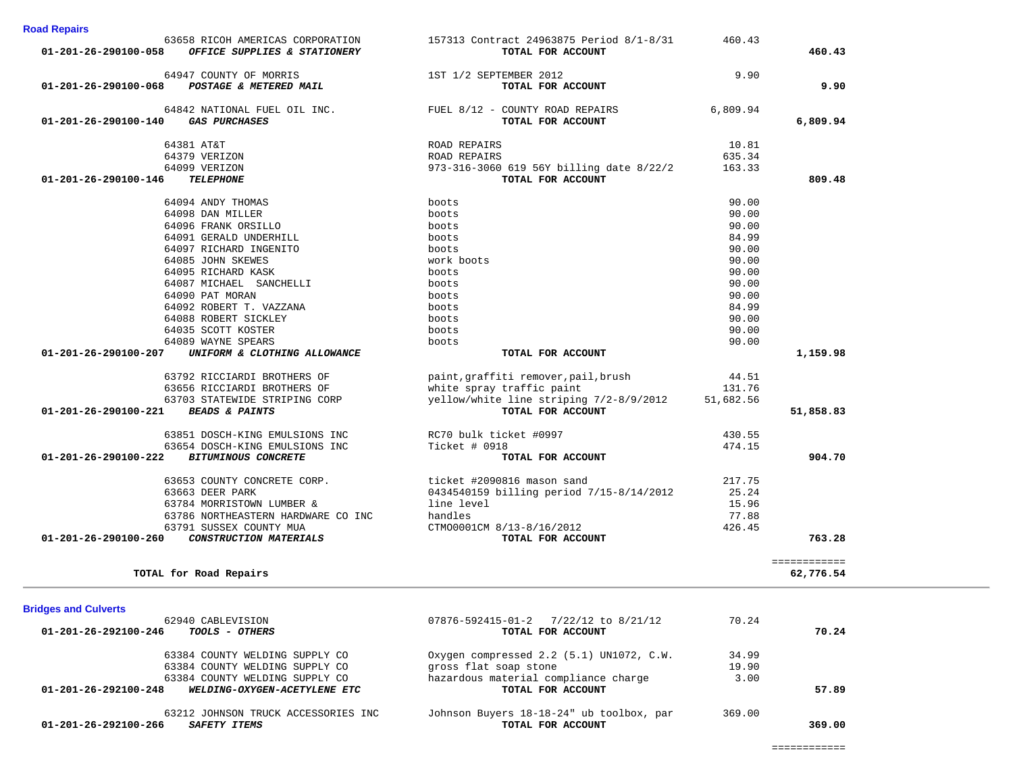| <b>DINYES AND GUIVELLS</b>                           |                                          |        |        |
|------------------------------------------------------|------------------------------------------|--------|--------|
| 62940 CABLEVISION                                    | 07876-592415-01-2 7/22/12 to 8/21/12     | 70.24  |        |
| 01-201-26-292100-246<br><i>TOOLS - OTHERS</i>        | TOTAL FOR ACCOUNT                        |        | 70.24  |
| 63384 COUNTY WELDING SUPPLY CO                       | Oxygen compressed 2.2 (5.1) UN1072, C.W. | 34.99  |        |
| 63384 COUNTY WELDING SUPPLY CO                       | gross flat soap stone                    | 19.90  |        |
| 63384 COUNTY WELDING SUPPLY CO                       | hazardous material compliance charge     | 3.00   |        |
| 01-201-26-292100-248<br>WELDING-OXYGEN-ACETYLENE ETC | TOTAL FOR ACCOUNT                        |        | 57.89  |
| 63212 JOHNSON TRUCK ACCESSORIES INC                  | Johnson Buyers 18-18-24" ub toolbox, par | 369.00 |        |
| 01-201-26-292100-266<br><i>SAFETY ITEMS</i>          | TOTAL FOR ACCOUNT                        |        | 369.00 |

| <b>Bridges and Culverts</b><br>62940 CABLEVISION             | 07876-592415-01-2 7/22/12 to 8/21/12     | 70.24  |                           |
|--------------------------------------------------------------|------------------------------------------|--------|---------------------------|
| TOTAL for Road Repairs                                       |                                          |        | :===========<br>62,776.54 |
| 01-201-26-290100-260<br>CONSTRUCTION MATERIALS               | TOTAL FOR ACCOUNT                        |        | 763.28                    |
| 63791 SUSSEX COUNTY MUA                                      | CTM00001CM 8/13-8/16/2012                | 426.45 |                           |
| 63786 NORTHEASTERN HARDWARE CO INC                           | handles                                  | 77.88  |                           |
| 63784 MORRISTOWN LUMBER &                                    | line level                               | 15.96  |                           |
| 63663 DEER PARK                                              | 0434540159 billing period 7/15-8/14/2012 | 25.24  |                           |
| 63653 COUNTY CONCRETE CORP.                                  | ticket #2090816 mason sand               | 217.75 |                           |
| $01 - 201 - 26 - 290100 - 222$<br><b>BITUMINOUS CONCRETE</b> | TOTAL FOR ACCOUNT                        |        | 904.70                    |
| 63654 DOSCH-KING EMULSIONS INC                               | Ticket # 0918                            | 474.15 |                           |
| 63851 DOSCH-KING EMULSIONS INC                               | RC70 bulk ticket #0997                   | 430.55 |                           |
|                                                              |                                          |        |                           |

| 01-201-26-290100-058 | 63658 RICOH AMERICAS CORPORATION<br>OFFICE SUPPLIES & STATIONERY      | 157313 Contract 24963875 Period 8/1-8/31<br>TOTAL FOR ACCOUNT                                    | 460.43           | 460.43    |
|----------------------|-----------------------------------------------------------------------|--------------------------------------------------------------------------------------------------|------------------|-----------|
|                      | 64947 COUNTY OF MORRIS<br>01-201-26-290100-068 POSTAGE & METERED MAIL | 1ST 1/2 SEPTEMBER 2012<br>TOTAL FOR ACCOUNT                                                      | 9.90             | 9.90      |
|                      | 01-201-26-290100-140 GAS PURCHASES                                    | 64842 NATIONAL FUEL OIL INC. $\overline{V}$ FUEL 8/12 - COUNTY ROAD REPAIRS<br>TOTAL FOR ACCOUNT | 6,809.94         | 6,809.94  |
|                      | 64381 AT&T<br>64379 VERIZON                                           | ROAD REPAIRS                                                                                     | 10.81            |           |
| 01-201-26-290100-146 | 64099 VERIZON<br><b>TELEPHONE</b>                                     | ROAD REPAIRS<br>973-316-3060 619 56Y billing date 8/22/2<br>TOTAL FOR ACCOUNT                    | 635.34<br>163.33 | 809.48    |
|                      | 64094 ANDY THOMAS                                                     | boots                                                                                            | 90.00            |           |
|                      | 64098 DAN MILLER                                                      | boots                                                                                            | 90.00            |           |
|                      | 64096 FRANK ORSILLO                                                   | boots                                                                                            | 90.00            |           |
|                      | 64091 GERALD UNDERHILL                                                | boots                                                                                            | 84.99            |           |
|                      | 64097 RICHARD INGENITO                                                | boots                                                                                            | 90.00            |           |
|                      | 64085 JOHN SKEWES                                                     | work boots                                                                                       | 90.00            |           |
|                      | 64095 RICHARD KASK                                                    | boots                                                                                            | 90.00            |           |
|                      | 64087 MICHAEL SANCHELLI                                               | boots                                                                                            | 90.00            |           |
|                      | 64090 PAT MORAN                                                       | boots                                                                                            | 90.00            |           |
|                      | 64092 ROBERT T. VAZZANA                                               | boots                                                                                            | 84.99            |           |
|                      | 64088 ROBERT SICKLEY                                                  | boots                                                                                            | 90.00            |           |
|                      | 64035 SCOTT KOSTER                                                    | boots                                                                                            | 90.00            |           |
|                      | 64089 WAYNE SPEARS                                                    | boots                                                                                            | 90.00            |           |
| 01-201-26-290100-207 | UNIFORM & CLOTHING ALLOWANCE                                          | TOTAL FOR ACCOUNT                                                                                |                  | 1,159.98  |
|                      | 63792 RICCIARDI BROTHERS OF                                           | paint, graffiti remover, pail, brush                                                             | 44.51            |           |
|                      | 63656 RICCIARDI BROTHERS OF                                           | white spray traffic paint                                                                        | 131.76           |           |
|                      | 63703 STATEWIDE STRIPING CORP                                         | yellow/white line striping 7/2-8/9/2012                                                          | 51,682.56        |           |
| 01-201-26-290100-221 | <b>BEADS &amp; PAINTS</b>                                             | TOTAL FOR ACCOUNT                                                                                |                  | 51,858.83 |
|                      | 63851 DOSCH-KING EMULSIONS INC                                        | RC70 bulk ticket #0997                                                                           | 430.55           |           |
|                      | 63654 DOSCH-KING EMULSIONS INC                                        | Ticket # 0918                                                                                    | 474.15           |           |
| 01-201-26-290100-222 | <b>BITUMINOUS CONCRETE</b>                                            | TOTAL FOR ACCOUNT                                                                                |                  | 904.70    |
|                      |                                                                       |                                                                                                  |                  |           |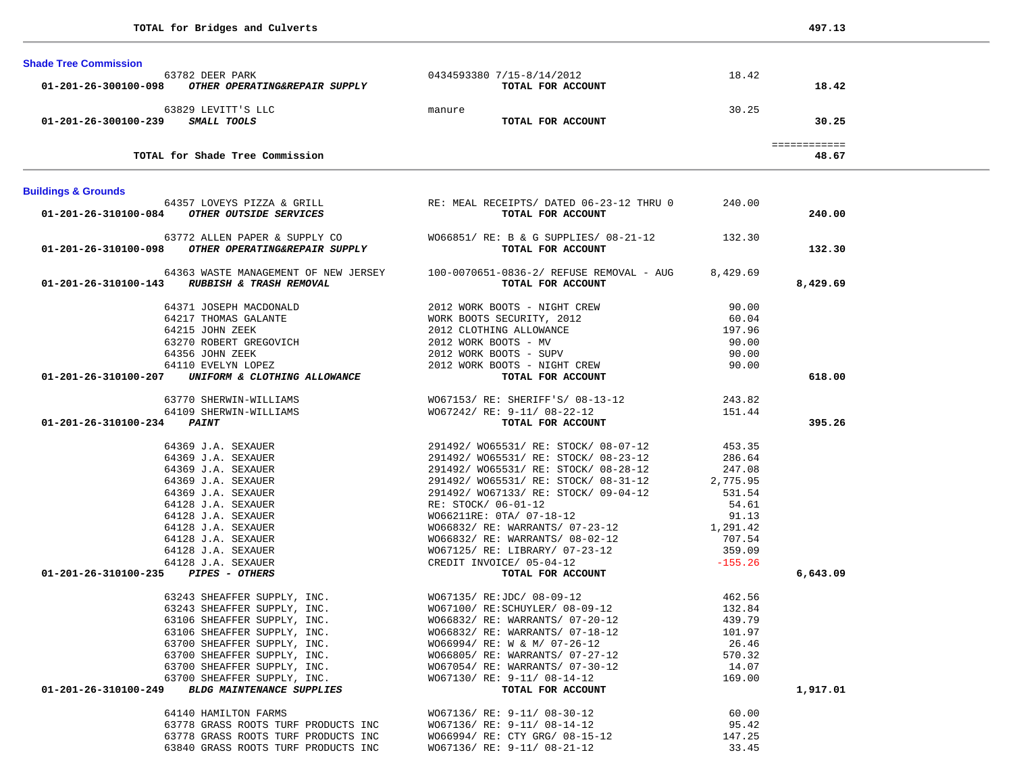| 0434593380 7/15-8/14/2012<br>18.42<br>63782 DEER PARK<br>01-201-26-300100-098 OTHER OPERATING&REPAIR SUPPLY<br>18.42<br>TOTAL FOR ACCOUNT<br>30.25<br>63829 LEVITT'S LLC<br>manure<br>01-201-26-300100-239 SMALL TOOLS<br>30.25<br>TOTAL FOR ACCOUNT<br>============<br>TOTAL for Shade Tree Commission<br>48.67<br><b>Buildings &amp; Grounds</b><br>64357 LOVEYS PIZZA & GRILL <b>EXECT AS A REGELE REGELEMENT AND ASSESS TO THE SERVICES EXECUTE A REGELEMENT CONSTITUTE OF A SERVICES CONSTITUTE A SERVICES CONSTITUTE A</b> SERVICES <b>CONSTITUTE A</b> SERVICE A SERVICE A SERVI<br>01-201-26-310100-084 OTHER OUTSIDE SERVICES<br>240.00<br>63772 ALLEN PAPER & SUPPLY CO WO66851/ RE: B & G SUPPLIES/ 08-21-12 132.30<br>01-201-26-310100-098 OTHER OPERATING&REPAIR SUPPLY<br>132.30<br>TOTAL FOR ACCOUNT<br>64363 WASTE MANAGEMENT OF NEW JERSEY 100-0070651-0836-2/ REFUSE REMOVAL - AUG<br>8,429.69<br>8,429.69<br>01-201-26-310100-143 RUBBISH & TRASH REMOVAL<br>TOTAL FOR ACCOUNT<br>64371 JOSEPH MACDONALD<br>2012 WORK BOOTS - NIGHT CREW<br>90.00<br>WORK BOOTS SECURITY, 2012<br>2012 CLOTHING ALLOWANCE<br>64217 THOMAS GALANTE<br>60.04<br>197.96<br>64215 JOHN ZEEK<br>90.00<br>90.00<br>64110 EVELYN LOPEZ<br>2012 WORK BOOTS - NIGHT CREW<br>90.00<br>01-201-26-310100-207 UNIFORM & CLOTHING ALLOWANCE<br>618.00<br>TOTAL FOR ACCOUNT<br>63770 SHERWIN-WILLIAMS WO67153/ RE: SHERIFF'S/ 08-13-12 243.82<br>WO67242/ RE: 9-11/ 08-22-12 151.44<br>64109 SHERWIN-WILLIAMS<br>01-201-26-310100-234 PAINT<br>TOTAL FOR ACCOUNT<br>395.26<br>01-201-26-310100-235 PIPES - OTHERS<br>6,643.09<br>63243 SHEAFFER SUPPLY, INC. WO67135/RE:JDC/08-09-12<br>462.56<br>132.84<br>63243 SHEAFFER SUPPLY, INC.<br>W067100/ RE:SCHUYLER/ 08-09-12<br>W066832/ RE: WARRANTS/ 07-20-12<br>439.79<br>63106 SHEAFFER SUPPLY, INC.<br>63106 SHEAFFER SUPPLY, INC.<br>W066832/ RE: WARRANTS/ 07-18-12<br>101.97<br>63700 SHEAFFER SUPPLY, INC.<br>WO66994/ RE: W & M/ 07-26-12<br>26.46<br>570.32<br>63700 SHEAFFER SUPPLY, INC.<br>WO66805/ RE: WARRANTS/ 07-27-12<br>63700 SHEAFFER SUPPLY, INC.<br>W067054/ RE: WARRANTS/ 07-30-12<br>14.07<br>63700 SHEAFFER SUPPLY, INC.<br>WO67130/ RE: 9-11/ 08-14-12<br>169.00<br>01-201-26-310100-249<br><b>BLDG MAINTENANCE SUPPLIES</b><br>1,917.01<br>TOTAL FOR ACCOUNT<br>64140 HAMILTON FARMS<br>W067136/ RE: 9-11/ 08-30-12<br>60.00<br>63778 GRASS ROOTS TURF PRODUCTS INC<br>WO67136/ RE: 9-11/ 08-14-12<br>95.42<br>63778 GRASS ROOTS TURF PRODUCTS INC<br>WO66994/ RE: CTY GRG/ 08-15-12<br>147.25 | <b>Shade Tree Commission</b> |  |  |
|-------------------------------------------------------------------------------------------------------------------------------------------------------------------------------------------------------------------------------------------------------------------------------------------------------------------------------------------------------------------------------------------------------------------------------------------------------------------------------------------------------------------------------------------------------------------------------------------------------------------------------------------------------------------------------------------------------------------------------------------------------------------------------------------------------------------------------------------------------------------------------------------------------------------------------------------------------------------------------------------------------------------------------------------------------------------------------------------------------------------------------------------------------------------------------------------------------------------------------------------------------------------------------------------------------------------------------------------------------------------------------------------------------------------------------------------------------------------------------------------------------------------------------------------------------------------------------------------------------------------------------------------------------------------------------------------------------------------------------------------------------------------------------------------------------------------------------------------------------------------------------------------------------------------------------------------------------------------------------------------------------------------------------------------------------------------------------------------------------------------------------------------------------------------------------------------------------------------------------------------------------------------------------------------------------------------------------------------------------------------------------------------------------------------------------------------------------------------------------------------------------------------------------------------------------------|------------------------------|--|--|
|                                                                                                                                                                                                                                                                                                                                                                                                                                                                                                                                                                                                                                                                                                                                                                                                                                                                                                                                                                                                                                                                                                                                                                                                                                                                                                                                                                                                                                                                                                                                                                                                                                                                                                                                                                                                                                                                                                                                                                                                                                                                                                                                                                                                                                                                                                                                                                                                                                                                                                                                                             |                              |  |  |
|                                                                                                                                                                                                                                                                                                                                                                                                                                                                                                                                                                                                                                                                                                                                                                                                                                                                                                                                                                                                                                                                                                                                                                                                                                                                                                                                                                                                                                                                                                                                                                                                                                                                                                                                                                                                                                                                                                                                                                                                                                                                                                                                                                                                                                                                                                                                                                                                                                                                                                                                                             |                              |  |  |
|                                                                                                                                                                                                                                                                                                                                                                                                                                                                                                                                                                                                                                                                                                                                                                                                                                                                                                                                                                                                                                                                                                                                                                                                                                                                                                                                                                                                                                                                                                                                                                                                                                                                                                                                                                                                                                                                                                                                                                                                                                                                                                                                                                                                                                                                                                                                                                                                                                                                                                                                                             |                              |  |  |
|                                                                                                                                                                                                                                                                                                                                                                                                                                                                                                                                                                                                                                                                                                                                                                                                                                                                                                                                                                                                                                                                                                                                                                                                                                                                                                                                                                                                                                                                                                                                                                                                                                                                                                                                                                                                                                                                                                                                                                                                                                                                                                                                                                                                                                                                                                                                                                                                                                                                                                                                                             |                              |  |  |
|                                                                                                                                                                                                                                                                                                                                                                                                                                                                                                                                                                                                                                                                                                                                                                                                                                                                                                                                                                                                                                                                                                                                                                                                                                                                                                                                                                                                                                                                                                                                                                                                                                                                                                                                                                                                                                                                                                                                                                                                                                                                                                                                                                                                                                                                                                                                                                                                                                                                                                                                                             |                              |  |  |
|                                                                                                                                                                                                                                                                                                                                                                                                                                                                                                                                                                                                                                                                                                                                                                                                                                                                                                                                                                                                                                                                                                                                                                                                                                                                                                                                                                                                                                                                                                                                                                                                                                                                                                                                                                                                                                                                                                                                                                                                                                                                                                                                                                                                                                                                                                                                                                                                                                                                                                                                                             |                              |  |  |
|                                                                                                                                                                                                                                                                                                                                                                                                                                                                                                                                                                                                                                                                                                                                                                                                                                                                                                                                                                                                                                                                                                                                                                                                                                                                                                                                                                                                                                                                                                                                                                                                                                                                                                                                                                                                                                                                                                                                                                                                                                                                                                                                                                                                                                                                                                                                                                                                                                                                                                                                                             |                              |  |  |
|                                                                                                                                                                                                                                                                                                                                                                                                                                                                                                                                                                                                                                                                                                                                                                                                                                                                                                                                                                                                                                                                                                                                                                                                                                                                                                                                                                                                                                                                                                                                                                                                                                                                                                                                                                                                                                                                                                                                                                                                                                                                                                                                                                                                                                                                                                                                                                                                                                                                                                                                                             |                              |  |  |
|                                                                                                                                                                                                                                                                                                                                                                                                                                                                                                                                                                                                                                                                                                                                                                                                                                                                                                                                                                                                                                                                                                                                                                                                                                                                                                                                                                                                                                                                                                                                                                                                                                                                                                                                                                                                                                                                                                                                                                                                                                                                                                                                                                                                                                                                                                                                                                                                                                                                                                                                                             |                              |  |  |
|                                                                                                                                                                                                                                                                                                                                                                                                                                                                                                                                                                                                                                                                                                                                                                                                                                                                                                                                                                                                                                                                                                                                                                                                                                                                                                                                                                                                                                                                                                                                                                                                                                                                                                                                                                                                                                                                                                                                                                                                                                                                                                                                                                                                                                                                                                                                                                                                                                                                                                                                                             |                              |  |  |
|                                                                                                                                                                                                                                                                                                                                                                                                                                                                                                                                                                                                                                                                                                                                                                                                                                                                                                                                                                                                                                                                                                                                                                                                                                                                                                                                                                                                                                                                                                                                                                                                                                                                                                                                                                                                                                                                                                                                                                                                                                                                                                                                                                                                                                                                                                                                                                                                                                                                                                                                                             |                              |  |  |
|                                                                                                                                                                                                                                                                                                                                                                                                                                                                                                                                                                                                                                                                                                                                                                                                                                                                                                                                                                                                                                                                                                                                                                                                                                                                                                                                                                                                                                                                                                                                                                                                                                                                                                                                                                                                                                                                                                                                                                                                                                                                                                                                                                                                                                                                                                                                                                                                                                                                                                                                                             |                              |  |  |
|                                                                                                                                                                                                                                                                                                                                                                                                                                                                                                                                                                                                                                                                                                                                                                                                                                                                                                                                                                                                                                                                                                                                                                                                                                                                                                                                                                                                                                                                                                                                                                                                                                                                                                                                                                                                                                                                                                                                                                                                                                                                                                                                                                                                                                                                                                                                                                                                                                                                                                                                                             |                              |  |  |
|                                                                                                                                                                                                                                                                                                                                                                                                                                                                                                                                                                                                                                                                                                                                                                                                                                                                                                                                                                                                                                                                                                                                                                                                                                                                                                                                                                                                                                                                                                                                                                                                                                                                                                                                                                                                                                                                                                                                                                                                                                                                                                                                                                                                                                                                                                                                                                                                                                                                                                                                                             |                              |  |  |
|                                                                                                                                                                                                                                                                                                                                                                                                                                                                                                                                                                                                                                                                                                                                                                                                                                                                                                                                                                                                                                                                                                                                                                                                                                                                                                                                                                                                                                                                                                                                                                                                                                                                                                                                                                                                                                                                                                                                                                                                                                                                                                                                                                                                                                                                                                                                                                                                                                                                                                                                                             |                              |  |  |
|                                                                                                                                                                                                                                                                                                                                                                                                                                                                                                                                                                                                                                                                                                                                                                                                                                                                                                                                                                                                                                                                                                                                                                                                                                                                                                                                                                                                                                                                                                                                                                                                                                                                                                                                                                                                                                                                                                                                                                                                                                                                                                                                                                                                                                                                                                                                                                                                                                                                                                                                                             |                              |  |  |
|                                                                                                                                                                                                                                                                                                                                                                                                                                                                                                                                                                                                                                                                                                                                                                                                                                                                                                                                                                                                                                                                                                                                                                                                                                                                                                                                                                                                                                                                                                                                                                                                                                                                                                                                                                                                                                                                                                                                                                                                                                                                                                                                                                                                                                                                                                                                                                                                                                                                                                                                                             |                              |  |  |
|                                                                                                                                                                                                                                                                                                                                                                                                                                                                                                                                                                                                                                                                                                                                                                                                                                                                                                                                                                                                                                                                                                                                                                                                                                                                                                                                                                                                                                                                                                                                                                                                                                                                                                                                                                                                                                                                                                                                                                                                                                                                                                                                                                                                                                                                                                                                                                                                                                                                                                                                                             |                              |  |  |
|                                                                                                                                                                                                                                                                                                                                                                                                                                                                                                                                                                                                                                                                                                                                                                                                                                                                                                                                                                                                                                                                                                                                                                                                                                                                                                                                                                                                                                                                                                                                                                                                                                                                                                                                                                                                                                                                                                                                                                                                                                                                                                                                                                                                                                                                                                                                                                                                                                                                                                                                                             |                              |  |  |
|                                                                                                                                                                                                                                                                                                                                                                                                                                                                                                                                                                                                                                                                                                                                                                                                                                                                                                                                                                                                                                                                                                                                                                                                                                                                                                                                                                                                                                                                                                                                                                                                                                                                                                                                                                                                                                                                                                                                                                                                                                                                                                                                                                                                                                                                                                                                                                                                                                                                                                                                                             |                              |  |  |
|                                                                                                                                                                                                                                                                                                                                                                                                                                                                                                                                                                                                                                                                                                                                                                                                                                                                                                                                                                                                                                                                                                                                                                                                                                                                                                                                                                                                                                                                                                                                                                                                                                                                                                                                                                                                                                                                                                                                                                                                                                                                                                                                                                                                                                                                                                                                                                                                                                                                                                                                                             |                              |  |  |
|                                                                                                                                                                                                                                                                                                                                                                                                                                                                                                                                                                                                                                                                                                                                                                                                                                                                                                                                                                                                                                                                                                                                                                                                                                                                                                                                                                                                                                                                                                                                                                                                                                                                                                                                                                                                                                                                                                                                                                                                                                                                                                                                                                                                                                                                                                                                                                                                                                                                                                                                                             |                              |  |  |
|                                                                                                                                                                                                                                                                                                                                                                                                                                                                                                                                                                                                                                                                                                                                                                                                                                                                                                                                                                                                                                                                                                                                                                                                                                                                                                                                                                                                                                                                                                                                                                                                                                                                                                                                                                                                                                                                                                                                                                                                                                                                                                                                                                                                                                                                                                                                                                                                                                                                                                                                                             |                              |  |  |
|                                                                                                                                                                                                                                                                                                                                                                                                                                                                                                                                                                                                                                                                                                                                                                                                                                                                                                                                                                                                                                                                                                                                                                                                                                                                                                                                                                                                                                                                                                                                                                                                                                                                                                                                                                                                                                                                                                                                                                                                                                                                                                                                                                                                                                                                                                                                                                                                                                                                                                                                                             |                              |  |  |
|                                                                                                                                                                                                                                                                                                                                                                                                                                                                                                                                                                                                                                                                                                                                                                                                                                                                                                                                                                                                                                                                                                                                                                                                                                                                                                                                                                                                                                                                                                                                                                                                                                                                                                                                                                                                                                                                                                                                                                                                                                                                                                                                                                                                                                                                                                                                                                                                                                                                                                                                                             |                              |  |  |
|                                                                                                                                                                                                                                                                                                                                                                                                                                                                                                                                                                                                                                                                                                                                                                                                                                                                                                                                                                                                                                                                                                                                                                                                                                                                                                                                                                                                                                                                                                                                                                                                                                                                                                                                                                                                                                                                                                                                                                                                                                                                                                                                                                                                                                                                                                                                                                                                                                                                                                                                                             |                              |  |  |
|                                                                                                                                                                                                                                                                                                                                                                                                                                                                                                                                                                                                                                                                                                                                                                                                                                                                                                                                                                                                                                                                                                                                                                                                                                                                                                                                                                                                                                                                                                                                                                                                                                                                                                                                                                                                                                                                                                                                                                                                                                                                                                                                                                                                                                                                                                                                                                                                                                                                                                                                                             |                              |  |  |
|                                                                                                                                                                                                                                                                                                                                                                                                                                                                                                                                                                                                                                                                                                                                                                                                                                                                                                                                                                                                                                                                                                                                                                                                                                                                                                                                                                                                                                                                                                                                                                                                                                                                                                                                                                                                                                                                                                                                                                                                                                                                                                                                                                                                                                                                                                                                                                                                                                                                                                                                                             |                              |  |  |
|                                                                                                                                                                                                                                                                                                                                                                                                                                                                                                                                                                                                                                                                                                                                                                                                                                                                                                                                                                                                                                                                                                                                                                                                                                                                                                                                                                                                                                                                                                                                                                                                                                                                                                                                                                                                                                                                                                                                                                                                                                                                                                                                                                                                                                                                                                                                                                                                                                                                                                                                                             |                              |  |  |
|                                                                                                                                                                                                                                                                                                                                                                                                                                                                                                                                                                                                                                                                                                                                                                                                                                                                                                                                                                                                                                                                                                                                                                                                                                                                                                                                                                                                                                                                                                                                                                                                                                                                                                                                                                                                                                                                                                                                                                                                                                                                                                                                                                                                                                                                                                                                                                                                                                                                                                                                                             |                              |  |  |
|                                                                                                                                                                                                                                                                                                                                                                                                                                                                                                                                                                                                                                                                                                                                                                                                                                                                                                                                                                                                                                                                                                                                                                                                                                                                                                                                                                                                                                                                                                                                                                                                                                                                                                                                                                                                                                                                                                                                                                                                                                                                                                                                                                                                                                                                                                                                                                                                                                                                                                                                                             |                              |  |  |
|                                                                                                                                                                                                                                                                                                                                                                                                                                                                                                                                                                                                                                                                                                                                                                                                                                                                                                                                                                                                                                                                                                                                                                                                                                                                                                                                                                                                                                                                                                                                                                                                                                                                                                                                                                                                                                                                                                                                                                                                                                                                                                                                                                                                                                                                                                                                                                                                                                                                                                                                                             |                              |  |  |
|                                                                                                                                                                                                                                                                                                                                                                                                                                                                                                                                                                                                                                                                                                                                                                                                                                                                                                                                                                                                                                                                                                                                                                                                                                                                                                                                                                                                                                                                                                                                                                                                                                                                                                                                                                                                                                                                                                                                                                                                                                                                                                                                                                                                                                                                                                                                                                                                                                                                                                                                                             |                              |  |  |
|                                                                                                                                                                                                                                                                                                                                                                                                                                                                                                                                                                                                                                                                                                                                                                                                                                                                                                                                                                                                                                                                                                                                                                                                                                                                                                                                                                                                                                                                                                                                                                                                                                                                                                                                                                                                                                                                                                                                                                                                                                                                                                                                                                                                                                                                                                                                                                                                                                                                                                                                                             |                              |  |  |
|                                                                                                                                                                                                                                                                                                                                                                                                                                                                                                                                                                                                                                                                                                                                                                                                                                                                                                                                                                                                                                                                                                                                                                                                                                                                                                                                                                                                                                                                                                                                                                                                                                                                                                                                                                                                                                                                                                                                                                                                                                                                                                                                                                                                                                                                                                                                                                                                                                                                                                                                                             |                              |  |  |
|                                                                                                                                                                                                                                                                                                                                                                                                                                                                                                                                                                                                                                                                                                                                                                                                                                                                                                                                                                                                                                                                                                                                                                                                                                                                                                                                                                                                                                                                                                                                                                                                                                                                                                                                                                                                                                                                                                                                                                                                                                                                                                                                                                                                                                                                                                                                                                                                                                                                                                                                                             |                              |  |  |
|                                                                                                                                                                                                                                                                                                                                                                                                                                                                                                                                                                                                                                                                                                                                                                                                                                                                                                                                                                                                                                                                                                                                                                                                                                                                                                                                                                                                                                                                                                                                                                                                                                                                                                                                                                                                                                                                                                                                                                                                                                                                                                                                                                                                                                                                                                                                                                                                                                                                                                                                                             |                              |  |  |
|                                                                                                                                                                                                                                                                                                                                                                                                                                                                                                                                                                                                                                                                                                                                                                                                                                                                                                                                                                                                                                                                                                                                                                                                                                                                                                                                                                                                                                                                                                                                                                                                                                                                                                                                                                                                                                                                                                                                                                                                                                                                                                                                                                                                                                                                                                                                                                                                                                                                                                                                                             |                              |  |  |
|                                                                                                                                                                                                                                                                                                                                                                                                                                                                                                                                                                                                                                                                                                                                                                                                                                                                                                                                                                                                                                                                                                                                                                                                                                                                                                                                                                                                                                                                                                                                                                                                                                                                                                                                                                                                                                                                                                                                                                                                                                                                                                                                                                                                                                                                                                                                                                                                                                                                                                                                                             |                              |  |  |
|                                                                                                                                                                                                                                                                                                                                                                                                                                                                                                                                                                                                                                                                                                                                                                                                                                                                                                                                                                                                                                                                                                                                                                                                                                                                                                                                                                                                                                                                                                                                                                                                                                                                                                                                                                                                                                                                                                                                                                                                                                                                                                                                                                                                                                                                                                                                                                                                                                                                                                                                                             |                              |  |  |
|                                                                                                                                                                                                                                                                                                                                                                                                                                                                                                                                                                                                                                                                                                                                                                                                                                                                                                                                                                                                                                                                                                                                                                                                                                                                                                                                                                                                                                                                                                                                                                                                                                                                                                                                                                                                                                                                                                                                                                                                                                                                                                                                                                                                                                                                                                                                                                                                                                                                                                                                                             |                              |  |  |
|                                                                                                                                                                                                                                                                                                                                                                                                                                                                                                                                                                                                                                                                                                                                                                                                                                                                                                                                                                                                                                                                                                                                                                                                                                                                                                                                                                                                                                                                                                                                                                                                                                                                                                                                                                                                                                                                                                                                                                                                                                                                                                                                                                                                                                                                                                                                                                                                                                                                                                                                                             |                              |  |  |
|                                                                                                                                                                                                                                                                                                                                                                                                                                                                                                                                                                                                                                                                                                                                                                                                                                                                                                                                                                                                                                                                                                                                                                                                                                                                                                                                                                                                                                                                                                                                                                                                                                                                                                                                                                                                                                                                                                                                                                                                                                                                                                                                                                                                                                                                                                                                                                                                                                                                                                                                                             |                              |  |  |
|                                                                                                                                                                                                                                                                                                                                                                                                                                                                                                                                                                                                                                                                                                                                                                                                                                                                                                                                                                                                                                                                                                                                                                                                                                                                                                                                                                                                                                                                                                                                                                                                                                                                                                                                                                                                                                                                                                                                                                                                                                                                                                                                                                                                                                                                                                                                                                                                                                                                                                                                                             |                              |  |  |
|                                                                                                                                                                                                                                                                                                                                                                                                                                                                                                                                                                                                                                                                                                                                                                                                                                                                                                                                                                                                                                                                                                                                                                                                                                                                                                                                                                                                                                                                                                                                                                                                                                                                                                                                                                                                                                                                                                                                                                                                                                                                                                                                                                                                                                                                                                                                                                                                                                                                                                                                                             |                              |  |  |
|                                                                                                                                                                                                                                                                                                                                                                                                                                                                                                                                                                                                                                                                                                                                                                                                                                                                                                                                                                                                                                                                                                                                                                                                                                                                                                                                                                                                                                                                                                                                                                                                                                                                                                                                                                                                                                                                                                                                                                                                                                                                                                                                                                                                                                                                                                                                                                                                                                                                                                                                                             |                              |  |  |
|                                                                                                                                                                                                                                                                                                                                                                                                                                                                                                                                                                                                                                                                                                                                                                                                                                                                                                                                                                                                                                                                                                                                                                                                                                                                                                                                                                                                                                                                                                                                                                                                                                                                                                                                                                                                                                                                                                                                                                                                                                                                                                                                                                                                                                                                                                                                                                                                                                                                                                                                                             |                              |  |  |
|                                                                                                                                                                                                                                                                                                                                                                                                                                                                                                                                                                                                                                                                                                                                                                                                                                                                                                                                                                                                                                                                                                                                                                                                                                                                                                                                                                                                                                                                                                                                                                                                                                                                                                                                                                                                                                                                                                                                                                                                                                                                                                                                                                                                                                                                                                                                                                                                                                                                                                                                                             |                              |  |  |
| 33.45<br>63840 GRASS ROOTS TURF PRODUCTS INC<br>WO67136/ RE: 9-11/ 08-21-12                                                                                                                                                                                                                                                                                                                                                                                                                                                                                                                                                                                                                                                                                                                                                                                                                                                                                                                                                                                                                                                                                                                                                                                                                                                                                                                                                                                                                                                                                                                                                                                                                                                                                                                                                                                                                                                                                                                                                                                                                                                                                                                                                                                                                                                                                                                                                                                                                                                                                 |                              |  |  |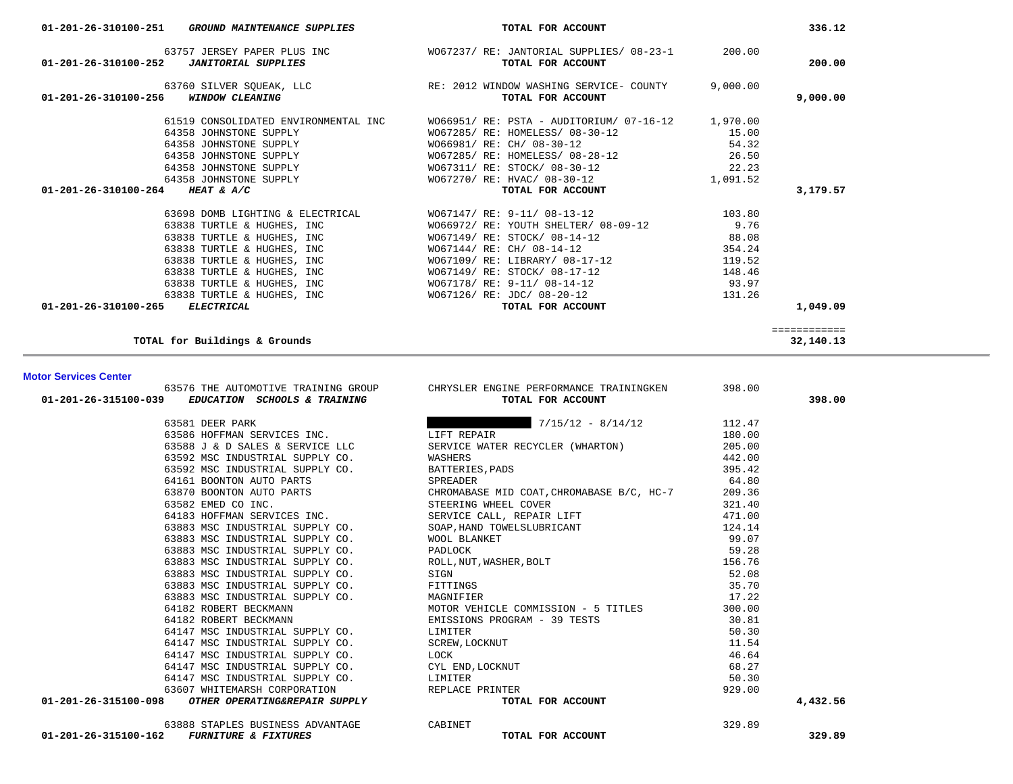| 336.12                    |          | TOTAL FOR ACCOUNT                                                    | 01-201-26-310100-251 GROUND MAINTENANCE SUPPLIES                                  |
|---------------------------|----------|----------------------------------------------------------------------|-----------------------------------------------------------------------------------|
| 200.00                    |          | WO67237/ RE: JANTORIAL SUPPLIES/ 08-23-1 200.00<br>TOTAL FOR ACCOUNT | 63757 JERSEY PAPER PLUS INC<br>01-201-26-310100-252<br><b>JANITORIAL SUPPLIES</b> |
| 9,000.00                  | 9,000.00 | RE: 2012 WINDOW WASHING SERVICE- COUNTY<br>TOTAL FOR ACCOUNT         | 63760 SILVER SQUEAK, LLC<br>01-201-26-310100-256<br><b>WINDOW CLEANING</b>        |
|                           | 1,970.00 | WO66951/ RE: PSTA - AUDITORIUM/ 07-16-12                             | 61519 CONSOLIDATED ENVIRONMENTAL INC                                              |
|                           | 15.00    | WO67285/ RE: HOMELESS/ 08-30-12                                      | 64358 JOHNSTONE SUPPLY                                                            |
|                           | 54.32    | WO66981/ RE: CH/ 08-30-12                                            | 64358 JOHNSTONE SUPPLY                                                            |
|                           | 26.50    | WO67285/ RE: HOMELESS/ 08-28-12                                      | 64358 JOHNSTONE SUPPLY                                                            |
|                           | 22.23    | W067311/ RE: STOCK/ 08-30-12                                         | 64358 JOHNSTONE SUPPLY                                                            |
|                           | 1,091.52 | W067270/ RE: HVAC/ 08-30-12                                          | 64358 JOHNSTONE SUPPLY                                                            |
| 3,179.57                  |          | TOTAL FOR ACCOUNT                                                    | 01-201-26-310100-264<br>HEAT & $A/C$                                              |
|                           | 103.80   | WO67147/ RE: 9-11/ 08-13-12                                          | 63698 DOMB LIGHTING & ELECTRICAL                                                  |
|                           | 9.76     | WO66972/ RE: YOUTH SHELTER/ 08-09-12                                 | 63838 TURTLE & HUGHES, INC                                                        |
|                           | 88.08    | W067149/ RE: STOCK/ 08-14-12                                         | 63838 TURTLE & HUGHES, INC                                                        |
|                           | 354.24   | WO67144/ RE: CH/ 08-14-12                                            | 63838 TURTLE & HUGHES, INC                                                        |
|                           | 119.52   | W067109/RE: LIBRARY/08-17-12                                         | 63838 TURTLE & HUGHES, INC                                                        |
|                           | 148.46   | W067149/ RE: STOCK/ 08-17-12                                         | 63838 TURTLE & HUGHES, INC                                                        |
|                           | 93.97    | WO67178/ RE: 9-11/ 08-14-12                                          | 63838 TURTLE & HUGHES, INC                                                        |
|                           | 131.26   | W067126/ RE: JDC/ 08-20-12                                           | 63838 TURTLE & HUGHES, INC                                                        |
| 1,049.09                  |          | TOTAL FOR ACCOUNT                                                    | $01 - 201 - 26 - 310100 - 265$<br><i>ELECTRICAL</i>                               |
| ============<br>32,140.13 |          |                                                                      | TOTAL for Buildings & Grounds                                                     |

## **Motor Services Center**

| 63576 THE AUTOMOTIVE TRAINING GROUP                     | CHRYSLER ENGINE PERFORMANCE TRAININGKEN                            | 398.00 |          |
|---------------------------------------------------------|--------------------------------------------------------------------|--------|----------|
| 01-201-26-315100-039<br>EDUCATION SCHOOLS & TRAINING    | TOTAL FOR ACCOUNT                                                  |        | 398.00   |
| 63581 DEER PARK                                         | $7/15/12 - 8/14/12$                                                | 112.47 |          |
| 63586 HOFFMAN SERVICES INC.                             | LIFT REPAIR                                                        | 180.00 |          |
|                                                         | 63588 J & D SALES & SERVICE LLC SERVICE WATER RECYCLER (WHARTON)   | 205.00 |          |
| 63592 MSC INDUSTRIAL SUPPLY CO. WASHERS                 |                                                                    | 442.00 |          |
| 63592 MSC INDUSTRIAL SUPPLY CO. BATTERIES, PADS         |                                                                    | 395.42 |          |
| 64161 BOONTON AUTO PARTS                                | SPREADER                                                           | 64.80  |          |
|                                                         | 63870 BOONTON AUTO PARTS CHROMABASE MID COAT, CHROMABASE B/C, HC-7 | 209.36 |          |
| 63582 EMED CO INC.                                      | STEERING WHEEL COVER                                               | 321.40 |          |
| 64183 HOFFMAN SERVICES INC. SERVICE CALL, REPAIR LIFT   |                                                                    | 471.00 |          |
|                                                         | 63883 MSC INDUSTRIAL SUPPLY CO. SOAP, HAND TOWELSLUBRICANT         | 124.14 |          |
| 63883 MSC INDUSTRIAL SUPPLY CO. WOOL BLANKET            | WOOL BLANKET<br>PADLOCK<br>ROLL,NUT,WASHER,BOLT<br>SIGN            | 99.07  |          |
| 63883 MSC INDUSTRIAL SUPPLY CO.                         |                                                                    | 59.28  |          |
| 63883 MSC INDUSTRIAL SUPPLY CO.                         |                                                                    | 156.76 |          |
| 63883 MSC INDUSTRIAL SUPPLY CO.                         | SIGN                                                               | 52.08  |          |
| 63883 MSC INDUSTRIAL SUPPLY CO. FITTINGS                |                                                                    | 35.70  |          |
| 63883 MSC INDUSTRIAL SUPPLY CO. MAGNIFIER               |                                                                    | 17.22  |          |
| 64182 ROBERT BECKMANN                                   | MOTOR VEHICLE COMMISSION - 5 TITLES                                | 300.00 |          |
| 64182 ROBERT BECKMANN                                   | EMISSIONS PROGRAM - 39 TESTS                                       | 30.81  |          |
| 64147 MSC INDUSTRIAL SUPPLY CO.                         | LIMITER                                                            | 50.30  |          |
| 64147 MSC INDUSTRIAL SUPPLY CO. SCREW, LOCKNUT          |                                                                    | 11.54  |          |
| 64147 MSC INDUSTRIAL SUPPLY CO.                         | LOCK                                                               | 46.64  |          |
| 64147 MSC INDUSTRIAL SUPPLY CO. CYL END, LOCKNUT        |                                                                    | 68.27  |          |
| 64147 MSC INDUSTRIAL SUPPLY CO.                         | LIMITER                                                            | 50.30  |          |
| 63607 WHITEMARSH CORPORATION                            | REPLACE PRINTER                                                    | 929.00 |          |
| OTHER OPERATING&REPAIR SUPPLY<br>01-201-26-315100-098   | TOTAL FOR ACCOUNT                                                  |        | 4,432.56 |
| 63888 STAPLES BUSINESS ADVANTAGE                        | CABINET                                                            | 329.89 |          |
| 01-201-26-315100-162<br><b>FURNITURE &amp; FIXTURES</b> | TOTAL FOR ACCOUNT                                                  |        | 329.89   |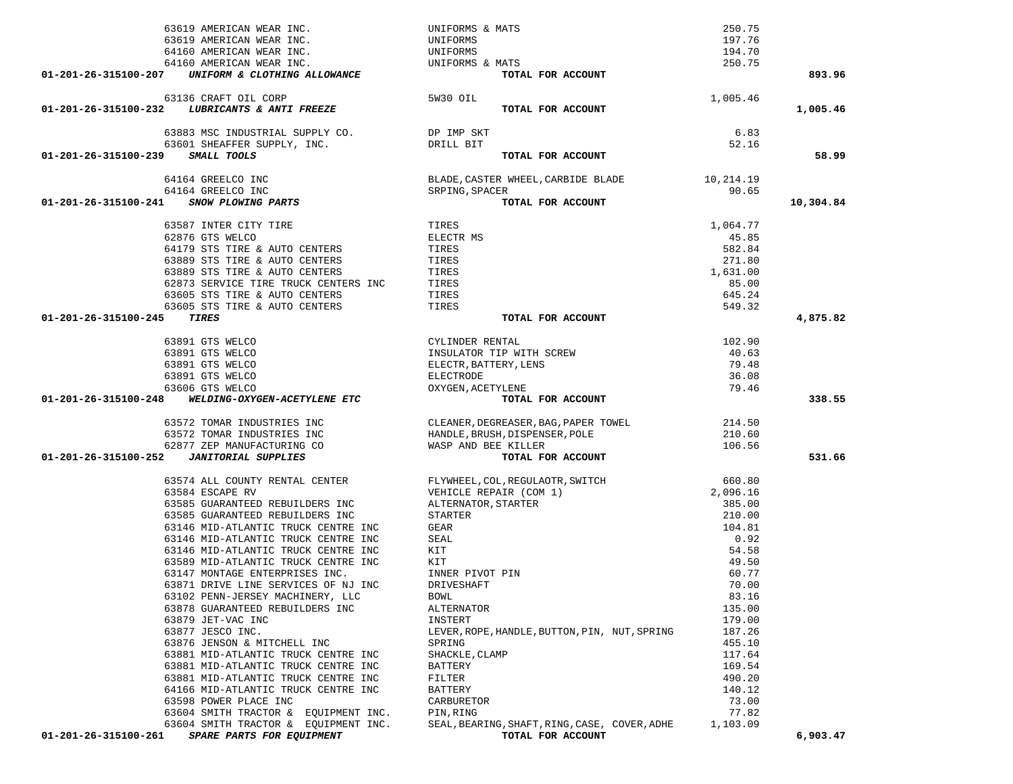| 63619 AMERICAN WEAR INC.                           |                                            | UNIFORMS & MATS                                                                              | 250.75   |           |
|----------------------------------------------------|--------------------------------------------|----------------------------------------------------------------------------------------------|----------|-----------|
| 63619 AMERICAN WEAR INC.                           |                                            | UNIFORMS                                                                                     | 197.76   |           |
| 64160 AMERICAN WEAR INC.                           |                                            | UNIFORMS                                                                                     | 194.70   |           |
| 64160 AMERICAN WEAR INC.                           |                                            | UNIFORMS & MATS                                                                              | 250.75   |           |
| 01-201-26-315100-207                               | UNIFORM & CLOTHING ALLOWANCE               | TOTAL FOR ACCOUNT                                                                            |          | 893.96    |
|                                                    |                                            |                                                                                              |          |           |
| 63136 CRAFT OIL CORP                               |                                            | 5W30 OIL                                                                                     | 1,005.46 |           |
| 01-201-26-315100-232 LUBRICANTS & ANTI FREEZE      |                                            | TOTAL FOR ACCOUNT                                                                            |          | 1,005.46  |
|                                                    | 63883 MSC INDUSTRIAL SUPPLY CO. DP IMP SKT |                                                                                              | 6.83     |           |
| 63601 SHEAFFER SUPPLY, INC.                        |                                            | DRILL BIT                                                                                    | 52.16    |           |
| 01-201-26-315100-239<br>SMALL TOOLS                |                                            | TOTAL FOR ACCOUNT                                                                            |          | 58.99     |
|                                                    |                                            |                                                                                              |          |           |
| 64164 GREELCO INC                                  |                                            |                                                                                              |          |           |
| 64164 GREELCO INC<br>SNOW PLOWING PARTS            |                                            | BLADE, CASTER WHEEL, CARBIDE BLADE 10, 214.19<br>SRPING, SPACER TOTAL FOR ACCOUNT 90.65      |          |           |
| 01-201-26-315100-241                               |                                            | TOTAL FOR ACCOUNT                                                                            |          | 10,304.84 |
| 63587 INTER CITY TIRE                              |                                            | TIRES                                                                                        | 1,064.77 |           |
| 62876 GTS WELCO                                    |                                            | ELECTR MS                                                                                    | 45.85    |           |
| 64179 STS TIRE & AUTO CENTERS                      |                                            | TIRES                                                                                        | 582.84   |           |
| 63889 STS TIRE & AUTO CENTERS                      |                                            | TIRES                                                                                        | 271.80   |           |
| 63889 STS TIRE & AUTO CENTERS                      |                                            | TIRES                                                                                        | 1,631.00 |           |
|                                                    |                                            | TIRES                                                                                        | 85.00    |           |
| 63605 STS TIRE & AUTO CENTERS                      | 62873 SERVICE TIRE TRUCK CENTERS INC       | TIRES                                                                                        | 645.24   |           |
| 63605 STS TIRE & AUTO CENTERS                      |                                            | TIRES                                                                                        | 549.32   |           |
| <b>TIRES</b><br>01-201-26-315100-245               |                                            | TOTAL FOR ACCOUNT                                                                            |          | 4,875.82  |
|                                                    |                                            |                                                                                              |          |           |
| 63891 GTS WELCO                                    |                                            | CYLINDER RENTAL                                                                              | 102.90   |           |
| 63891 GTS WELCO                                    |                                            | INSULATOR TIP WITH SCREW                                                                     | 40.63    |           |
| 63891 GTS WELCO                                    |                                            | ELECTR, BATTERY, LENS                                                                        | 79.48    |           |
| 63891 GTS WELCO                                    |                                            | ELECTRODE                                                                                    | 36.08    |           |
| 63606 GTS WELCO                                    |                                            | OXYGEN, ACETYLENE                                                                            | 79.46    |           |
| 01-201-26-315100-248 WELDING-OXYGEN-ACETYLENE ETC  |                                            | TOTAL FOR ACCOUNT                                                                            |          | 338.55    |
| 63572 TOMAR INDUSTRIES INC                         |                                            | CLEANER, DEGREASER, BAG, PAPER TOWEL<br>HANDLE, BRUSH, DISPENSER, POLE                       | 214.50   |           |
| 63572 TOMAR INDUSTRIES INC                         |                                            |                                                                                              | 210.60   |           |
|                                                    | 62877 ZEP MANUFACTURING CO                 | WASP AND BEE KILLER                                                                          | 106.56   |           |
| <b>JANITORIAL SUPPLIES</b><br>01-201-26-315100-252 |                                            | TOTAL FOR ACCOUNT                                                                            |          | 531.66    |
|                                                    |                                            |                                                                                              |          |           |
| 63574 ALL COUNTY RENTAL CENTER                     |                                            | FLYWHEEL, COL, REGULAOTR, SWITCH<br>VEHICLE REPAIR (COM 1)<br>ALTERNATOR, STARTER<br>STARTER | 660.80   |           |
| 63584 ESCAPE RV                                    |                                            |                                                                                              | 2,096.16 |           |
| 63585 GUARANTEED REBUILDERS INC                    |                                            |                                                                                              | 385.00   |           |
| 63585 GUARANTEED REBUILDERS INC                    |                                            | STARTER                                                                                      | 210.00   |           |
| 63146 MID-ATLANTIC TRUCK CENTRE INC                |                                            | GEAR                                                                                         | 104.81   |           |
| 63146 MID-ATLANTIC TRUCK CENTRE INC                |                                            | SEAL                                                                                         | 0.92     |           |
| 63146 MID-ATLANTIC TRUCK CENTRE INC                |                                            | KIT                                                                                          | 54.58    |           |
| 63589 MID-ATLANTIC TRUCK CENTRE INC                |                                            | KIT                                                                                          | 49.50    |           |
| 63147 MONTAGE ENTERPRISES INC.                     |                                            | INNER PIVOT PIN                                                                              | 60.77    |           |
| 63871 DRIVE LINE SERVICES OF NJ INC                |                                            | DRIVESHAFT                                                                                   | 70.00    |           |
| 63102 PENN-JERSEY MACHINERY, LLC                   |                                            | BOWL                                                                                         | 83.16    |           |
| 63878 GUARANTEED REBUILDERS INC                    |                                            | ALTERNATOR                                                                                   | 135.00   |           |
| 63879 JET-VAC INC                                  |                                            | INSTERT                                                                                      | 179.00   |           |
| 63877 JESCO INC.                                   |                                            | LEVER, ROPE, HANDLE, BUTTON, PIN, NUT, SPRING                                                | 187.26   |           |
| 63876 JENSON & MITCHELL INC                        |                                            | SPRING                                                                                       | 455.10   |           |
| 63881 MID-ATLANTIC TRUCK CENTRE INC                |                                            | SHACKLE, CLAMP                                                                               | 117.64   |           |
| 63881 MID-ATLANTIC TRUCK CENTRE INC                |                                            | BATTERY                                                                                      | 169.54   |           |
| 63881 MID-ATLANTIC TRUCK CENTRE INC                |                                            | FILTER                                                                                       | 490.20   |           |
| 64166 MID-ATLANTIC TRUCK CENTRE INC                |                                            | BATTERY                                                                                      | 140.12   |           |
| 63598 POWER PLACE INC                              |                                            | CARBURETOR                                                                                   | 73.00    |           |
|                                                    | 63604 SMITH TRACTOR & EQUIPMENT INC.       | PIN, RING                                                                                    | 77.82    |           |
| 63604 SMITH TRACTOR & EQUIPMENT INC.               |                                            |                                                                                              |          |           |
|                                                    |                                            | SEAL, BEARING, SHAFT, RING, CASE, COVER, ADHE                                                | 1,103.09 |           |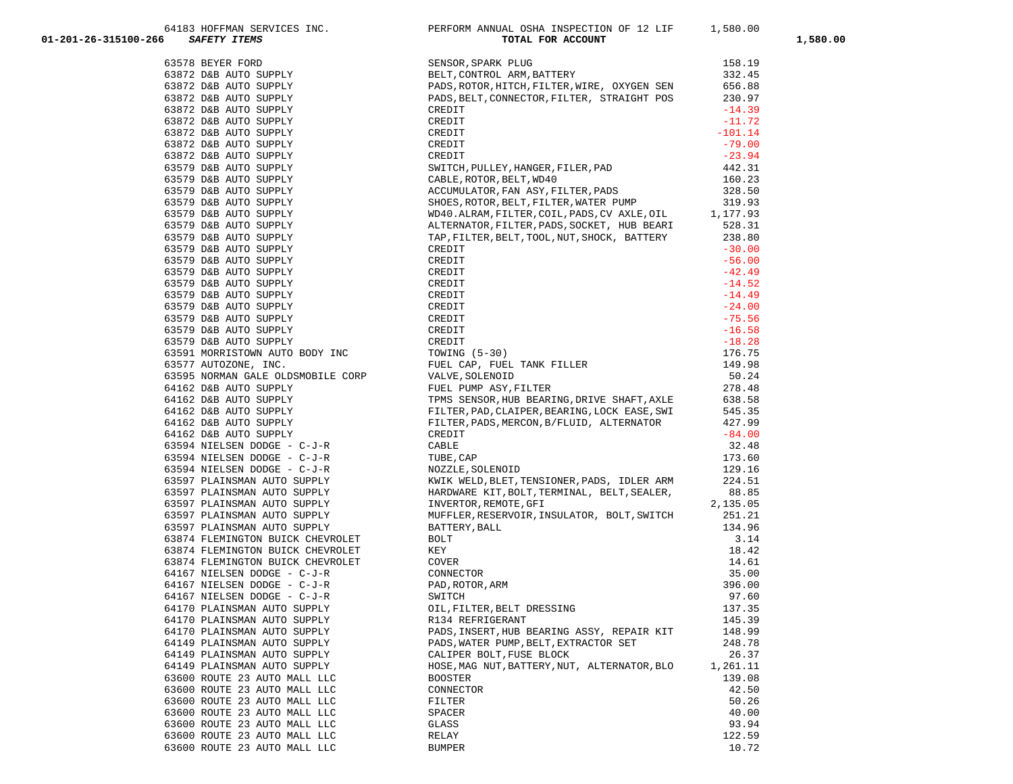| 01-201-26-315100-266         | 6 (162 MPH) 2008 (171 MPH) PRODUCES INC. PROTOCOL MANUAL PRODUCES IN CONTRACTOR (182 MPH) 2008 2017 2014 (182 MPH) 2018 (182 MPH) 2018 (182 MPH) 2018 (182 MPH) 2018 (182 MPH) 2018 (182 MPH) 2018 (182 MPH) 2018 (182 MPH)               |          | 1,580.00 |
|------------------------------|-------------------------------------------------------------------------------------------------------------------------------------------------------------------------------------------------------------------------------------------|----------|----------|
|                              |                                                                                                                                                                                                                                           |          |          |
|                              |                                                                                                                                                                                                                                           |          |          |
|                              |                                                                                                                                                                                                                                           |          |          |
|                              |                                                                                                                                                                                                                                           |          |          |
|                              |                                                                                                                                                                                                                                           |          |          |
|                              |                                                                                                                                                                                                                                           |          |          |
|                              |                                                                                                                                                                                                                                           |          |          |
|                              |                                                                                                                                                                                                                                           |          |          |
|                              |                                                                                                                                                                                                                                           |          |          |
|                              |                                                                                                                                                                                                                                           |          |          |
|                              |                                                                                                                                                                                                                                           |          |          |
|                              |                                                                                                                                                                                                                                           |          |          |
|                              |                                                                                                                                                                                                                                           |          |          |
|                              |                                                                                                                                                                                                                                           |          |          |
|                              |                                                                                                                                                                                                                                           |          |          |
|                              |                                                                                                                                                                                                                                           |          |          |
|                              |                                                                                                                                                                                                                                           |          |          |
|                              |                                                                                                                                                                                                                                           |          |          |
|                              |                                                                                                                                                                                                                                           |          |          |
|                              |                                                                                                                                                                                                                                           |          |          |
|                              |                                                                                                                                                                                                                                           |          |          |
|                              |                                                                                                                                                                                                                                           |          |          |
|                              |                                                                                                                                                                                                                                           |          |          |
|                              |                                                                                                                                                                                                                                           |          |          |
|                              |                                                                                                                                                                                                                                           |          |          |
|                              |                                                                                                                                                                                                                                           |          |          |
|                              |                                                                                                                                                                                                                                           |          |          |
|                              |                                                                                                                                                                                                                                           |          |          |
|                              |                                                                                                                                                                                                                                           |          |          |
|                              |                                                                                                                                                                                                                                           |          |          |
|                              |                                                                                                                                                                                                                                           |          |          |
|                              |                                                                                                                                                                                                                                           |          |          |
|                              |                                                                                                                                                                                                                                           |          |          |
|                              |                                                                                                                                                                                                                                           |          |          |
|                              |                                                                                                                                                                                                                                           |          |          |
|                              |                                                                                                                                                                                                                                           |          |          |
|                              |                                                                                                                                                                                                                                           |          |          |
|                              |                                                                                                                                                                                                                                           |          |          |
|                              |                                                                                                                                                                                                                                           |          |          |
|                              |                                                                                                                                                                                                                                           |          |          |
|                              | 63597 PLAINSMAN AUTO SUPPLY<br>63874 FLEMINGTON BUICK CHEVROLET<br>63874 FLEMINGTON BUICK CHEVROLET<br>63874 FLEMINGTON BUICK CHEVROLET<br>63874 FLEMINGTON BUICK CHEVROLET<br>64167 NIELSEN DODGE – C-J-R<br>64167 NIELSEN DODGE – C-J-R |          |          |
|                              |                                                                                                                                                                                                                                           | 18.42    |          |
|                              |                                                                                                                                                                                                                                           | 14.61    |          |
|                              |                                                                                                                                                                                                                                           | 35.00    |          |
|                              |                                                                                                                                                                                                                                           | 396.00   |          |
|                              |                                                                                                                                                                                                                                           | 97.60    |          |
| 64170 PLAINSMAN AUTO SUPPLY  | OIL, FILTER, BELT DRESSING                                                                                                                                                                                                                | 137.35   |          |
| 64170 PLAINSMAN AUTO SUPPLY  | R134 REFRIGERANT                                                                                                                                                                                                                          | 145.39   |          |
| 64170 PLAINSMAN AUTO SUPPLY  | PADS, INSERT, HUB BEARING ASSY, REPAIR KIT                                                                                                                                                                                                | 148.99   |          |
| 64149 PLAINSMAN AUTO SUPPLY  | PADS, WATER PUMP, BELT, EXTRACTOR SET                                                                                                                                                                                                     | 248.78   |          |
| 64149 PLAINSMAN AUTO SUPPLY  | CALIPER BOLT, FUSE BLOCK                                                                                                                                                                                                                  | 26.37    |          |
| 64149 PLAINSMAN AUTO SUPPLY  | HOSE, MAG NUT, BATTERY, NUT, ALTERNATOR, BLO                                                                                                                                                                                              | 1,261.11 |          |
| 63600 ROUTE 23 AUTO MALL LLC | <b>BOOSTER</b>                                                                                                                                                                                                                            | 139.08   |          |
| 63600 ROUTE 23 AUTO MALL LLC | CONNECTOR                                                                                                                                                                                                                                 | 42.50    |          |
| 63600 ROUTE 23 AUTO MALL LLC | FILTER                                                                                                                                                                                                                                    | 50.26    |          |
| 63600 ROUTE 23 AUTO MALL LLC | SPACER                                                                                                                                                                                                                                    | 40.00    |          |
| 63600 ROUTE 23 AUTO MALL LLC | GLASS                                                                                                                                                                                                                                     | 93.94    |          |
| 63600 ROUTE 23 AUTO MALL LLC | RELAY                                                                                                                                                                                                                                     | 122.59   |          |
| 63600 ROUTE 23 AUTO MALL LLC | <b>BUMPER</b>                                                                                                                                                                                                                             | 10.72    |          |

64183 HOFFMAN SERVICES INC. THE PERFORM ANNUAL OSHA INSPECTION OF 12 LIF 1,580.00

| TOTAL LOW WOODMI                           |                    |
|--------------------------------------------|--------------------|
| ISOR,SPARK PLUG                            | 158.19             |
| T, CONTROL ARM, BATTERY                    | 332.45             |
| OS, ROTOR, HITCH, FILTER, WIRE, OXYGEN SEN | 656.88             |
| OS, BELT, CONNECTOR, FILTER, STRAIGHT POS  | 230.97             |
| IDIT                                       | $-14.39$           |
| IDIT                                       | $-11.72$           |
| IDIT                                       | $-101.14$          |
| IDIT                                       | $-79.00$           |
| IDIT                                       | $-23.94$           |
| ITCH, PULLEY, HANGER, FILER, PAD           | 442.31             |
| BLE, ROTOR, BELT, WD40                     | 160.23             |
| CUMULATOR, FAN ASY, FILTER, PADS           | 328.50             |
| ES, ROTOR, BELT, FILTER, WATER PUMP        | 319.93             |
| 10.ALRAM,FILTER,COIL,PADS,CV AXLE,OIL      | 1,177.93           |
| ERNATOR, FILTER, PADS, SOCKET, HUB BEARI   | 528.31             |
| , FILTER, BELT, TOOL, NUT, SHOCK, BATTERY  | 238.80             |
| IDIT                                       | $-30.00$           |
| CDIT                                       | $-56.00$           |
| IDIT                                       | $-42.49$           |
| IDIT                                       | $-14.52$           |
| IDIT                                       | $-14.49$           |
| IDIT                                       | $-24.00$           |
| IDIT                                       | $-75.56$           |
| CDIT                                       | $-16.58$           |
| IDIT                                       | $-18.28$           |
| WING (5-30)                                | 176.75             |
| LL CAP, FUEL TANK FILLER                   | 149.98             |
| VE,SOLENOID                                | 50.24              |
| LL PUMP ASY, FILTER                        | 278.48             |
| IS SENSOR, HUB BEARING, DRIVE SHAFT, AXLE  | 638.58             |
| TER, PAD, CLAIPER, BEARING, LOCK EASE, SWI | 545.35             |
| TER, PADS, MERCON, B/FLUID, ALTERNATOR     | 427.99<br>$-84.00$ |
| IDIT<br>3LE                                | 32.48              |
| BE,CAP                                     | 173.60             |
| ZZLE,SOLENOID                              | 129.16             |
| IK WELD,BLET,TENSIONER,PADS, IDLER ARM     | 224.51             |
| RDWARE KIT, BOLT, TERMINAL, BELT, SEALER,  | 88.85              |
| /ERTOR,REMOTE,GFI                          | 2,135.05           |
| FLER, RESERVOIR, INSULATOR, BOLT, SWITCH   | 251.21             |
| ITERY , BALL                               | 134.96             |
| л                                          | 3.14               |
| ŗ                                          | 18.42              |
| /ER                                        | 14.61              |
| <b>INECTOR</b>                             | 35.00              |
| ),ROTOR,ARM                                | 396.00             |
| ITCH                                       | 97.60              |
| , FILTER, BELT DRESSING                    | 137.35             |
| <b>34 REFRIGERANT</b>                      | 145.39             |
| OS,INSERT,HUB BEARING ASSY, REPAIR KIT     | 148.99             |
| OS, WATER PUMP, BELT, EXTRACTOR SET        | 248.78             |
| IPER BOLT, FUSE BLOCK                      | 26.37              |
| E, MAG NUT, BATTERY, NUT, ALTERNATOR, BLO  | 1,261.11           |
| <b>STER</b>                                | 139.08             |
| <b>INECTOR</b>                             | 42.50              |
| .TER                                       | 50.26              |
| ACER                                       | 40.00              |
| ۱SS                                        | 93.94              |
| ιAΥ<br>1 D F.R                             | 122.59<br>10 72    |
|                                            |                    |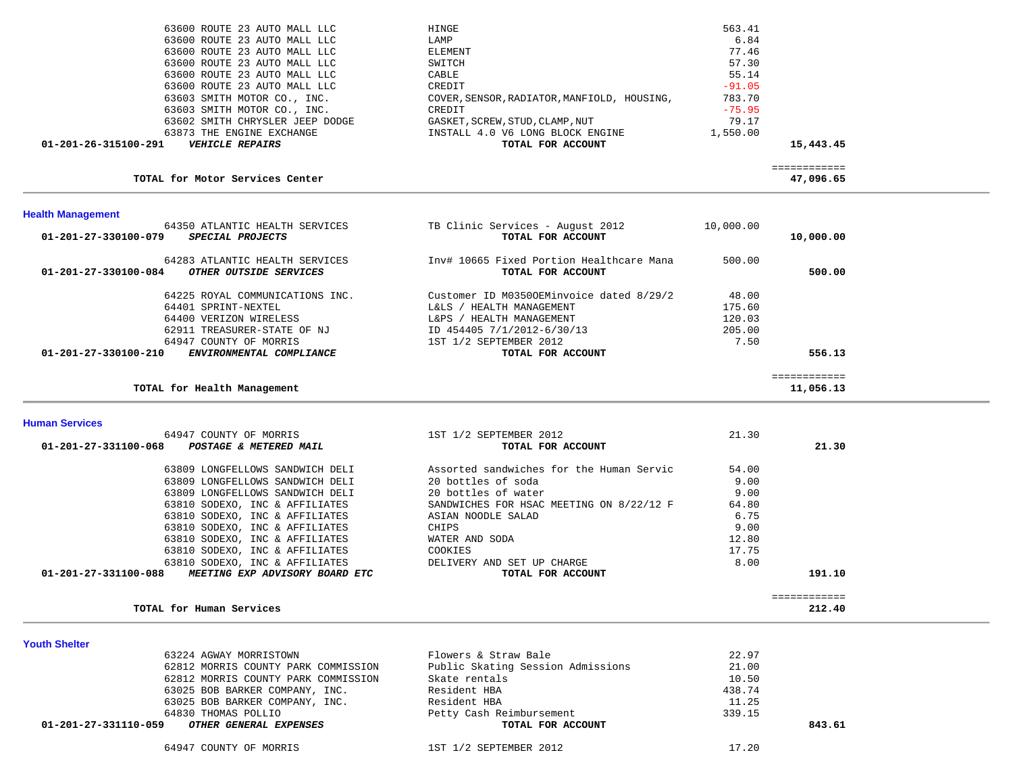| 01-201-26-315100-291<br><b>VEHICLE REPAIRS</b> | TOTAL FOR ACCOUNT                           |          | 15,443.45 |
|------------------------------------------------|---------------------------------------------|----------|-----------|
| 63873 THE ENGINE EXCHANGE                      | INSTALL 4.0 V6 LONG BLOCK ENGINE            | 1,550.00 |           |
| 63602 SMITH CHRYSLER JEEP DODGE                | GASKET, SCREW, STUD, CLAMP, NUT             | 79.17    |           |
| 63603 SMITH MOTOR CO., INC.                    | CREDIT                                      | $-75.95$ |           |
| 63603 SMITH MOTOR CO., INC.                    | COVER, SENSOR, RADIATOR, MANFIOLD, HOUSING, | 783.70   |           |
| 63600 ROUTE 23 AUTO MALL LLC                   | CREDIT                                      | $-91.05$ |           |
| 63600 ROUTE 23 AUTO MALL LLC                   | CABLE                                       | 55.14    |           |
| 63600 ROUTE 23 AUTO MALL LLC                   | SWITCH                                      | 57.30    |           |
| 63600 ROUTE 23 AUTO MALL LLC                   | ELEMENT                                     | 77.46    |           |
| 63600 ROUTE 23 AUTO MALL LLC                   | LAMP                                        | 6.84     |           |
| 63600 ROUTE 23 AUTO MALL LLC                   | HINGE                                       | 563.41   |           |

TOTAL for Motor Services Center

============

47,096.65

| <b>Health Management</b>                                                             |                                                               |           |              |
|--------------------------------------------------------------------------------------|---------------------------------------------------------------|-----------|--------------|
| 64350 ATLANTIC HEALTH SERVICES<br>$01 - 201 - 27 - 330100 - 079$<br>SPECIAL PROJECTS | TB Clinic Services - August 2012<br>TOTAL FOR ACCOUNT         | 10,000.00 | 10,000.00    |
| 64283 ATLANTIC HEALTH SERVICES<br>01-201-27-330100-084<br>OTHER OUTSIDE SERVICES     | Inv# 10665 Fixed Portion Healthcare Mana<br>TOTAL FOR ACCOUNT | 500.00    | 500.00       |
| 64225 ROYAL COMMUNICATIONS INC.                                                      | Customer ID M03500EMinvoice dated 8/29/2                      | 48.00     |              |
| 64401 SPRINT-NEXTEL                                                                  | HEALTH MANAGEMENT<br>L&LS /                                   | 175.60    |              |
| 64400 VERIZON WIRELESS                                                               | HEALTH MANAGEMENT<br>L&PS /                                   | 120.03    |              |
| 62911 TREASURER-STATE OF NJ                                                          | ID 454405 7/1/2012-6/30/13                                    | 205.00    |              |
| 64947 COUNTY OF MORRIS                                                               | 1ST 1/2 SEPTEMBER 2012                                        | 7.50      |              |
| 01-201-27-330100-210<br>ENVIRONMENTAL COMPLIANCE                                     | TOTAL FOR ACCOUNT                                             |           | 556.13       |
|                                                                                      |                                                               |           | ============ |
| TOTAL for Health Management                                                          |                                                               |           | 11,056.13    |

### **Human Services**

| 64947 COUNTY OF MORRIS<br>01-201-27-331100-068<br>POSTAGE & METERED MAIL | 1ST 1/2 SEPTEMBER 2012<br>TOTAL FOR ACCOUNT | 21.30 | 21.30  |
|--------------------------------------------------------------------------|---------------------------------------------|-------|--------|
|                                                                          |                                             |       |        |
| 63809 LONGFELLOWS SANDWICH DELI                                          | Assorted sandwiches for the Human Servic    | 54.00 |        |
| 63809 LONGFELLOWS SANDWICH DELI                                          | 20 bottles of soda                          | 9.00  |        |
| 63809 LONGFELLOWS SANDWICH DELI                                          | 20 bottles of water                         | 9.00  |        |
| 63810 SODEXO, INC & AFFILIATES                                           | SANDWICHES FOR HSAC MEETING ON 8/22/12 F    | 64.80 |        |
| 63810 SODEXO, INC & AFFILIATES                                           | ASIAN NOODLE SALAD                          | 6.75  |        |
| 63810 SODEXO, INC & AFFILIATES                                           | CHIPS                                       | 9.00  |        |
| 63810 SODEXO, INC & AFFILIATES                                           | WATER AND SODA                              | 12.80 |        |
| 63810 SODEXO, INC & AFFILIATES                                           | COOKIES                                     | 17.75 |        |
| 63810 SODEXO, INC & AFFILIATES                                           | DELIVERY AND SET UP CHARGE                  | 8.00  |        |
| 01-201-27-331100-088<br><i>MEETING EXP ADVISORY BOARD ETC</i>            | TOTAL FOR ACCOUNT                           |       | 191.10 |

## **TOTAL for Human Services 212.40**

| 843.61 |
|--------|
|        |
|        |
|        |
|        |
|        |
|        |
|        |
|        |

============

64947 COUNTY OF MORRIS 1ST 1/2 SEPTEMBER 2012 17.20

212.40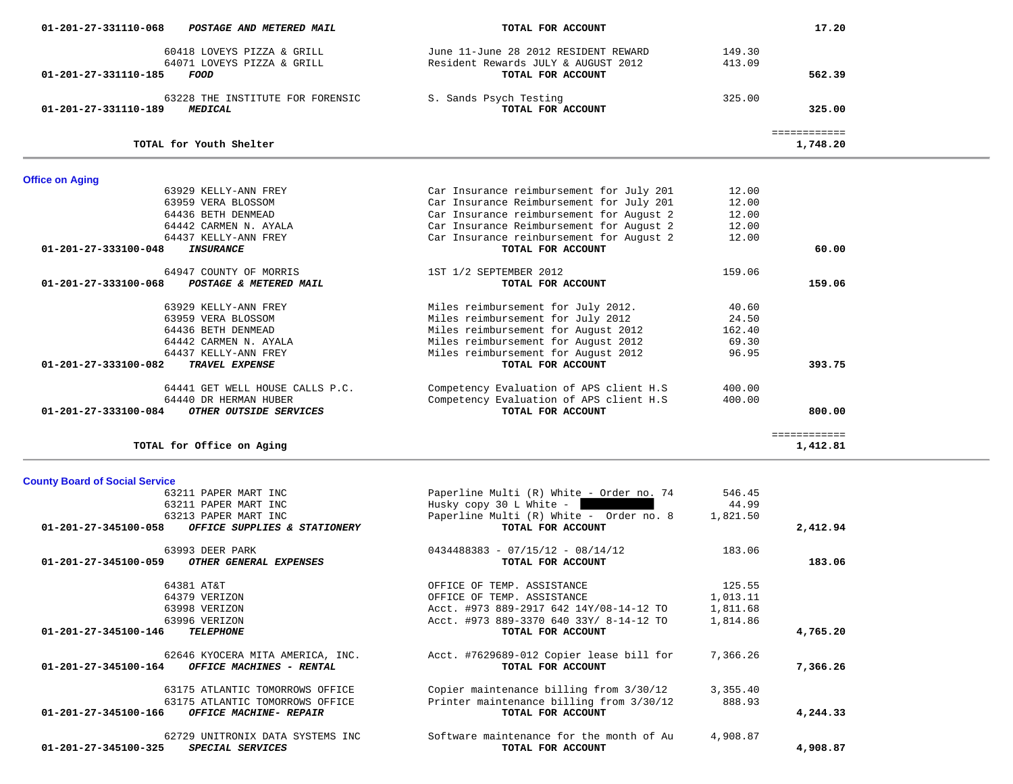| 64071 LOVEYS PIZZA & GRILL<br>01-201-27-331110-185<br><i>FOOD</i>          | Resident Rewards JULY & AUGUST 2012<br>TOTAL FOR ACCOUNT            | 413.09          | 562.39                   |  |
|----------------------------------------------------------------------------|---------------------------------------------------------------------|-----------------|--------------------------|--|
| 63228 THE INSTITUTE FOR FORENSIC<br>01-201-27-331110-189<br><b>MEDICAL</b> | S. Sands Psych Testing<br>TOTAL FOR ACCOUNT                         | 325.00          | 325.00                   |  |
| TOTAL for Youth Shelter                                                    |                                                                     |                 | ============<br>1,748.20 |  |
| <b>Office on Aging</b>                                                     |                                                                     |                 |                          |  |
| 63929 KELLY-ANN FREY                                                       | Car Insurance reimbursement for July 201                            | 12.00           |                          |  |
| 63959 VERA BLOSSOM                                                         | Car Insurance Reimbursement for July 201                            | 12.00           |                          |  |
| 64436 BETH DENMEAD                                                         | Car Insurance reimbursement for August 2                            | 12.00           |                          |  |
| 64442 CARMEN N. AYALA                                                      | Car Insurance Reimbursement for August 2                            | 12.00           |                          |  |
| 64437 KELLY-ANN FREY                                                       | Car Insurance reinbursement for August 2                            | 12.00           |                          |  |
| 01-201-27-333100-048<br><b>INSURANCE</b>                                   | TOTAL FOR ACCOUNT                                                   |                 | 60.00                    |  |
|                                                                            |                                                                     |                 |                          |  |
| 64947 COUNTY OF MORRIS                                                     | 1ST 1/2 SEPTEMBER 2012                                              | 159.06          |                          |  |
| POSTAGE & METERED MAIL<br>01-201-27-333100-068                             | TOTAL FOR ACCOUNT                                                   |                 | 159.06                   |  |
| 63929 KELLY-ANN FREY                                                       | Miles reimbursement for July 2012.                                  | 40.60           |                          |  |
| 63959 VERA BLOSSOM                                                         | Miles reimbursement for July 2012                                   | 24.50           |                          |  |
| 64436 BETH DENMEAD                                                         | Miles reimbursement for August 2012                                 | 162.40          |                          |  |
| 64442 CARMEN N. AYALA                                                      | Miles reimbursement for August 2012                                 | 69.30           |                          |  |
| 64437 KELLY-ANN FREY                                                       | Miles reimbursement for August 2012                                 | 96.95           |                          |  |
| 01-201-27-333100-082<br>TRAVEL EXPENSE                                     | TOTAL FOR ACCOUNT                                                   |                 | 393.75                   |  |
|                                                                            |                                                                     |                 |                          |  |
| 64441 GET WELL HOUSE CALLS P.C.                                            | Competency Evaluation of APS client H.S                             | 400.00          |                          |  |
| 64440 DR HERMAN HUBER                                                      | Competency Evaluation of APS client H.S                             | 400.00          |                          |  |
| OTHER OUTSIDE SERVICES<br>01-201-27-333100-084                             | TOTAL FOR ACCOUNT                                                   |                 | 800.00                   |  |
|                                                                            |                                                                     |                 | ============             |  |
| TOTAL for Office on Aging                                                  |                                                                     |                 | 1,412.81                 |  |
|                                                                            |                                                                     |                 |                          |  |
| <b>County Board of Social Service</b>                                      |                                                                     |                 |                          |  |
| 63211 PAPER MART INC<br>63211 PAPER MART INC                               | Paperline Multi (R) White - Order no. 74<br>Husky copy 30 L White - | 546.45<br>44.99 |                          |  |
| 63213 PAPER MART INC                                                       | Paperline Multi (R) White - Order no. 8                             | 1,821.50        |                          |  |
| OFFICE SUPPLIES & STATIONERY<br>01-201-27-345100-058                       | TOTAL FOR ACCOUNT                                                   |                 | 2,412.94                 |  |
|                                                                            |                                                                     |                 |                          |  |
| 63993 DEER PARK                                                            | $0434488383 - 07/15/12 - 08/14/12$                                  | 183.06          |                          |  |
| OTHER GENERAL EXPENSES<br>01-201-27-345100-059                             | TOTAL FOR ACCOUNT                                                   |                 | 183.06                   |  |
| 64381 AT&T                                                                 | OFFICE OF TEMP. ASSISTANCE                                          | 125.55          |                          |  |
| 64379 VERIZON                                                              | OFFICE OF TEMP. ASSISTANCE                                          | 1,013.11        |                          |  |
| 63998 VERIZON                                                              | Acct. #973 889-2917 642 14Y/08-14-12 TO                             | 1,811.68        |                          |  |
| 63996 VERIZON                                                              | Acct. #973 889-3370 640 33Y/ 8-14-12 TO                             | 1,814.86        |                          |  |
| 01-201-27-345100-146<br><b>TELEPHONE</b>                                   | TOTAL FOR ACCOUNT                                                   |                 | 4,765.20                 |  |
|                                                                            |                                                                     |                 |                          |  |
| 62646 KYOCERA MITA AMERICA, INC.                                           | Acct. #7629689-012 Copier lease bill for                            | 7,366.26        |                          |  |
| 01-201-27-345100-164<br>OFFICE MACHINES - RENTAL                           | TOTAL FOR ACCOUNT                                                   |                 | 7,366.26                 |  |
| 63175 ATLANTIC TOMORROWS OFFICE                                            | Copier maintenance billing from 3/30/12                             | 3,355.40        |                          |  |
| 63175 ATLANTIC TOMORROWS OFFICE                                            | Printer maintenance billing from 3/30/12                            | 888.93          |                          |  |
| 01-201-27-345100-166<br><b>OFFICE MACHINE- REPAIR</b>                      | TOTAL FOR ACCOUNT                                                   |                 | 4,244.33                 |  |
|                                                                            |                                                                     |                 |                          |  |
| 62729 UNITRONIX DATA SYSTEMS INC                                           | Software maintenance for the month of Au                            | 4,908.87        |                          |  |
| SPECIAL SERVICES<br>01-201-27-345100-325                                   | TOTAL FOR ACCOUNT                                                   |                 | 4,908.87                 |  |
|                                                                            |                                                                     |                 |                          |  |

17.20

 **01-201-27-331110-068** *POSTAGE AND METERED MAIL* **TOTAL FOR ACCOUNT 17.20**

60418 LOVEYS PIZZA & GRILL June 11-June 28 2012 RESIDENT REWARD 149.30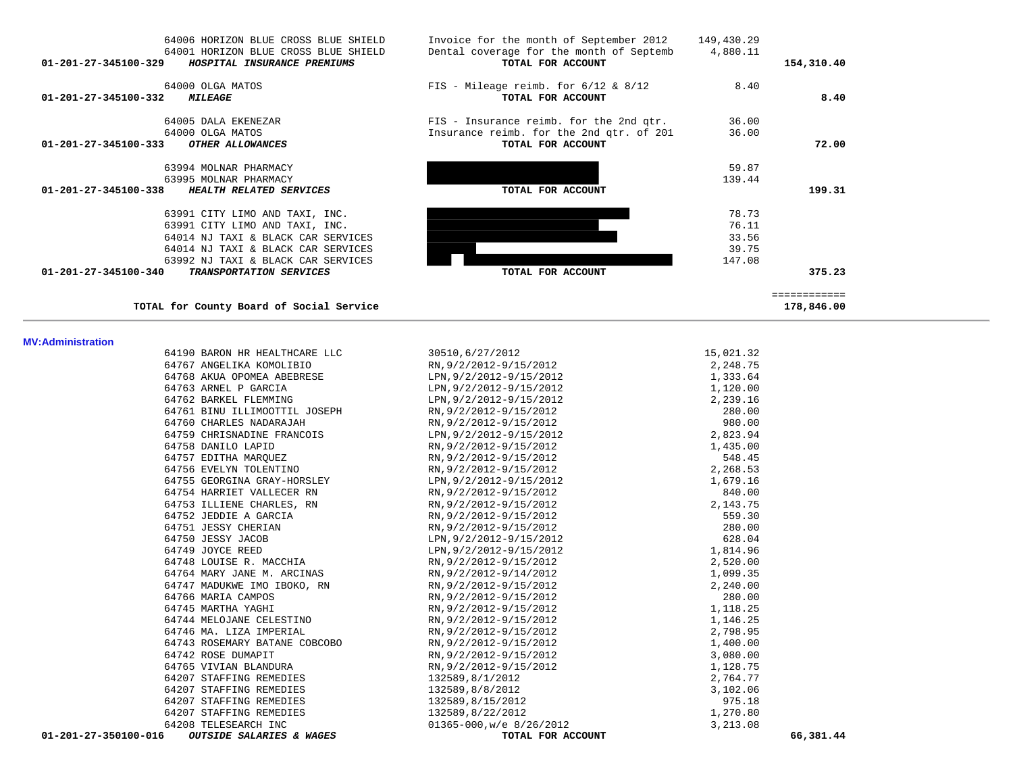| 01-201-27-345100-329           | 64006 HORIZON BLUE CROSS BLUE SHIELD<br>64001 HORIZON BLUE CROSS BLUE SHIELD<br>HOSPITAL INSURANCE PREMIUMS                                                                        | Invoice for the month of September 2012<br>Dental coverage for the month of Septemb<br>TOTAL FOR ACCOUNT | 149,430.29<br>4,880.11                     | 154,310.40                           |
|--------------------------------|------------------------------------------------------------------------------------------------------------------------------------------------------------------------------------|----------------------------------------------------------------------------------------------------------|--------------------------------------------|--------------------------------------|
| 01-201-27-345100-332           | 64000 OLGA MATOS<br><i><b>MILEAGE</b></i>                                                                                                                                          | FIS - Mileage reimb. for $6/12$ & $8/12$<br>TOTAL FOR ACCOUNT                                            | 8.40                                       | 8.40                                 |
| $01 - 201 - 27 - 345100 - 333$ | 64005 DALA EKENEZAR<br>64000 OLGA MATOS<br>OTHER ALLOWANCES                                                                                                                        | FIS - Insurance reimb. for the 2nd qtr.<br>Insurance reimb. for the 2nd qtr. of 201<br>TOTAL FOR ACCOUNT | 36.00<br>36.00                             | 72.00                                |
| 01-201-27-345100-338           | 63994 MOLNAR PHARMACY<br>63995 MOLNAR PHARMACY<br>HEALTH RELATED SERVICES                                                                                                          | TOTAL FOR ACCOUNT                                                                                        | 59.87<br>139.44                            | 199.31                               |
|                                | 63991 CITY LIMO AND TAXI, INC.<br>63991 CITY LIMO AND TAXI, INC.<br>64014 NJ TAXI & BLACK CAR SERVICES<br>64014 NJ TAXI & BLACK CAR SERVICES<br>63992 NJ TAXI & BLACK CAR SERVICES |                                                                                                          | 78.73<br>76.11<br>33.56<br>39.75<br>147.08 |                                      |
| $01 - 201 - 27 - 345100 - 340$ | TRANSPORTATION SERVICES<br>TOTAL for County Board of Social Service                                                                                                                | TOTAL FOR ACCOUNT                                                                                        |                                            | 375.23<br>============<br>178,846.00 |

# **MV**

| <b>MV:Administration</b> |                               |                          |                                               |
|--------------------------|-------------------------------|--------------------------|-----------------------------------------------|
|                          | 64190 BARON HR HEALTHCARE LLC | 30510,6/27/2012          | 15,021.32                                     |
|                          | 64767 ANGELIKA KOMOLIBIO      | RN, 9/2/2012-9/15/2012   | 2,248.75                                      |
|                          | 64768 AKUA OPOMEA ABEBRESE    | LPN, 9/2/2012-9/15/2012  | 1,333.64                                      |
|                          | 64763 ARNEL P GARCIA          | LPN, 9/2/2012-9/15/2012  | 1,120.00                                      |
|                          | 64762 BARKEL FLEMMING         | LPN, 9/2/2012-9/15/2012  | 2,239.16                                      |
|                          | 64761 BINU ILLIMOOTTIL JOSEPH | RN, 9/2/2012-9/15/2012   | 280.00                                        |
|                          | 64760 CHARLES NADARAJAH       | RN, 9/2/2012-9/15/2012   | 980.00                                        |
|                          | 64759 CHRISNADINE FRANCOIS    | LPN, 9/2/2012-9/15/2012  | 2,823.94                                      |
|                          | 64758 DANILO LAPID            | RN, 9/2/2012-9/15/2012   | 1,435.00                                      |
|                          | 64757 EDITHA MARQUEZ          | RN, 9/2/2012-9/15/2012   | 548.45                                        |
|                          | 64756 EVELYN TOLENTINO        | RN, 9/2/2012-9/15/2012   | 2, 268.53<br>1, 679.16<br>840.00<br>2, 143.75 |
|                          | 64755 GEORGINA GRAY-HORSLEY   | LPN, 9/2/2012-9/15/2012  |                                               |
|                          | 64754 HARRIET VALLECER RN     | RN, 9/2/2012-9/15/2012   |                                               |
|                          | 64753 ILLIENE CHARLES, RN     | RN, 9/2/2012-9/15/2012   |                                               |
|                          | 64752 JEDDIE A GARCIA         | RN, 9/2/2012-9/15/2012   | 559.30                                        |
|                          | 64751 JESSY CHERIAN           | RN, 9/2/2012-9/15/2012   | 280.00                                        |
|                          | 64750 JESSY JACOB             | LPN, 9/2/2012-9/15/2012  | 628.04                                        |
|                          | 64749 JOYCE REED              | LPN, 9/2/2012-9/15/2012  | 1,814.96                                      |
|                          | 64748 LOUISE R. MACCHIA       | RN, 9/2/2012-9/15/2012   | 2,520.00                                      |
|                          | 64764 MARY JANE M. ARCINAS    | RN, 9/2/2012-9/14/2012   | 1,099.35                                      |
|                          | 64747 MADUKWE IMO IBOKO, RN   | RN, 9/2/2012-9/15/2012   | 2,240.00                                      |
|                          | 64766 MARIA CAMPOS            | RN, 9/2/2012-9/15/2012   | 280.00                                        |
|                          | 64745 MARTHA YAGHI            | RN, 9/2/2012-9/15/2012   | 1,118.25                                      |
|                          | 64744 MELOJANE CELESTINO      | RN, 9/2/2012-9/15/2012   | 1,146.25                                      |
|                          | 64746 MA. LIZA IMPERIAL       | RN, 9/2/2012-9/15/2012   | 2,798.95                                      |
|                          | 64743 ROSEMARY BATANE COBCOBO | RN, 9/2/2012-9/15/2012   | 1,400.00                                      |
|                          | 64742 ROSE DUMAPIT            | RN, 9/2/2012-9/15/2012   | 3,080.00                                      |
|                          | 64765 VIVIAN BLANDURA         | RN, 9/2/2012-9/15/2012   | 1,128.75                                      |
|                          | 64207 STAFFING REMEDIES       | 132589,8/1/2012          | 2,764.77                                      |
|                          | 64207 STAFFING REMEDIES       | 132589,8/8/2012          | 3,102.06                                      |
|                          | 64207 STAFFING REMEDIES       | 132589,8/15/2012         | 975.18                                        |
|                          | 64207 STAFFING REMEDIES       | 132589,8/22/2012         | 1,270.80                                      |
|                          | 64208 TELESEARCH INC          | 01365-000, w/e 8/26/2012 | 3,213.08                                      |
| 01-201-27-350100-016     | OUTSIDE SALARIES & WAGES      | TOTAL FOR ACCOUNT        | 66,381.44                                     |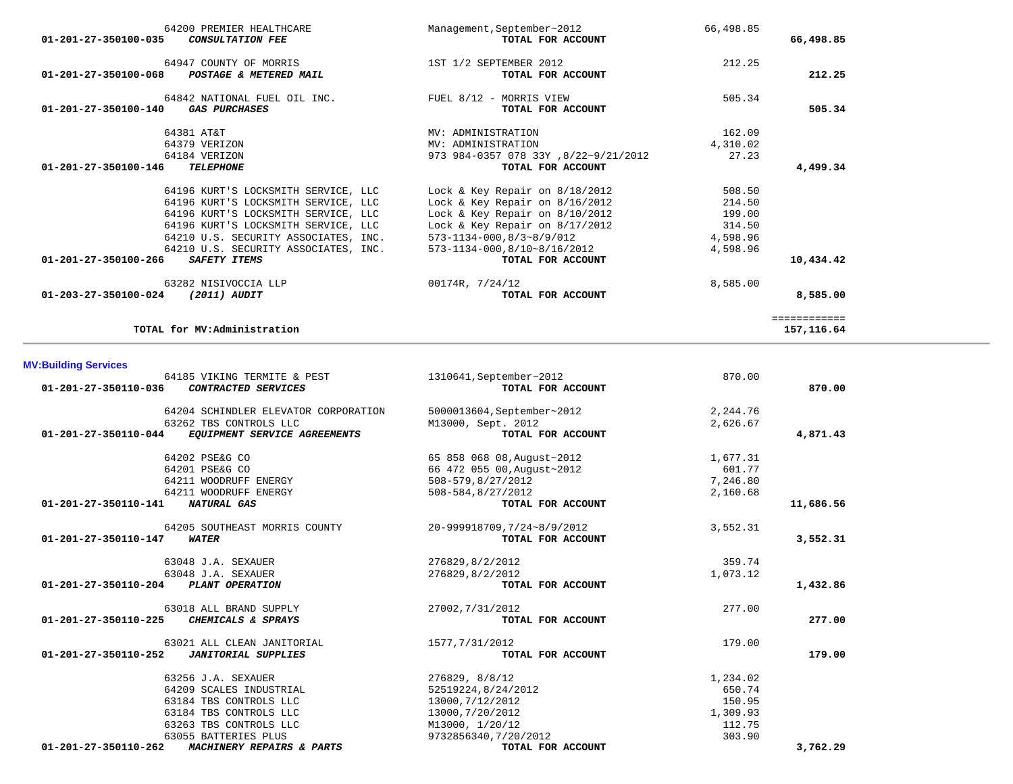| 66,498.85    | 66,498.85 | Management, September~2012<br>TOTAL FOR ACCOUNT | 64200 PREMIER HEALTHCARE<br><b>CONSULTATION FEE</b>         | $01 - 201 - 27 - 350100 - 035$ |
|--------------|-----------|-------------------------------------------------|-------------------------------------------------------------|--------------------------------|
| 212.25       | 212.25    | 1ST 1/2 SEPTEMBER 2012<br>TOTAL FOR ACCOUNT     | 64947 COUNTY OF MORRIS<br>POSTAGE & METERED MAIL            | $01 - 201 - 27 - 350100 - 068$ |
| 505.34       | 505.34    | FUEL 8/12 - MORRIS VIEW<br>TOTAL FOR ACCOUNT    | 64842 NATIONAL FUEL OIL INC.<br><i><b>GAS PURCHASES</b></i> | $01 - 201 - 27 - 350100 - 140$ |
|              | 162.09    | MV: ADMINISTRATION                              | 64381 AT&T                                                  |                                |
|              | 4,310.02  | MV: ADMINISTRATION                              | 64379 VERIZON                                               |                                |
|              | 27.23     | 973 984-0357 078 33Y, 8/22~9/21/2012            | 64184 VERIZON                                               |                                |
| 4,499.34     |           | TOTAL FOR ACCOUNT                               | <b>TELEPHONE</b>                                            | $01 - 201 - 27 - 350100 - 146$ |
|              | 508.50    | Lock & Key Repair on $8/18/2012$                | 64196 KURT'S LOCKSMITH SERVICE, LLC                         |                                |
|              | 214.50    | Lock & Key Repair on $8/16/2012$                | 64196 KURT'S LOCKSMITH SERVICE, LLC                         |                                |
|              | 199.00    | Lock & Key Repair on $8/10/2012$                | 64196 KURT'S LOCKSMITH SERVICE, LLC                         |                                |
|              | 314.50    | Lock & Key Repair on $8/17/2012$                | 64196 KURT'S LOCKSMITH SERVICE, LLC                         |                                |
|              | 4,598.96  | $573 - 1134 - 000, 8/3 \sim 8/9/012$            | 64210 U.S. SECURITY ASSOCIATES, INC.                        |                                |
|              | 4,598.96  | 573-1134-000,8/10~8/16/2012                     | 64210 U.S. SECURITY ASSOCIATES, INC.                        |                                |
| 10,434.42    |           | TOTAL FOR ACCOUNT                               | SAFETY ITEMS                                                | 01-201-27-350100-266           |
|              | 8,585.00  | 00174R, 7/24/12                                 | 63282 NISIVOCCIA LLP                                        |                                |
| 8,585.00     |           | TOTAL FOR ACCOUNT                               | (2011) AUDIT                                                | $01 - 203 - 27 - 350100 - 024$ |
| ============ |           |                                                 |                                                             |                                |
| 157, 116.64  |           |                                                 | TOTAL for MV:Administration                                 |                                |

# **MV:Building Services**

| 64185 VIKING TERMITE & PEST                          | 1310641, September~2012    | 870.00   |           |
|------------------------------------------------------|----------------------------|----------|-----------|
| 01-201-27-350110-036<br>CONTRACTED SERVICES          | TOTAL FOR ACCOUNT          |          | 870.00    |
| 64204 SCHINDLER ELEVATOR CORPORATION                 | 5000013604, September~2012 | 2,244.76 |           |
| 63262 TBS CONTROLS LLC                               | M13000, Sept. 2012         | 2,626.67 |           |
| 01-201-27-350110-044<br>EQUIPMENT SERVICE AGREEMENTS | TOTAL FOR ACCOUNT          |          | 4,871.43  |
| 64202 PSE&G CO                                       | 65 858 068 08, August~2012 | 1,677.31 |           |
| 64201 PSE&G CO                                       | 66 472 055 00, August~2012 | 601.77   |           |
| 64211 WOODRUFF ENERGY                                | 508-579,8/27/2012          | 7,246.80 |           |
| 64211 WOODRUFF ENERGY                                | 508-584,8/27/2012          | 2,160.68 |           |
| 01-201-27-350110-141<br>NATURAL GAS                  | TOTAL FOR ACCOUNT          |          | 11,686.56 |
| 64205 SOUTHEAST MORRIS COUNTY                        | 20-999918709,7/24~8/9/2012 | 3,552.31 |           |
| $01 - 201 - 27 - 350110 - 147$<br><b>WATER</b>       | TOTAL FOR ACCOUNT          |          | 3,552.31  |
| 63048 J.A. SEXAUER                                   | 276829,8/2/2012            | 359.74   |           |
| 63048 J.A. SEXAUER                                   | 276829,8/2/2012            | 1,073.12 |           |
| 01-201-27-350110-204<br>PLANT OPERATION              | TOTAL FOR ACCOUNT          |          | 1,432.86  |
| 63018 ALL BRAND SUPPLY                               | 27002, 7/31/2012           | 277.00   |           |
| 01-201-27-350110-225<br>CHEMICALS & SPRAYS           | TOTAL FOR ACCOUNT          |          | 277.00    |
| 63021 ALL CLEAN JANITORIAL                           | 1577, 7/31/2012            | 179.00   |           |
| <b>JANITORIAL SUPPLIES</b><br>01-201-27-350110-252   | TOTAL FOR ACCOUNT          |          | 179.00    |
| 63256 J.A. SEXAUER                                   | 276829, 8/8/12             | 1,234.02 |           |
| 64209 SCALES INDUSTRIAL                              | 52519224,8/24/2012         | 650.74   |           |
| 63184 TBS CONTROLS LLC                               | 13000, 7/12/2012           | 150.95   |           |
| 63184 TBS CONTROLS LLC                               | 13000,7/20/2012            | 1,309.93 |           |
| 63263 TBS CONTROLS LLC                               | M13000, 1/20/12            | 112.75   |           |
| 63055 BATTERIES PLUS                                 | 9732856340, 7/20/2012      | 303.90   |           |
| 01-201-27-350110-262<br>MACHINERY REPAIRS & PARTS    | TOTAL FOR ACCOUNT          |          | 3,762.29  |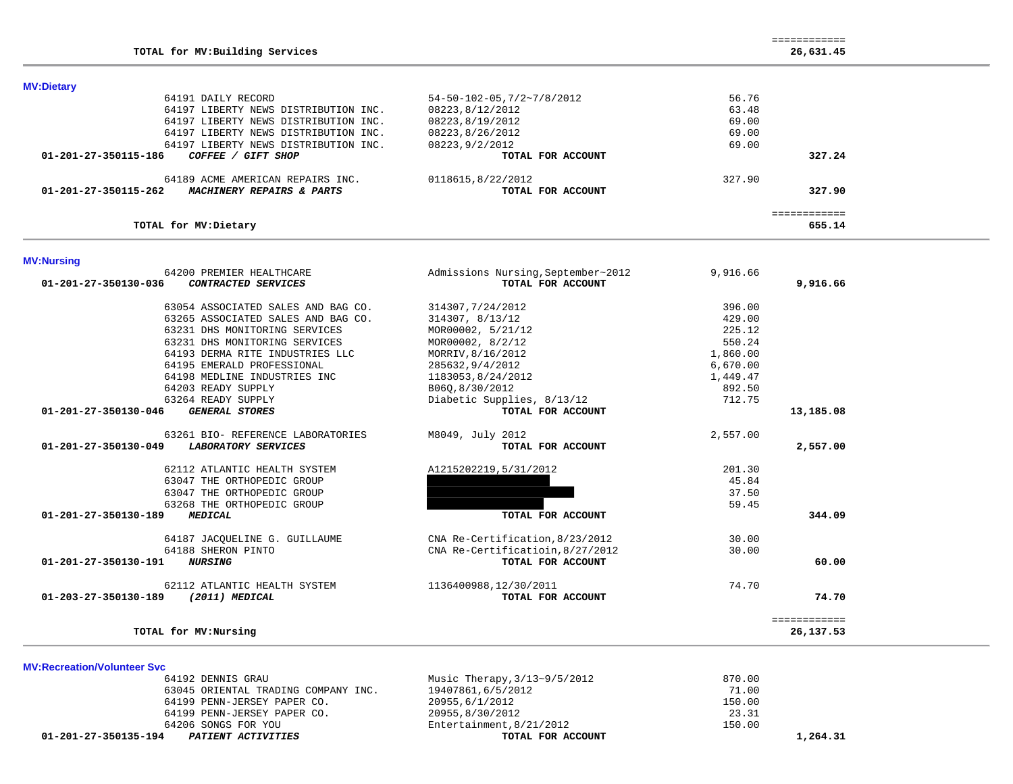| TOTAL for MV: Building Services                    |                                         |              | 26,631.45 |
|----------------------------------------------------|-----------------------------------------|--------------|-----------|
| <b>MV:Dietary</b>                                  |                                         |              |           |
| 64191 DAILY RECORD                                 | $54 - 50 - 102 - 05, 7/2 \sim 7/8/2012$ | 56.76        |           |
| 64197 LIBERTY NEWS DISTRIBUTION INC.               | 08223,8/12/2012                         | 63.48        |           |
| 64197 LIBERTY NEWS DISTRIBUTION INC.               | 08223, 8/19/2012                        | 69.00        |           |
| 64197 LIBERTY NEWS DISTRIBUTION INC.               | 08223,8/26/2012                         | 69.00        |           |
| 64197 LIBERTY NEWS DISTRIBUTION INC.               | 08223, 9/2/2012                         | 69.00        |           |
| COFFEE / GIFT SHOP<br>01-201-27-350115-186         | TOTAL FOR ACCOUNT                       |              | 327.24    |
| 64189 ACME AMERICAN REPAIRS INC.                   | 0118615,8/22/2012                       | 327.90       |           |
| MACHINERY REPAIRS & PARTS<br>01-201-27-350115-262  | TOTAL FOR ACCOUNT                       |              | 327.90    |
| TOTAL for MV: Dietary                              |                                         | ============ | 655.14    |
|                                                    |                                         |              |           |
| <b>MV:Nursing</b><br>64200 PREMIER HEALTHCARE      | Admissions Nursing, September~2012      | 9,916.66     |           |
| CONTRACTED SERVICES<br>01-201-27-350130-036        | TOTAL FOR ACCOUNT                       |              | 9,916.66  |
| 63054 ASSOCIATED SALES AND BAG CO.                 | 314307, 7/24/2012                       | 396.00       |           |
| 63265 ASSOCIATED SALES AND BAG CO.                 | 314307, 8/13/12                         | 429.00       |           |
| 63231 DHS MONITORING SERVICES                      | MOR00002, 5/21/12                       | 225.12       |           |
| 63231 DHS MONITORING SERVICES                      | MOR00002, 8/2/12                        | 550.24       |           |
| 64193 DERMA RITE INDUSTRIES LLC                    | MORRIV, 8/16/2012                       | 1,860.00     |           |
| 64195 EMERALD PROFESSIONAL                         | 285632, 9/4/2012                        | 6,670.00     |           |
| 64198 MEDLINE INDUSTRIES INC                       | 1183053,8/24/2012                       | 1,449.47     |           |
| 64203 READY SUPPLY                                 | B06Q, 8/30/2012                         | 892.50       |           |
| 63264 READY SUPPLY                                 | Diabetic Supplies, 8/13/12              | 712.75       |           |
| 01-201-27-350130-046<br><b>GENERAL STORES</b>      | TOTAL FOR ACCOUNT                       |              | 13,185.08 |
| 63261 BIO- REFERENCE LABORATORIES                  | M8049, July 2012                        | 2,557.00     |           |
| <b>LABORATORY SERVICES</b><br>01-201-27-350130-049 | TOTAL FOR ACCOUNT                       |              | 2,557.00  |
| 62112 ATLANTIC HEALTH SYSTEM                       | A1215202219,5/31/2012                   | 201.30       |           |
| 63047 THE ORTHOPEDIC GROUP                         |                                         | 45.84        |           |
| 63047 THE ORTHOPEDIC GROUP                         |                                         | 37.50        |           |
| 63268 THE ORTHOPEDIC GROUP                         |                                         | 59.45        |           |
| 01-201-27-350130-189<br><b>MEDICAL</b>             | TOTAL FOR ACCOUNT                       |              | 344.09    |
| 64187 JACOUELINE G. GUILLAUME                      | CNA Re-Certification, 8/23/2012         | 30.00        |           |
| 64188 SHERON PINTO                                 | CNA Re-Certificatioin, 8/27/2012        | 30.00        |           |
| <b>NURSING</b><br>01-201-27-350130-191             | TOTAL FOR ACCOUNT                       |              | 60.00     |
| 62112 ATLANTIC HEALTH SYSTEM                       | 1136400988,12/30/2011                   | 74.70        |           |
| (2011) MEDICAL<br>01-203-27-350130-189             | TOTAL FOR ACCOUNT                       |              | 74.70     |

============

**TOTAL for MV:Nursing 26,137.53**

**MV:Recreation/Volunteer Svc** 64192 DENNIS GRAU 1999 Music Therapy, 3/13~9/5/2012 870.00<br>63045 ORIENTAL TRADING COMPANY INC. 19407861, 6/5/2012 1999 63045 ORIENTAL TRADING COMPANY INC. 64199 PENN-JERSEY PAPER CO. 20955,6/1/2012 150.00 64199 PENN-JERSEY PAPER CO. 20955,8/30/2012 23.31 64206 SONGS FOR YOU Entertainment,8/21/2012 150.00  **01-201-27-350135-194** *PATIENT ACTIVITIES* **TOTAL FOR ACCOUNT 1,264.31**

============

============<br>26,137.53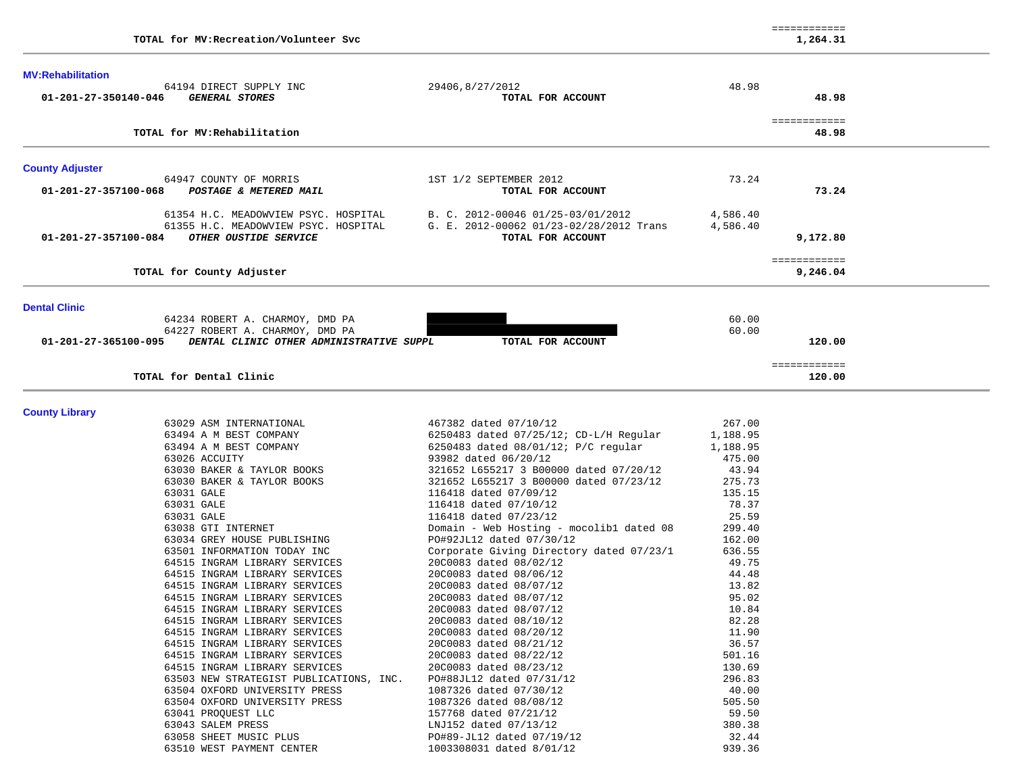|                          | TOTAL for MV: Recreation/Volunteer Svc                                                                |                                                                                                   |                      | 1,264.31                 |  |
|--------------------------|-------------------------------------------------------------------------------------------------------|---------------------------------------------------------------------------------------------------|----------------------|--------------------------|--|
| <b>MV:Rehabilitation</b> | 64194 DIRECT SUPPLY INC                                                                               | 29406,8/27/2012                                                                                   | 48.98                |                          |  |
| 01-201-27-350140-046     | <b>GENERAL STORES</b>                                                                                 | TOTAL FOR ACCOUNT                                                                                 |                      | 48.98                    |  |
|                          | TOTAL for MV: Rehabilitation                                                                          |                                                                                                   |                      | ============<br>48.98    |  |
| <b>County Adjuster</b>   |                                                                                                       |                                                                                                   |                      |                          |  |
| 01-201-27-357100-068     | 64947 COUNTY OF MORRIS<br>POSTAGE & METERED MAIL                                                      | 1ST 1/2 SEPTEMBER 2012<br>TOTAL FOR ACCOUNT                                                       | 73.24                | 73.24                    |  |
| 01-201-27-357100-084     | 61354 H.C. MEADOWVIEW PSYC. HOSPITAL<br>61355 H.C. MEADOWVIEW PSYC. HOSPITAL<br>OTHER OUSTIDE SERVICE | B. C. 2012-00046 01/25-03/01/2012<br>G. E. 2012-00062 01/23-02/28/2012 Trans<br>TOTAL FOR ACCOUNT | 4,586.40<br>4,586.40 | 9,172.80                 |  |
|                          | TOTAL for County Adjuster                                                                             |                                                                                                   |                      | ============<br>9,246.04 |  |
| <b>Dental Clinic</b>     |                                                                                                       |                                                                                                   |                      |                          |  |
|                          | 64234 ROBERT A. CHARMOY, DMD PA<br>64227 ROBERT A. CHARMOY, DMD PA                                    |                                                                                                   | 60.00<br>60.00       |                          |  |
| 01-201-27-365100-095     | DENTAL CLINIC OTHER ADMINISTRATIVE SUPPL                                                              | TOTAL FOR ACCOUNT                                                                                 |                      | 120.00                   |  |
|                          | TOTAL for Dental Clinic                                                                               |                                                                                                   |                      | ============<br>120.00   |  |
| <b>County Library</b>    |                                                                                                       |                                                                                                   |                      |                          |  |
|                          | 63029 ASM INTERNATIONAL                                                                               | 467382 dated 07/10/12                                                                             | 267.00               |                          |  |
|                          | 63494 A M BEST COMPANY                                                                                | 6250483 dated 07/25/12; CD-L/H Regular                                                            | 1,188.95             |                          |  |
|                          | 63494 A M BEST COMPANY                                                                                | 6250483 dated 08/01/12; P/C regular                                                               | 1,188.95             |                          |  |
|                          | 63026 ACCUITY                                                                                         | 93982 dated 06/20/12                                                                              | 475.00               |                          |  |
|                          | 63030 BAKER & TAYLOR BOOKS<br>63030 BAKER & TAYLOR BOOKS                                              | 321652 L655217 3 B00000 dated 07/20/12<br>321652 L655217 3 B00000 dated 07/23/12                  | 43.94<br>275.73      |                          |  |
|                          | 63031 GALE                                                                                            | 116418 dated 07/09/12                                                                             | 135.15               |                          |  |
|                          | 63031 GALE                                                                                            | 116418 dated 07/10/12                                                                             | 78.37                |                          |  |
|                          | 63031 GALE                                                                                            | 116418 dated 07/23/12                                                                             | 25.59                |                          |  |
|                          | 63038 GTI INTERNET                                                                                    | Domain - Web Hosting - mocolibl dated 08                                                          | 299.40               |                          |  |
|                          | 63034 GREY HOUSE PUBLISHING                                                                           | PO#92JL12 dated 07/30/12                                                                          | 162.00               |                          |  |
|                          | 63501 INFORMATION TODAY INC                                                                           | Corporate Giving Directory dated 07/23/1                                                          | 636.55               |                          |  |
|                          | 64515 INGRAM LIBRARY SERVICES                                                                         | 20C0083 dated 08/02/12                                                                            | 49.75                |                          |  |
|                          | 64515 INGRAM LIBRARY SERVICES                                                                         | 20C0083 dated 08/06/12                                                                            | 44.48                |                          |  |
|                          | 64515 INGRAM LIBRARY SERVICES<br>64515 INGRAM LIBRARY SERVICES                                        | 20C0083 dated 08/07/12<br>20C0083 dated 08/07/12                                                  | 13.82<br>95.02       |                          |  |
|                          | 64515 INGRAM LIBRARY SERVICES                                                                         | 20C0083 dated 08/07/12                                                                            | 10.84                |                          |  |
|                          | 64515 INGRAM LIBRARY SERVICES                                                                         | 20C0083 dated 08/10/12                                                                            | 82.28                |                          |  |
|                          | 64515 INGRAM LIBRARY SERVICES                                                                         | 20C0083 dated 08/20/12                                                                            | 11.90                |                          |  |
|                          | 64515 INGRAM LIBRARY SERVICES                                                                         | 20C0083 dated 08/21/12                                                                            | 36.57                |                          |  |
|                          | 64515 INGRAM LIBRARY SERVICES                                                                         | 20C0083 dated 08/22/12                                                                            | 501.16               |                          |  |
|                          | 64515 INGRAM LIBRARY SERVICES                                                                         | 20C0083 dated 08/23/12                                                                            | 130.69               |                          |  |
|                          | 63503 NEW STRATEGIST PUBLICATIONS, INC.                                                               | PO#88JL12 dated 07/31/12                                                                          | 296.83               |                          |  |
|                          | 63504 OXFORD UNIVERSITY PRESS<br>63504 OXFORD UNIVERSITY PRESS                                        | 1087326 dated 07/30/12<br>1087326 dated 08/08/12                                                  | 40.00<br>505.50      |                          |  |
|                          | 63041 PROOUEST LLC                                                                                    | 157768 dated 07/21/12                                                                             | 59.50                |                          |  |
|                          | 63043 SALEM PRESS                                                                                     | LNJ152 dated 07/13/12                                                                             | 380.38               |                          |  |
|                          | 63058 SHEET MUSIC PLUS                                                                                | PO#89-JL12 dated 07/19/12                                                                         | 32.44                |                          |  |
|                          | 63510 WEST PAYMENT CENTER                                                                             | 1003308031 dated 8/01/12                                                                          | 939.36               |                          |  |

============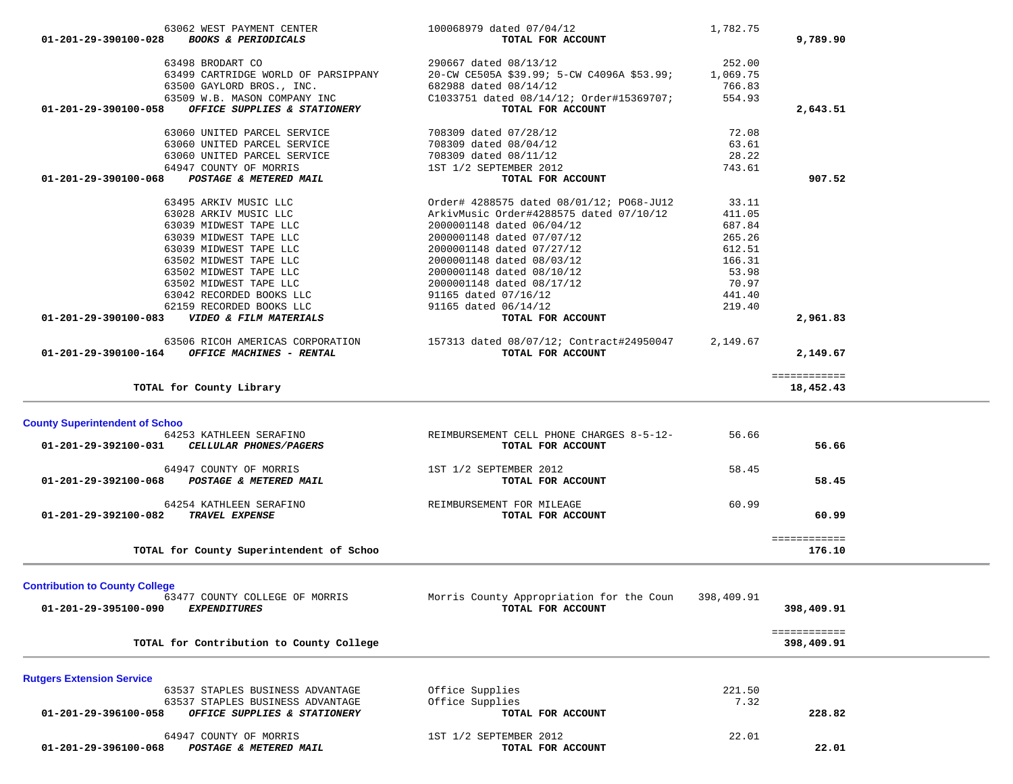| 63498 BRODART CO                                                                     | 290667 dated 08/13/12                                         | 252.00     |              |  |
|--------------------------------------------------------------------------------------|---------------------------------------------------------------|------------|--------------|--|
| 63499 CARTRIDGE WORLD OF PARSIPPANY                                                  | 20-CW CE505A \$39.99; 5-CW C4096A \$53.99;                    | 1,069.75   |              |  |
| 63500 GAYLORD BROS., INC.                                                            | 682988 dated 08/14/12                                         | 766.83     |              |  |
| 63509 W.B. MASON COMPANY INC                                                         | C1033751 dated 08/14/12; Order#15369707;                      | 554.93     |              |  |
| OFFICE SUPPLIES & STATIONERY<br>01-201-29-390100-058                                 | TOTAL FOR ACCOUNT                                             |            | 2,643.51     |  |
| 63060 UNITED PARCEL SERVICE                                                          | 708309 dated 07/28/12                                         | 72.08      |              |  |
| 63060 UNITED PARCEL SERVICE                                                          | 708309 dated 08/04/12                                         | 63.61      |              |  |
| 63060 UNITED PARCEL SERVICE                                                          | 708309 dated 08/11/12                                         | 28.22      |              |  |
| 64947 COUNTY OF MORRIS                                                               | 1ST 1/2 SEPTEMBER 2012                                        | 743.61     |              |  |
| POSTAGE & METERED MAIL<br>01-201-29-390100-068                                       | TOTAL FOR ACCOUNT                                             |            | 907.52       |  |
| 63495 ARKIV MUSIC LLC                                                                | Order# 4288575 dated 08/01/12; PO68-JU12                      | 33.11      |              |  |
| 63028 ARKIV MUSIC LLC                                                                | ArkivMusic Order#4288575 dated 07/10/12                       | 411.05     |              |  |
| 63039 MIDWEST TAPE LLC                                                               | 2000001148 dated 06/04/12                                     | 687.84     |              |  |
| 63039 MIDWEST TAPE LLC                                                               | 2000001148 dated 07/07/12                                     | 265.26     |              |  |
| 63039 MIDWEST TAPE LLC                                                               | 2000001148 dated 07/27/12                                     | 612.51     |              |  |
| 63502 MIDWEST TAPE LLC                                                               | 2000001148 dated 08/03/12                                     | 166.31     |              |  |
| 63502 MIDWEST TAPE LLC                                                               | 2000001148 dated 08/10/12                                     | 53.98      |              |  |
| 63502 MIDWEST TAPE LLC                                                               | 2000001148 dated 08/17/12                                     | 70.97      |              |  |
| 63042 RECORDED BOOKS LLC                                                             | 91165 dated 07/16/12                                          | 441.40     |              |  |
| 62159 RECORDED BOOKS LLC                                                             | 91165 dated 06/14/12                                          | 219.40     |              |  |
| VIDEO & FILM MATERIALS<br>01-201-29-390100-083                                       | TOTAL FOR ACCOUNT                                             |            | 2,961.83     |  |
|                                                                                      |                                                               |            |              |  |
| 63506 RICOH AMERICAS CORPORATION<br>OFFICE MACHINES - RENTAL<br>01-201-29-390100-164 | 157313 dated 08/07/12; Contract#24950047<br>TOTAL FOR ACCOUNT | 2,149.67   |              |  |
|                                                                                      |                                                               |            | 2,149.67     |  |
|                                                                                      |                                                               |            | ============ |  |
| TOTAL for County Library                                                             |                                                               |            | 18,452.43    |  |
|                                                                                      |                                                               |            |              |  |
| <b>County Superintendent of Schoo</b>                                                |                                                               |            |              |  |
| 64253 KATHLEEN SERAFINO                                                              | REIMBURSEMENT CELL PHONE CHARGES 8-5-12-                      | 56.66      |              |  |
| 01-201-29-392100-031<br>CELLULAR PHONES/PAGERS                                       | TOTAL FOR ACCOUNT                                             |            | 56.66        |  |
| 64947 COUNTY OF MORRIS                                                               | 1ST 1/2 SEPTEMBER 2012                                        | 58.45      |              |  |
| <b>POSTAGE &amp; METERED MAIL</b><br>01-201-29-392100-068                            | TOTAL FOR ACCOUNT                                             |            | 58.45        |  |
| 64254 KATHLEEN SERAFINO                                                              | REIMBURSEMENT FOR MILEAGE                                     | 60.99      |              |  |
| 01-201-29-392100-082<br><b>TRAVEL EXPENSE</b>                                        | TOTAL FOR ACCOUNT                                             |            | 60.99        |  |
|                                                                                      |                                                               |            |              |  |
|                                                                                      |                                                               |            | ============ |  |
| TOTAL for County Superintendent of Schoo                                             |                                                               |            | 176.10       |  |
|                                                                                      |                                                               |            |              |  |
| <b>Contribution to County College</b>                                                |                                                               | 398,409.91 |              |  |
| 63477 COUNTY COLLEGE OF MORRIS<br>01-201-29-395100-090                               | Morris County Appropriation for the Coun<br>TOTAL FOR ACCOUNT |            |              |  |
| <b>EXPENDITURES</b>                                                                  |                                                               |            | 398,409.91   |  |
|                                                                                      |                                                               |            | ============ |  |
| TOTAL for Contribution to County College                                             |                                                               |            | 398,409.91   |  |
|                                                                                      |                                                               |            |              |  |
| <b>Rutgers Extension Service</b><br>63537 STAPLES BUSINESS ADVANTAGE                 |                                                               |            |              |  |
|                                                                                      | Office Supplies                                               | 221.50     |              |  |
| 63537 STAPLES BUSINESS ADVANTAGE                                                     | Office Supplies<br>TOTAL FOR ACCOUNT                          | 7.32       |              |  |
| OFFICE SUPPLIES & STATIONERY<br>01-201-29-396100-058                                 |                                                               |            | 228.82       |  |
| 64947 COUNTY OF MORRIS                                                               | 1ST 1/2 SEPTEMBER 2012                                        | 22.01      |              |  |
| 01-201-29-396100-068<br>POSTAGE & METERED MAIL                                       | TOTAL FOR ACCOUNT                                             |            | 22.01        |  |
|                                                                                      |                                                               |            |              |  |
|                                                                                      |                                                               |            |              |  |

 63062 WEST PAYMENT CENTER 100068979 dated 07/04/12 1,782.75  **01-201-29-390100-028** *BOOKS & PERIODICALS* **TOTAL FOR ACCOUNT 9,789.90**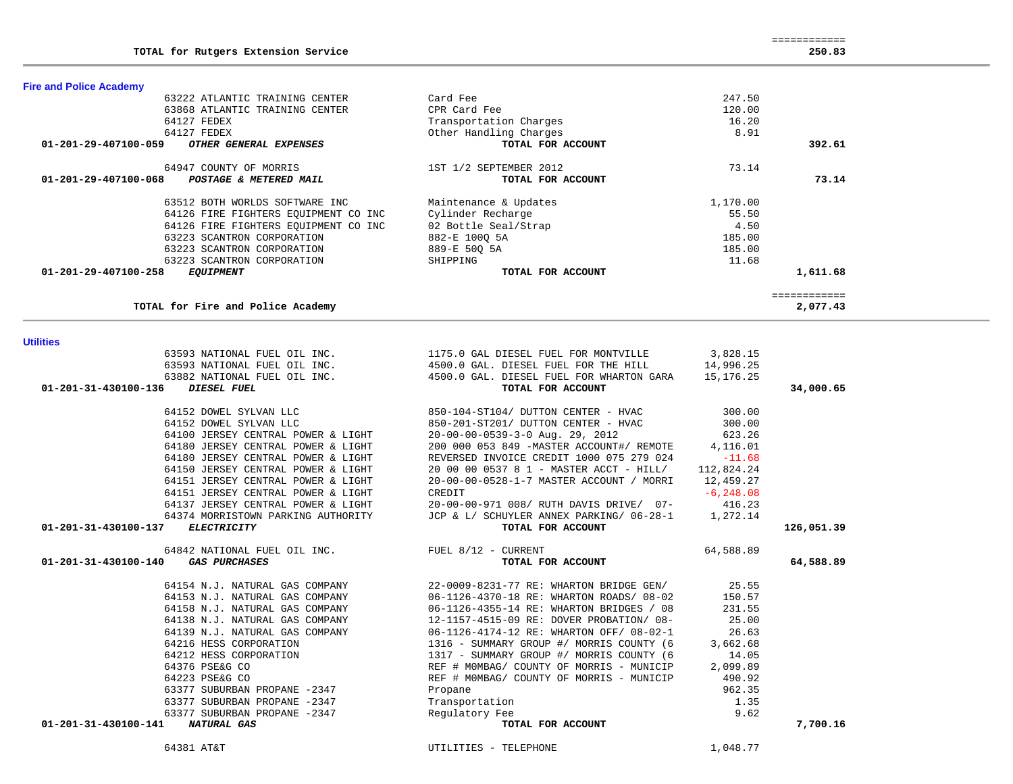# 64151 JERSEY CENTRAL POWER & LIGHT CREDIT -6,248.08 64137 JERSEY CENTRAL POWER & LIGHT 20-00-00-971 008/ RUTH DAVIS DRIVE/ 07- 416.23 64374 MORRISTOWN PARKING AUTHORITY JCP & L/ SCHUYLER ANNEX PARKING/ 06-28-1 1,272.14  **01-201-31-430100-137** *ELECTRICITY* **TOTAL FOR ACCOUNT 126,051.39** 64842 NATIONAL FUEL OIL INC. FUEL 8/12 - CURRENT 64,588.89  **01-201-31-430100-140** *GAS PURCHASES* **TOTAL FOR ACCOUNT 64,588.89** 64154 N.J. NATURAL GAS COMPANY 22-0009-8231-77 RE: WHARTON BRIDGE GEN/ 25.55 64153 N.J. NATURAL GAS COMPANY 06-1126-4370-18 RE: WHARTON ROADS/ 08-02 150.57 64158 N.J. NATURAL GAS COMPANY 06-1126-4355-14 RE: WHARTON BRIDGES / 08 231.55 64138 N.J. NATURAL GAS COMPANY 12-1157-4515-09 RE: DOVER PROBATION/ 08- 25.00 64139 N.J. NATURAL GAS COMPANY 06-1126-4174-12 RE: WHARTON OFF/ 08-02-1 26.63 64216 HESS CORPORATION 1316 - SUMMARY GROUP #/ MORRIS COUNTY (6 3,662.68 64212 HESS CORPORATION 1317 - SUMMARY GROUP #/ MORRIS COUNTY (6 14.05 64376 PSE&G CO REF # M0MBAG/ COUNTY OF MORRIS - MUNICIP 2,099.89 64223 PSE&G CO REF # M0MBAG/ COUNTY OF MORRIS - MUNICIP 490.92 63377 SUBURBAN PROPANE -2347 Propane 962.35 63377 SUBURBAN PROPANE -2347 Transportation 1.35 63377 SUBURBAN PROPANE -2347 Regulatory Fee 9.62  **01-201-31-430100-141** *NATURAL GAS* **TOTAL FOR ACCOUNT 7,700.16** 64381 AT&T UTILITIES - TELEPHONE 1,048.77

| 1175.0 GAL DIESEL FUEL FOR MONTVILLE     | 3,828.15     |                                                                                                                                                                                                            |
|------------------------------------------|--------------|------------------------------------------------------------------------------------------------------------------------------------------------------------------------------------------------------------|
| 4500.0 GAL. DIESEL FUEL FOR THE HILL     | 14,996.25    |                                                                                                                                                                                                            |
|                                          | 15,176.25    |                                                                                                                                                                                                            |
| TOTAL FOR ACCOUNT                        |              | 34,000.65                                                                                                                                                                                                  |
| 850-104-ST104/ DUTTON CENTER - HVAC      | 300.00       |                                                                                                                                                                                                            |
| 850-201-ST201/ DUTTON CENTER - HVAC      | 300.00       |                                                                                                                                                                                                            |
| $20-00-00-0539-3-0$ Aug. 29, 2012        |              |                                                                                                                                                                                                            |
|                                          |              |                                                                                                                                                                                                            |
| REVERSED INVOICE CREDIT 1000 075 279 024 | $-11.68$     |                                                                                                                                                                                                            |
|                                          | 112,824.24   |                                                                                                                                                                                                            |
| 20-00-00-0528-1-7 MASTER ACCOUNT / MORRI | 12,459.27    |                                                                                                                                                                                                            |
| CREDIT                                   | $-6, 248.08$ |                                                                                                                                                                                                            |
| 20-00-00-971 008/ RUTH DAVIS DRIVE/ 07-  |              |                                                                                                                                                                                                            |
|                                          | 1,272.14     |                                                                                                                                                                                                            |
| TOTAL FOR ACCOUNT                        |              | 126,051.39                                                                                                                                                                                                 |
| FUEL $8/12$ - CURRENT                    | 64,588.89    |                                                                                                                                                                                                            |
| TOTAL FOR ACCOUNT                        |              | 64,588.89                                                                                                                                                                                                  |
|                                          |              | 4500.0 GAL. DIESEL FUEL FOR WHARTON GARA<br>623.26<br>200 000 053 849 - MASTER ACCOUNT#/ REMOTE 4, 116.01<br>20 00 00 0537 8 1 - MASTER ACCT - HILL/<br>416.23<br>JCP & L/ SCHUYLER ANNEX PARKING/ 06-28-1 |

# **Utilities**

**Fire and Police Academy** 

| 63222 ATLANTIC TRAINING CENTER                           | Card Fee               | 247.50   |                         |
|----------------------------------------------------------|------------------------|----------|-------------------------|
| 63868 ATLANTIC TRAINING CENTER                           | CPR Card Fee           | 120.00   |                         |
| 64127 FEDEX                                              | Transportation Charges | 16.20    |                         |
| 64127 FEDEX                                              | Other Handling Charges | 8.91     |                         |
| 01-201-29-407100-059<br><i>OTHER GENERAL EXPENSES</i>    | TOTAL FOR ACCOUNT      |          | 392.61                  |
| 64947 COUNTY OF MORRIS                                   | 1ST 1/2 SEPTEMBER 2012 | 73.14    |                         |
| $01 - 201 - 29 - 407100 - 068$<br>POSTAGE & METERED MAIL | TOTAL FOR ACCOUNT      |          | 73.14                   |
| 63512 BOTH WORLDS SOFTWARE INC                           | Maintenance & Updates  | 1,170.00 |                         |
| 64126 FIRE FIGHTERS EOUIPMENT CO INC                     | Cylinder Recharge      | 55.50    |                         |
| 64126 FIRE FIGHTERS EOUIPMENT CO INC                     | 02 Bottle Seal/Strap   | 4.50     |                         |
| 63223 SCANTRON CORPORATION                               | 882-E 1000 5A          | 185.00   |                         |
| 63223 SCANTRON CORPORATION                               | 889-E 500 5A           | 185.00   |                         |
| 63223 SCANTRON CORPORATION                               | SHIPPING               | 11.68    |                         |
| $01 - 201 - 29 - 407100 - 258$<br><i>EQUIPMENT</i>       | TOTAL FOR ACCOUNT      |          | 1,611.68                |
|                                                          |                        |          | . = = = = = = = = = = = |

**TOTAL for Fire and Police Academy 2,077.43**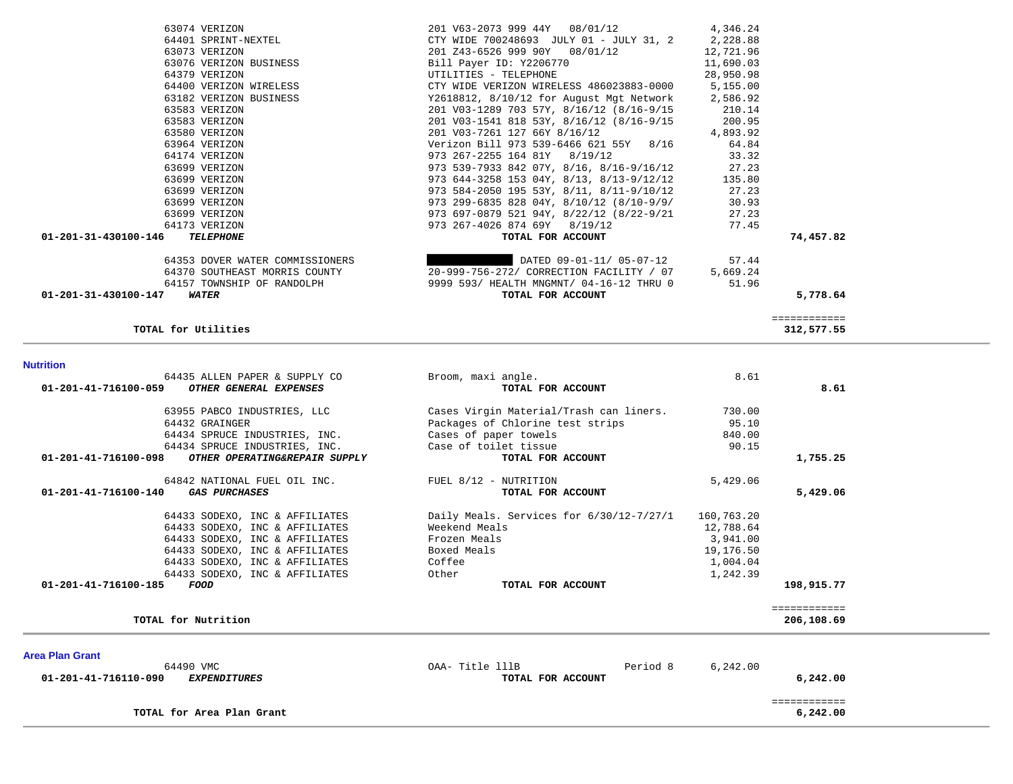| 63182 VERIZON BUSINESS<br>63583 VERIZON               | Y2618812, 8/10/12 for August Mgt Network<br>201 V03-1289 703 57Y, 8/16/12 (8/16-9/15 | 2,586.92<br>210.14 |              |  |
|-------------------------------------------------------|--------------------------------------------------------------------------------------|--------------------|--------------|--|
| 63583 VERIZON                                         | 201 V03-1541 818 53Y, 8/16/12 (8/16-9/15                                             | 200.95             |              |  |
| 63580 VERIZON                                         | 201 V03-7261 127 66Y 8/16/12                                                         | 4,893.92           |              |  |
| 63964 VERIZON                                         | Verizon Bill 973 539-6466 621 55Y 8/16                                               | 64.84              |              |  |
| 64174 VERIZON                                         | 973 267-2255 164 81Y 8/19/12                                                         | 33.32              |              |  |
| 63699 VERIZON                                         | 973 539-7933 842 07Y, 8/16, 8/16-9/16/12                                             | 27.23              |              |  |
|                                                       | 973 644-3258 153 04Y, 8/13, 8/13-9/12/12                                             | 135.80             |              |  |
| 63699 VERIZON                                         |                                                                                      |                    |              |  |
| 63699 VERIZON                                         | 973 584-2050 195 53Y, 8/11, 8/11-9/10/12                                             | 27.23              |              |  |
| 63699 VERIZON                                         | 973 299-6835 828 04Y, 8/10/12 (8/10-9/9/                                             | 30.93              |              |  |
| 63699 VERIZON                                         | 973 697-0879 521 94Y, 8/22/12 (8/22-9/21                                             | 27.23              |              |  |
| 64173 VERIZON                                         | 973 267-4026 874 69Y 8/19/12                                                         | 77.45              |              |  |
| 01-201-31-430100-146<br><b>TELEPHONE</b>              | TOTAL FOR ACCOUNT                                                                    |                    | 74,457.82    |  |
| 64353 DOVER WATER COMMISSIONERS                       | DATED 09-01-11/05-07-12                                                              | 57.44              |              |  |
| 64370 SOUTHEAST MORRIS COUNTY                         | 20-999-756-272/ CORRECTION FACILITY / 07                                             | 5,669.24           |              |  |
| 64157 TOWNSHIP OF RANDOLPH                            | 9999 593/ HEALTH MNGMNT/ 04-16-12 THRU 0                                             | 51.96              |              |  |
| 01-201-31-430100-147<br>WATER                         | TOTAL FOR ACCOUNT                                                                    |                    | 5,778.64     |  |
|                                                       |                                                                                      |                    | ============ |  |
| TOTAL for Utilities                                   |                                                                                      |                    | 312,577.55   |  |
| <b>Nutrition</b>                                      |                                                                                      |                    |              |  |
| 64435 ALLEN PAPER & SUPPLY CO                         | Broom, maxi angle.                                                                   | 8.61               |              |  |
| 01-201-41-716100-059<br>OTHER GENERAL EXPENSES        | TOTAL FOR ACCOUNT                                                                    |                    | 8.61         |  |
| 63955 PABCO INDUSTRIES, LLC                           | Cases Virgin Material/Trash can liners.                                              | 730.00             |              |  |
| 64432 GRAINGER                                        | Packages of Chlorine test strips                                                     | 95.10              |              |  |
| 64434 SPRUCE INDUSTRIES, INC.                         | Cases of paper towels                                                                | 840.00             |              |  |
| 64434 SPRUCE INDUSTRIES, INC.                         | Case of toilet tissue                                                                | 90.15              |              |  |
| 01-201-41-716100-098<br>OTHER OPERATING&REPAIR SUPPLY | TOTAL FOR ACCOUNT                                                                    |                    | 1,755.25     |  |
| 64842 NATIONAL FUEL OIL INC.                          | FUEL 8/12 - NUTRITION                                                                | 5,429.06           |              |  |
| <b>GAS PURCHASES</b><br>01-201-41-716100-140          | TOTAL FOR ACCOUNT                                                                    |                    | 5,429.06     |  |
| 64433 SODEXO, INC & AFFILIATES                        | Daily Meals. Services for 6/30/12-7/27/1                                             | 160,763.20         |              |  |
| 64433 SODEXO, INC & AFFILIATES                        | Weekend Meals                                                                        | 12,788.64          |              |  |
| 64433 SODEXO, INC & AFFILIATES                        | Frozen Meals                                                                         | 3,941.00           |              |  |
| 64433 SODEXO, INC & AFFILIATES                        | Boxed Meals                                                                          | 19,176.50          |              |  |
| 64433 SODEXO, INC & AFFILIATES                        | Coffee                                                                               | 1,004.04           |              |  |
| 64433 SODEXO, INC & AFFILIATES                        | Other                                                                                | 1,242.39           |              |  |
| 01-201-41-716100-185<br>FOOD                          | TOTAL FOR ACCOUNT                                                                    |                    | 198,915.77   |  |
|                                                       |                                                                                      |                    | ============ |  |
| TOTAL for Nutrition                                   |                                                                                      |                    | 206,108.69   |  |
| <b>Area Plan Grant</b>                                |                                                                                      |                    |              |  |
| 64490 VMC                                             | OAA- Title 111B<br>Period 8                                                          | 6,242.00           |              |  |
| 01-201-41-716110-090<br><b>EXPENDITURES</b>           | TOTAL FOR ACCOUNT                                                                    |                    | 6,242.00     |  |
|                                                       |                                                                                      |                    | ============ |  |
| TOTAL for Area Plan Grant                             |                                                                                      |                    | 6,242.00     |  |

 63074 VERIZON 201 V63-2073 999 44Y 08/01/12 4,346.24 64401 SPRINT-NEXTEL CTY WIDE 700248693 JULY 01 - JULY 31, 2 2,228.88 63073 VERIZON 201 Z43-6526 999 90Y 08/01/12 12,721.96 63076 VERIZON BUSINESS Bill Payer ID: Y2206770 11,690.03 64379 VERIZON UTILITIES - TELEPHONE 28,950.98 64400 VERIZON WIRELESS CTY WIDE VERIZON WIRELESS 486023883-0000 5,155.00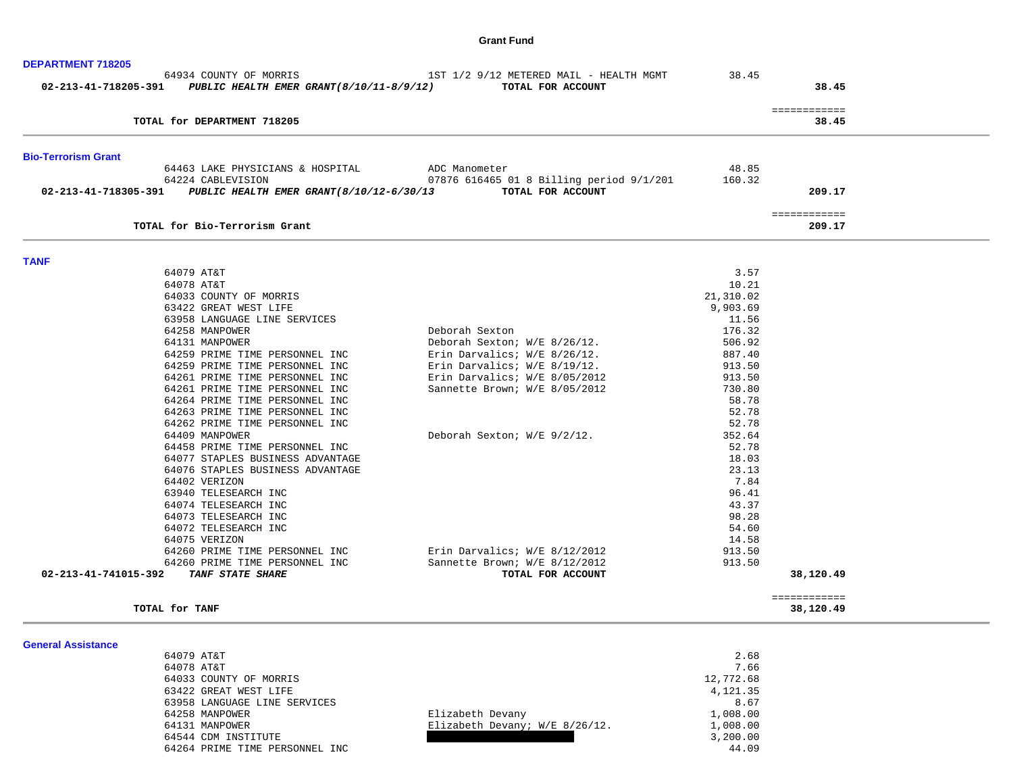### **Grant Fund**

| <b>DEPARTMENT 718205</b>              |                                                                                         |                                                              |                 |                           |
|---------------------------------------|-----------------------------------------------------------------------------------------|--------------------------------------------------------------|-----------------|---------------------------|
|                                       | 64934 COUNTY OF MORRIS<br>02-213-41-718205-391 PUBLIC HEALTH EMER GRANT(8/10/11-8/9/12) | 1ST 1/2 9/12 METERED MAIL - HEALTH MGMT<br>TOTAL FOR ACCOUNT | 38.45           | 38.45                     |
|                                       | TOTAL for DEPARTMENT 718205                                                             |                                                              |                 | ============<br>38.45     |
| <b>Bio-Terrorism Grant</b>            |                                                                                         |                                                              |                 |                           |
|                                       | 64463 LAKE PHYSICIANS & HOSPITAL                                                        | ADC Manometer                                                | 48.85           |                           |
|                                       | 64224 CABLEVISION                                                                       | 07876 616465 01 8 Billing period 9/1/201                     | 160.32          |                           |
|                                       | 02-213-41-718305-391 PUBLIC HEALTH EMER GRANT(8/10/12-6/30/13                           | TOTAL FOR ACCOUNT                                            |                 | 209.17                    |
|                                       | TOTAL for Bio-Terrorism Grant                                                           |                                                              |                 | ============<br>209.17    |
| <b>TANF</b>                           |                                                                                         |                                                              |                 |                           |
|                                       | 64079 AT&T                                                                              |                                                              | 3.57            |                           |
|                                       | 64078 AT&T                                                                              |                                                              | 10.21           |                           |
|                                       | 64033 COUNTY OF MORRIS                                                                  |                                                              | 21,310.02       |                           |
|                                       | 63422 GREAT WEST LIFE                                                                   |                                                              | 9,903.69        |                           |
|                                       | 63958 LANGUAGE LINE SERVICES                                                            |                                                              | 11.56           |                           |
|                                       | 64258 MANPOWER                                                                          | Deborah Sexton                                               | 176.32          |                           |
|                                       | 64131 MANPOWER                                                                          | Deborah Sexton; W/E 8/26/12.                                 | 506.92          |                           |
|                                       | 64259 PRIME TIME PERSONNEL INC                                                          | Erin Darvalics; W/E 8/26/12.                                 | 887.40          |                           |
|                                       | 64259 PRIME TIME PERSONNEL INC                                                          | Erin Darvalics; $W/E$ 8/19/12.                               | 913.50          |                           |
|                                       | 64261 PRIME TIME PERSONNEL INC                                                          | Erin Darvalics; W/E 8/05/2012                                | 913.50          |                           |
|                                       | 64261 PRIME TIME PERSONNEL INC<br>64264 PRIME TIME PERSONNEL INC                        | Sannette Brown; W/E 8/05/2012                                | 730.80<br>58.78 |                           |
|                                       | 64263 PRIME TIME PERSONNEL INC                                                          |                                                              | 52.78           |                           |
|                                       | 64262 PRIME TIME PERSONNEL INC                                                          |                                                              | 52.78           |                           |
|                                       | 64409 MANPOWER                                                                          | Deborah Sexton; W/E 9/2/12.                                  | 352.64          |                           |
|                                       | 64458 PRIME TIME PERSONNEL INC                                                          |                                                              | 52.78           |                           |
|                                       | 64077 STAPLES BUSINESS ADVANTAGE                                                        |                                                              | 18.03           |                           |
|                                       | 64076 STAPLES BUSINESS ADVANTAGE                                                        |                                                              | 23.13           |                           |
|                                       | 64402 VERIZON                                                                           |                                                              | 7.84            |                           |
|                                       | 63940 TELESEARCH INC                                                                    |                                                              | 96.41           |                           |
|                                       | 64074 TELESEARCH INC                                                                    |                                                              | 43.37           |                           |
|                                       | 64073 TELESEARCH INC                                                                    |                                                              | 98.28           |                           |
|                                       | 64072 TELESEARCH INC                                                                    |                                                              | 54.60           |                           |
|                                       | 64075 VERIZON                                                                           |                                                              | 14.58           |                           |
|                                       | 64260 PRIME TIME PERSONNEL INC                                                          | Erin Darvalics; W/E 8/12/2012                                | 913.50          |                           |
|                                       | 64260 PRIME TIME PERSONNEL INC                                                          | Sannette Brown; W/E 8/12/2012                                | 913.50          |                           |
| 02-213-41-741015-392 TANF STATE SHARE |                                                                                         | TOTAL FOR ACCOUNT                                            |                 | 38,120.49                 |
|                                       | TOTAL for TANF                                                                          |                                                              |                 | ============<br>38,120.49 |
| <b>General Assistance</b>             |                                                                                         |                                                              |                 |                           |
|                                       | 64079 AT&T                                                                              |                                                              | 2.68            |                           |

| 64079 AT&T                     |                                | 2.68      |
|--------------------------------|--------------------------------|-----------|
| 64078 AT&T                     |                                | 7.66      |
| 64033 COUNTY OF MORRIS         |                                | 12,772.68 |
| 63422 GREAT WEST LIFE          |                                | 4,121.35  |
| 63958 LANGUAGE LINE SERVICES   |                                | 8.67      |
| 64258 MANPOWER                 | Elizabeth Devany               | 1,008.00  |
| 64131 MANPOWER                 | Elizabeth Devany; W/E 8/26/12. | 1,008.00  |
| 64544 CDM INSTITUTE            |                                | 3,200.00  |
| 64264 PRIME TIME PERSONNEL INC |                                | 44.09     |
|                                |                                |           |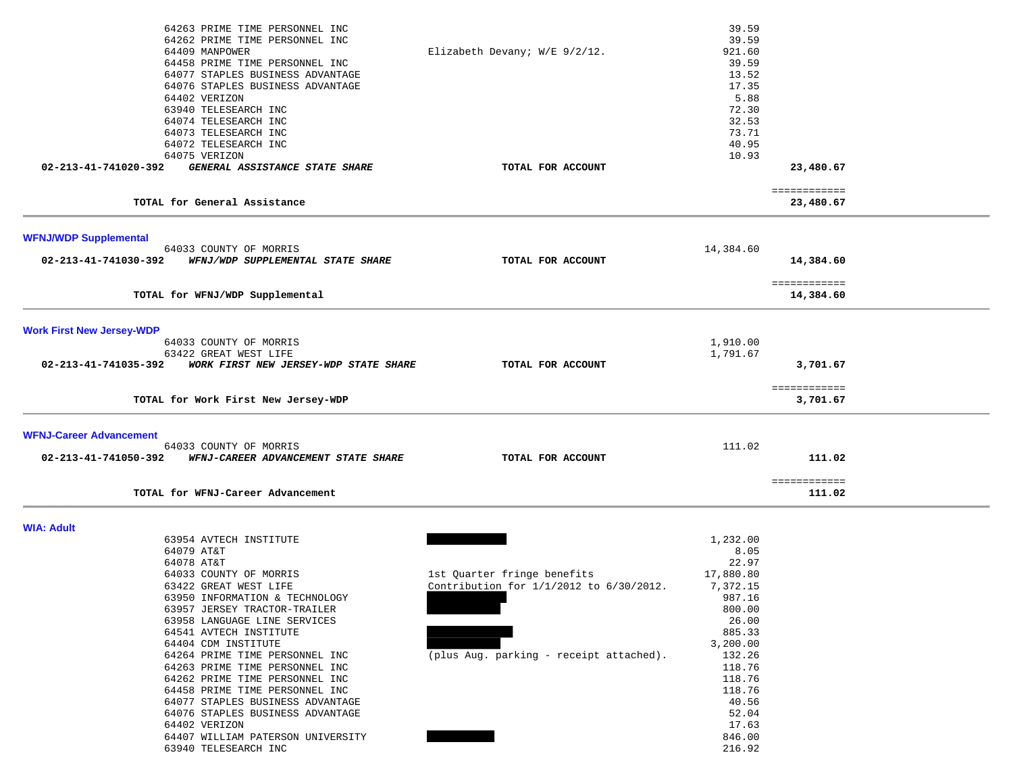| 64263 PRIME TIME PERSONNEL INC<br>64262 PRIME TIME PERSONNEL INC<br>64409 MANPOWER<br>64458 PRIME TIME PERSONNEL INC<br>64077 STAPLES BUSINESS ADVANTAGE<br>64076 STAPLES BUSINESS ADVANTAGE<br>64402 VERIZON<br>63940 TELESEARCH INC<br>64074 TELESEARCH INC<br>64073 TELESEARCH INC<br>64072 TELESEARCH INC<br>64075 VERIZON<br>02-213-41-741020-392<br>GENERAL ASSISTANCE STATE SHARE                                                                                                                                                                                    | Elizabeth Devany; W/E 9/2/12.<br>TOTAL FOR ACCOUNT                                                                | 39.59<br>39.59<br>921.60<br>39.59<br>13.52<br>17.35<br>5.88<br>72.30<br>32.53<br>73.71<br>40.95<br>10.93                                                                                     | 23,480.67                            |  |
|-----------------------------------------------------------------------------------------------------------------------------------------------------------------------------------------------------------------------------------------------------------------------------------------------------------------------------------------------------------------------------------------------------------------------------------------------------------------------------------------------------------------------------------------------------------------------------|-------------------------------------------------------------------------------------------------------------------|----------------------------------------------------------------------------------------------------------------------------------------------------------------------------------------------|--------------------------------------|--|
|                                                                                                                                                                                                                                                                                                                                                                                                                                                                                                                                                                             |                                                                                                                   |                                                                                                                                                                                              | ============                         |  |
| TOTAL for General Assistance                                                                                                                                                                                                                                                                                                                                                                                                                                                                                                                                                |                                                                                                                   |                                                                                                                                                                                              | 23,480.67                            |  |
| <b>WFNJ/WDP Supplemental</b>                                                                                                                                                                                                                                                                                                                                                                                                                                                                                                                                                |                                                                                                                   |                                                                                                                                                                                              |                                      |  |
| 64033 COUNTY OF MORRIS<br>WFNJ/WDP SUPPLEMENTAL STATE SHARE<br>02-213-41-741030-392                                                                                                                                                                                                                                                                                                                                                                                                                                                                                         | TOTAL FOR ACCOUNT                                                                                                 | 14,384.60                                                                                                                                                                                    | 14,384.60                            |  |
| TOTAL for WFNJ/WDP Supplemental                                                                                                                                                                                                                                                                                                                                                                                                                                                                                                                                             |                                                                                                                   |                                                                                                                                                                                              | ============<br>14,384.60            |  |
| <b>Work First New Jersey-WDP</b><br>64033 COUNTY OF MORRIS<br>63422 GREAT WEST LIFE<br>02-213-41-741035-392<br>WORK FIRST NEW JERSEY-WDP STATE SHARE<br>TOTAL for Work First New Jersey-WDP                                                                                                                                                                                                                                                                                                                                                                                 | TOTAL FOR ACCOUNT                                                                                                 | 1,910.00<br>1,791.67                                                                                                                                                                         | 3,701.67<br>============<br>3,701.67 |  |
| <b>WFNJ-Career Advancement</b><br>64033 COUNTY OF MORRIS<br>WFNJ-CAREER ADVANCEMENT STATE SHARE<br>02-213-41-741050-392                                                                                                                                                                                                                                                                                                                                                                                                                                                     | TOTAL FOR ACCOUNT                                                                                                 | 111.02                                                                                                                                                                                       | 111.02                               |  |
| TOTAL for WFNJ-Career Advancement                                                                                                                                                                                                                                                                                                                                                                                                                                                                                                                                           |                                                                                                                   |                                                                                                                                                                                              | ============<br>111.02               |  |
| <b>WIA: Adult</b><br>63954 AVTECH INSTITUTE<br>64079 AT&T<br>64078 AT&T<br>64033 COUNTY OF MORRIS<br>63422 GREAT WEST LIFE<br>63950 INFORMATION & TECHNOLOGY<br>63957 JERSEY TRACTOR-TRAILER<br>63958 LANGUAGE LINE SERVICES<br>64541 AVTECH INSTITUTE<br>64404 CDM INSTITUTE<br>64264 PRIME TIME PERSONNEL INC<br>64263 PRIME TIME PERSONNEL INC<br>64262 PRIME TIME PERSONNEL INC<br>64458 PRIME TIME PERSONNEL INC<br>64077 STAPLES BUSINESS ADVANTAGE<br>64076 STAPLES BUSINESS ADVANTAGE<br>64402 VERIZON<br>64407 WILLIAM PATERSON UNIVERSITY<br>63940 TELESEARCH INC | 1st Quarter fringe benefits<br>Contribution for 1/1/2012 to 6/30/2012.<br>(plus Aug. parking - receipt attached). | 1,232.00<br>8.05<br>22.97<br>17,880.80<br>7,372.15<br>987.16<br>800.00<br>26.00<br>885.33<br>3,200.00<br>132.26<br>118.76<br>118.76<br>118.76<br>40.56<br>52.04<br>17.63<br>846.00<br>216.92 |                                      |  |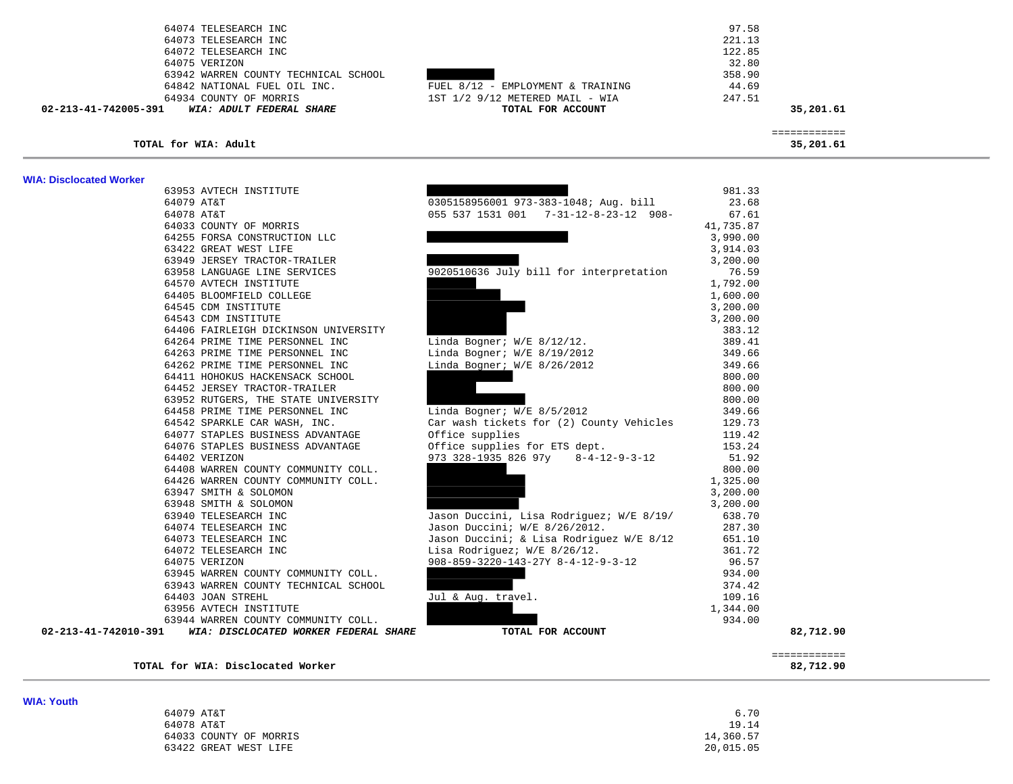| 64074 TELESEARCH INC                                          |                                                          | 97.58     |                           |
|---------------------------------------------------------------|----------------------------------------------------------|-----------|---------------------------|
| 64073 TELESEARCH INC                                          |                                                          | 221.13    |                           |
| 64072 TELESEARCH INC                                          |                                                          | 122.85    |                           |
| 64075 VERIZON                                                 |                                                          | 32.80     |                           |
| 63942 WARREN COUNTY TECHNICAL SCHOOL                          |                                                          | 358.90    |                           |
| 64842 NATIONAL FUEL OIL INC.                                  | FUEL 8/12 - EMPLOYMENT & TRAINING                        | 44.69     |                           |
| 64934 COUNTY OF MORRIS                                        | 1ST 1/2 9/12 METERED MAIL - WIA                          | 247.51    |                           |
| 02-213-41-742005-391<br>WIA: ADULT FEDERAL SHARE              | TOTAL FOR ACCOUNT                                        |           | 35,201.61                 |
|                                                               |                                                          |           |                           |
| TOTAL for WIA: Adult                                          |                                                          |           | ============<br>35,201.61 |
| <b>WIA: Disclocated Worker</b>                                |                                                          |           |                           |
| 63953 AVTECH INSTITUTE                                        |                                                          | 981.33    |                           |
| 64079 AT&T                                                    | 0305158956001 973-383-1048; Aug. bill                    | 23.68     |                           |
| 64078 AT&T                                                    | 055 537 1531 001 7-31-12-8-23-12 908-                    | 67.61     |                           |
| 64033 COUNTY OF MORRIS                                        |                                                          | 41,735.87 |                           |
| 64255 FORSA CONSTRUCTION LLC                                  |                                                          | 3,990.00  |                           |
| 63422 GREAT WEST LIFE                                         |                                                          | 3,914.03  |                           |
| 63949 JERSEY TRACTOR-TRAILER                                  |                                                          | 3,200.00  |                           |
| 63958 LANGUAGE LINE SERVICES                                  | 9020510636 July bill for interpretation                  | 76.59     |                           |
| 64570 AVTECH INSTITUTE                                        |                                                          | 1,792.00  |                           |
| 64405 BLOOMFIELD COLLEGE                                      |                                                          | 1,600.00  |                           |
| 64545 CDM INSTITUTE                                           |                                                          | 3,200.00  |                           |
| 64543 CDM INSTITUTE                                           |                                                          | 3,200.00  |                           |
| 64406 FAIRLEIGH DICKINSON UNIVERSITY                          |                                                          | 383.12    |                           |
| 64264 PRIME TIME PERSONNEL INC                                | Linda Bogner; $W/E$ 8/12/12.                             | 389.41    |                           |
| 64263 PRIME TIME PERSONNEL INC                                | Linda Bogner; W/E 8/19/2012                              | 349.66    |                           |
| 64262 PRIME TIME PERSONNEL INC                                | Linda Bogner; $W/E$ 8/26/2012                            | 349.66    |                           |
| 64411 HOHOKUS HACKENSACK SCHOOL                               |                                                          | 800.00    |                           |
| 64452 JERSEY TRACTOR-TRAILER                                  |                                                          | 800.00    |                           |
| 63952 RUTGERS, THE STATE UNIVERSITY                           |                                                          | 800.00    |                           |
| 64458 PRIME TIME PERSONNEL INC                                | Linda Bogner; W/E 8/5/2012                               | 349.66    |                           |
| 64542 SPARKLE CAR WASH, INC.                                  | Car wash tickets for (2) County Vehicles                 | 129.73    |                           |
| 64077 STAPLES BUSINESS ADVANTAGE                              | Office supplies                                          | 119.42    |                           |
| 64076 STAPLES BUSINESS ADVANTAGE                              | Office supplies for ETS dept.                            | 153.24    |                           |
| 64402 VERIZON                                                 | 973 328-1935 826 97y 8-4-12-9-3-12                       | 51.92     |                           |
| 64408 WARREN COUNTY COMMUNITY COLL.                           |                                                          | 800.00    |                           |
| 64426 WARREN COUNTY COMMUNITY COLL.                           |                                                          | 1,325.00  |                           |
| 63947 SMITH & SOLOMON                                         |                                                          | 3,200.00  |                           |
| 63948 SMITH & SOLOMON                                         |                                                          | 3,200.00  |                           |
| 63940 TELESEARCH INC                                          | Jason Duccini, Lisa Rodriguez; W/E 8/19/                 | 638.70    |                           |
| 64074 TELESEARCH INC                                          | Jason Duccini; W/E 8/26/2012.                            | 287.30    |                           |
| 64073 TELESEARCH INC                                          | Jason Duccini; & Lisa Rodriguez W/E 8/12                 | 651.10    |                           |
| 64072 TELESEARCH INC                                          | Lisa Rodriguez; W/E 8/26/12.                             | 361.72    |                           |
| 64075 VERIZON                                                 | $908 - 859 - 3220 - 143 - 27Y$ $8 - 4 - 12 - 9 - 3 - 12$ | 96.57     |                           |
| 63945 WARREN COUNTY COMMUNITY COLL.                           |                                                          | 934.00    |                           |
| 63943 WARREN COUNTY TECHNICAL SCHOOL                          |                                                          | 374.42    |                           |
| 64403 JOAN STREHL                                             | Jul & Aug. travel.                                       | 109.16    |                           |
| 63956 AVTECH INSTITUTE                                        |                                                          | 1,344.00  |                           |
| 63944 WARREN COUNTY COMMUNITY COLL.                           |                                                          | 934.00    |                           |
| 02-213-41-742010-391<br>WIA: DISCLOCATED WORKER FEDERAL SHARE | TOTAL FOR ACCOUNT                                        |           | 82,712.90                 |

**TOTAL for WIA: Disclocated Worker 82,712.90**

**WIA: Youth** 

============

| ------------------ |                        |           |
|--------------------|------------------------|-----------|
|                    | 64079 AT&T             | 6.70      |
|                    | 64078 AT&T             | 19.14     |
|                    | 64033 COUNTY OF MORRIS | 14,360.57 |
|                    | 63422 GREAT WEST LIFE  | 20,015.05 |
|                    |                        |           |

============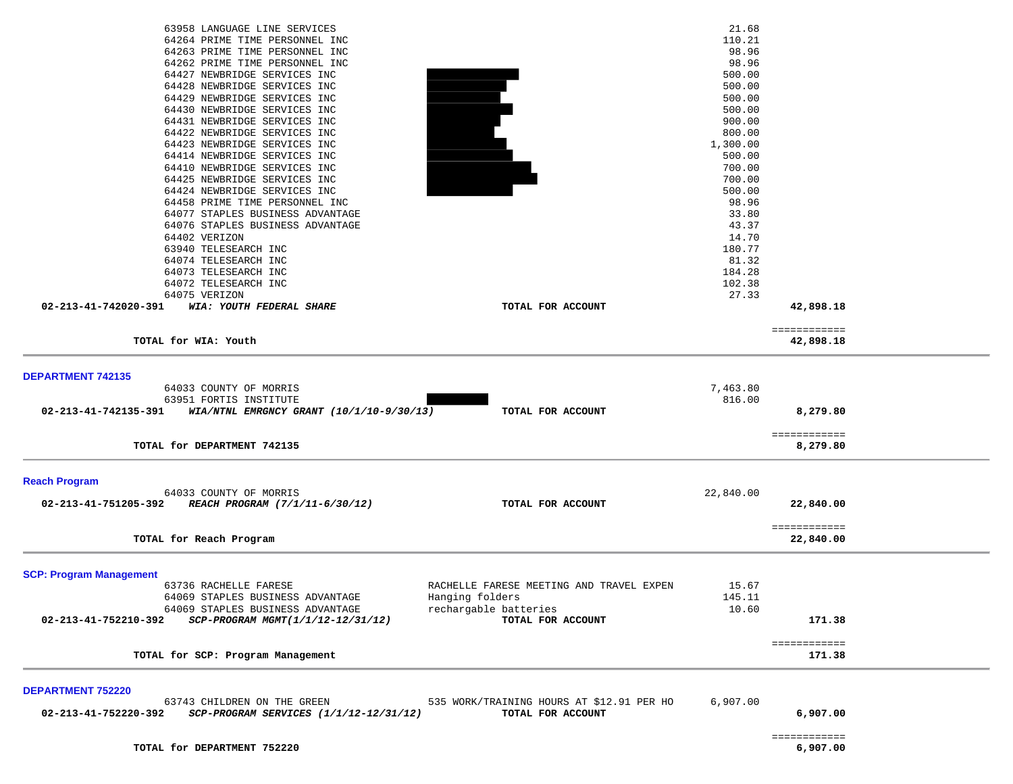| DEPARTMENT 752220<br>02-213-41-752220-392 | 63743 CHILDREN ON THE GREEN<br>SCP-PROGRAM SERVICES (1/1/12-12/31/12)                         | 535 WORK/TRAINING HOURS AT \$12.91 PER HO<br>TOTAL FOR ACCOUNT | 6,907.00                 | 6,907.00                  |  |
|-------------------------------------------|-----------------------------------------------------------------------------------------------|----------------------------------------------------------------|--------------------------|---------------------------|--|
|                                           | TOTAL for SCP: Program Management                                                             |                                                                |                          | 171.38                    |  |
| 02-213-41-752210-392                      | SCP-PROGRAM MGMT(1/1/12-12/31/12)                                                             | rechargable batteries<br>TOTAL FOR ACCOUNT                     |                          | 171.38<br>============    |  |
|                                           | 63736 RACHELLE FARESE<br>64069 STAPLES BUSINESS ADVANTAGE<br>64069 STAPLES BUSINESS ADVANTAGE | RACHELLE FARESE MEETING AND TRAVEL EXPEN<br>Hanging folders    | 15.67<br>145.11<br>10.60 |                           |  |
| <b>SCP: Program Management</b>            |                                                                                               |                                                                |                          |                           |  |
|                                           | TOTAL for Reach Program                                                                       |                                                                |                          | ============<br>22,840.00 |  |
| 02-213-41-751205-392                      | 64033 COUNTY OF MORRIS<br>REACH PROGRAM (7/1/11-6/30/12)                                      | TOTAL FOR ACCOUNT                                              | 22,840.00                | 22,840.00                 |  |
| <b>Reach Program</b>                      |                                                                                               |                                                                |                          |                           |  |
|                                           | TOTAL for DEPARTMENT 742135                                                                   |                                                                |                          | ============<br>8,279.80  |  |
| 02-213-41-742135-391                      | WIA/NTNL EMRGNCY GRANT $(10/1/10-9/30/13)$                                                    | TOTAL FOR ACCOUNT                                              |                          | 8,279.80                  |  |
| <b>DEPARTMENT 742135</b>                  | 64033 COUNTY OF MORRIS<br>63951 FORTIS INSTITUTE                                              |                                                                | 7,463.80<br>816.00       |                           |  |
|                                           | TOTAL for WIA: Youth                                                                          |                                                                |                          | ============<br>42,898.18 |  |
| 02-213-41-742020-391                      | WIA: YOUTH FEDERAL SHARE                                                                      | TOTAL FOR ACCOUNT                                              |                          | 42,898.18                 |  |
|                                           | 64075 VERIZON                                                                                 |                                                                | 27.33                    |                           |  |
|                                           | 64073 TELESEARCH INC<br>64072 TELESEARCH INC                                                  |                                                                | 184.28<br>102.38         |                           |  |
|                                           | 64074 TELESEARCH INC                                                                          |                                                                | 81.32                    |                           |  |
|                                           | 63940 TELESEARCH INC                                                                          |                                                                | 180.77                   |                           |  |
|                                           | 64402 VERIZON                                                                                 |                                                                | 14.70                    |                           |  |
|                                           | 64077 STAPLES BUSINESS ADVANTAGE<br>64076 STAPLES BUSINESS ADVANTAGE                          |                                                                | 33.80<br>43.37           |                           |  |
|                                           | 64458 PRIME TIME PERSONNEL INC                                                                |                                                                | 98.96                    |                           |  |
|                                           | 64424 NEWBRIDGE SERVICES INC                                                                  |                                                                | 500.00                   |                           |  |
|                                           | 64425 NEWBRIDGE SERVICES INC                                                                  |                                                                | 700.00                   |                           |  |
|                                           | 64414 NEWBRIDGE SERVICES INC<br>64410 NEWBRIDGE SERVICES INC                                  |                                                                | 500.00<br>700.00         |                           |  |
|                                           | 64423 NEWBRIDGE SERVICES INC                                                                  |                                                                | 1,300.00                 |                           |  |
|                                           | 64422 NEWBRIDGE SERVICES INC                                                                  |                                                                | 800.00                   |                           |  |
|                                           | 64431 NEWBRIDGE SERVICES INC                                                                  |                                                                | 900.00                   |                           |  |
|                                           | 64430 NEWBRIDGE SERVICES INC                                                                  |                                                                | 500.00                   |                           |  |
|                                           | 64429 NEWBRIDGE SERVICES INC                                                                  |                                                                | 500.00                   |                           |  |
|                                           | 64427 NEWBRIDGE SERVICES INC<br>64428 NEWBRIDGE SERVICES INC                                  |                                                                | 500.00<br>500.00         |                           |  |
|                                           | 64262 PRIME TIME PERSONNEL INC                                                                |                                                                | 98.96                    |                           |  |
|                                           | 64263 PRIME TIME PERSONNEL INC                                                                |                                                                | 98.96                    |                           |  |
|                                           | 64264 PRIME TIME PERSONNEL INC                                                                |                                                                | 110.21                   |                           |  |
|                                           | 63958 LANGUAGE LINE SERVICES                                                                  |                                                                | 21.68                    |                           |  |

 ============ TOTAL for DEPARTMENT 752220

 $6,907.00$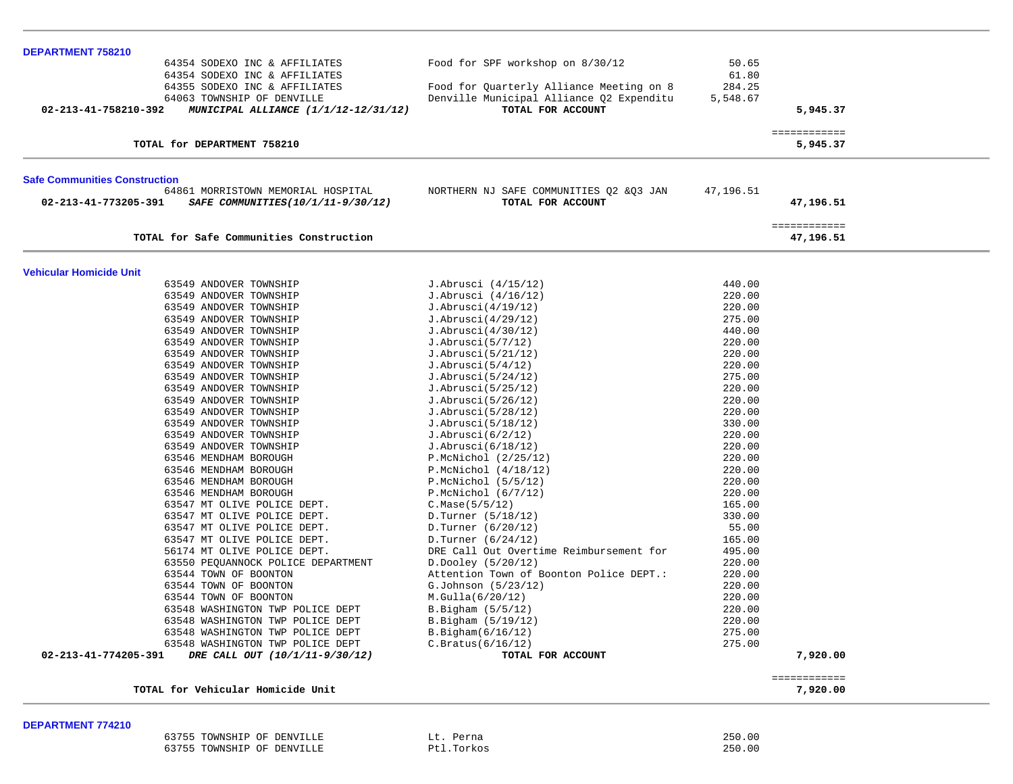| DEPARTMENT 758210                                                                          |                                                   |                  |                           |  |
|--------------------------------------------------------------------------------------------|---------------------------------------------------|------------------|---------------------------|--|
| 64354 SODEXO INC & AFFILIATES                                                              | Food for SPF workshop on 8/30/12                  | 50.65            |                           |  |
| 64354 SODEXO INC & AFFILIATES                                                              |                                                   | 61.80            |                           |  |
| 64355 SODEXO INC & AFFILIATES                                                              | Food for Quarterly Alliance Meeting on 8          | 284.25           |                           |  |
| 64063 TOWNSHIP OF DENVILLE                                                                 | Denville Municipal Alliance Q2 Expenditu          | 5,548.67         |                           |  |
| 02-213-41-758210-392<br>MUNICIPAL ALLIANCE (1/1/12-12/31/12)                               | TOTAL FOR ACCOUNT                                 |                  | 5,945.37                  |  |
| TOTAL for DEPARTMENT 758210                                                                |                                                   |                  | ============<br>5,945.37  |  |
|                                                                                            |                                                   |                  |                           |  |
| <b>Safe Communities Construction</b><br>64861 MORRISTOWN MEMORIAL HOSPITAL                 | NORTHERN NJ SAFE COMMUNITIES Q2 & Q3 JAN          | 47,196.51        |                           |  |
| 02-213-41-773205-391<br>SAFE COMMUNITIES(10/1/11-9/30/12)                                  | TOTAL FOR ACCOUNT                                 |                  | 47,196.51                 |  |
| TOTAL for Safe Communities Construction                                                    |                                                   |                  | ============<br>47,196.51 |  |
|                                                                                            |                                                   |                  |                           |  |
| <b>Vehicular Homicide Unit</b>                                                             |                                                   |                  |                           |  |
| 63549 ANDOVER TOWNSHIP                                                                     | J.Abrusci (4/15/12)                               | 440.00           |                           |  |
| 63549 ANDOVER TOWNSHIP                                                                     | J.Abrusci (4/16/12)                               | 220.00           |                           |  |
| 63549 ANDOVER TOWNSHIP<br>63549 ANDOVER TOWNSHIP                                           | J.Abrusci(4/19/12)<br>J.Abrusci(4/29/12)          | 220.00<br>275.00 |                           |  |
| 63549 ANDOVER TOWNSHIP                                                                     | J.Abrusci(4/30/12)                                | 440.00           |                           |  |
| 63549 ANDOVER TOWNSHIP                                                                     | J.Abrusci(5/7/12)                                 | 220.00           |                           |  |
| 63549 ANDOVER TOWNSHIP                                                                     | J.Abrusci(5/21/12)                                | 220.00           |                           |  |
| 63549 ANDOVER TOWNSHIP                                                                     | J.Abrusci(5/4/12)                                 | 220.00           |                           |  |
| 63549 ANDOVER TOWNSHIP                                                                     | J.Abrusci(5/24/12)                                | 275.00           |                           |  |
| 63549 ANDOVER TOWNSHIP                                                                     | J.Abrusci(5/25/12)                                | 220.00           |                           |  |
| 63549 ANDOVER TOWNSHIP                                                                     | J.Abrusci(5/26/12)                                | 220.00           |                           |  |
| 63549 ANDOVER TOWNSHIP                                                                     | J.Abrusci(5/28/12)                                | 220.00           |                           |  |
| 63549 ANDOVER TOWNSHIP                                                                     | J.Abrusci(5/18/12)                                | 330.00           |                           |  |
| 63549 ANDOVER TOWNSHIP                                                                     | J.Abrusci(6/2/12)                                 | 220.00           |                           |  |
| 63549 ANDOVER TOWNSHIP                                                                     | J.Abrusci(6/18/12)                                | 220.00           |                           |  |
| 63546 MENDHAM BOROUGH                                                                      | $P.McNichol$ (2/25/12)                            | 220.00           |                           |  |
| 63546 MENDHAM BOROUGH<br>63546 MENDHAM BOROUGH                                             | $P.McNichol$ $(4/18/12)$<br>$P.McNichol$ (5/5/12) | 220.00<br>220.00 |                           |  |
| 63546 MENDHAM BOROUGH                                                                      | $P.McNichol$ (6/7/12)                             | 220.00           |                           |  |
| 63547 MT OLIVE POLICE DEPT.                                                                | C.Mase(5/5/12)                                    | 165.00           |                           |  |
| 63547 MT OLIVE POLICE DEPT.                                                                | D.Turner (5/18/12)                                | 330.00           |                           |  |
| 63547 MT OLIVE POLICE DEPT.                                                                | D.Turner (6/20/12)                                | 55.00            |                           |  |
| 63547 MT OLIVE POLICE DEPT.                                                                | D.Turner (6/24/12)                                | 165.00           |                           |  |
| 56174 MT OLIVE POLICE DEPT.                                                                | DRE Call Out Overtime Reimbursement for           | 495.00           |                           |  |
| 63550 PEQUANNOCK POLICE DEPARTMENT                                                         | D.Dooley (5/20/12)                                | 220.00           |                           |  |
| 63544 TOWN OF BOONTON                                                                      | Attention Town of Boonton Police DEPT.:           | 220.00           |                           |  |
| 63544 TOWN OF BOONTON                                                                      | G.Johnson (5/23/12)                               | 220.00           |                           |  |
| 63544 TOWN OF BOONTON                                                                      | M.Gulla(6/20/12)                                  | 220.00           |                           |  |
| 63548 WASHINGTON TWP POLICE DEPT                                                           | B.Bigham (5/5/12)                                 | 220.00           |                           |  |
| 63548 WASHINGTON TWP POLICE DEPT                                                           | B.Biqham (5/19/12)                                | 220.00           |                           |  |
| 63548 WASHINGTON TWP POLICE DEPT                                                           | B.Biqham(6/16/12)                                 | 275.00           |                           |  |
| 63548 WASHINGTON TWP POLICE DEPT<br>02-213-41-774205-391<br>DRE CALL OUT (10/1/11-9/30/12) | C.Bratus(6/16/12)<br>TOTAL FOR ACCOUNT            | 275.00           | 7,920.00                  |  |
|                                                                                            |                                                   |                  |                           |  |
| TOTAL for Vehicular Homicide Unit                                                          |                                                   |                  | ============<br>7,920.00  |  |

## **DEPARTMENT 774210**

| 63755<br>TOWNSHIP OF DENVILLE | Perna<br>⊔∟        | 250.00 |
|-------------------------------|--------------------|--------|
| 63755<br>TOWNSHIP OF DENVILLE | tl.Torkos!<br>D+ 3 | 250.00 |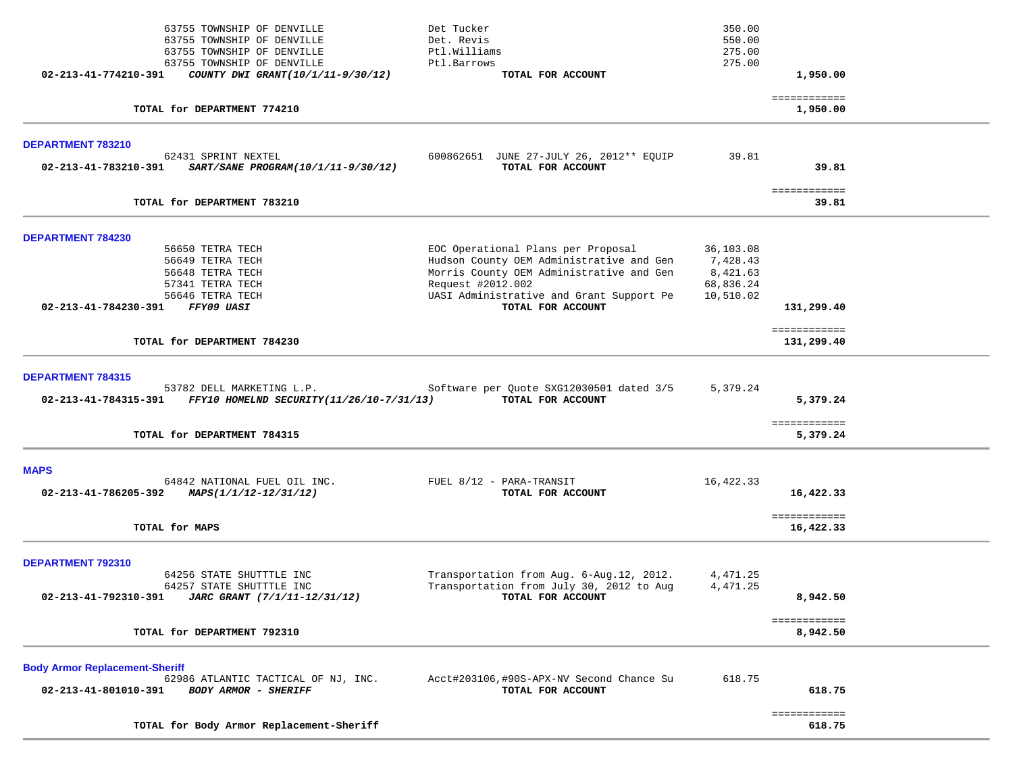|                                                               | TOTAL for Body Armor Replacement-Sheriff                                                                     |                                                                                                                            |                                   | 618.75                     |  |
|---------------------------------------------------------------|--------------------------------------------------------------------------------------------------------------|----------------------------------------------------------------------------------------------------------------------------|-----------------------------------|----------------------------|--|
| <b>Body Armor Replacement-Sheriff</b><br>02-213-41-801010-391 | 62986 ATLANTIC TACTICAL OF NJ, INC.<br><b>BODY ARMOR - SHERIFF</b>                                           | Acct#203106,#90S-APX-NV Second Chance Su<br>TOTAL FOR ACCOUNT                                                              | 618.75                            | 618.75<br>============     |  |
|                                                               | TOTAL for DEPARTMENT 792310                                                                                  |                                                                                                                            |                                   | 8,942.50                   |  |
| DEPARTMENT 792310                                             | 64256 STATE SHUTTTLE INC<br>64257 STATE SHUTTTLE INC<br>02-213-41-792310-391 JARC GRANT (7/1/11-12/31/12)    | Transportation from Aug. 6-Aug.12, 2012.<br>Transportation from July 30, 2012 to Aug<br>TOTAL FOR ACCOUNT                  | 4,471.25<br>4,471.25              | 8,942.50<br>============   |  |
|                                                               | TOTAL for MAPS                                                                                               |                                                                                                                            |                                   | 16,422.33                  |  |
| <b>MAPS</b>                                                   | 64842 NATIONAL FUEL OIL INC.<br>02-213-41-786205-392 MAPS( $1/1/12-12/31/12$ )                               | FUEL 8/12 - PARA-TRANSIT<br>TOTAL FOR ACCOUNT                                                                              | 16,422.33                         | 16,422.33<br>============  |  |
|                                                               | TOTAL for DEPARTMENT 784315                                                                                  |                                                                                                                            |                                   | ============<br>5,379.24   |  |
| <b>DEPARTMENT 784315</b>                                      | 53782 DELL MARKETING L.P.<br>02-213-41-784315-391 FFY10 HOMELND SECURITY(11/26/10-7/31/13) TOTAL FOR ACCOUNT | Software per Quote SXG12030501 dated 3/5                                                                                   | 5,379.24                          | 5,379.24                   |  |
|                                                               | TOTAL for DEPARTMENT 784230                                                                                  |                                                                                                                            |                                   | ============<br>131,299.40 |  |
| 02-213-41-784230-391 FFY09 UASI                               | 57341 TETRA TECH<br>56646 TETRA TECH                                                                         | Request #2012.002<br>UASI Administrative and Grant Support Pe<br>TOTAL FOR ACCOUNT                                         | 68,836.24<br>10,510.02            | 131,299.40                 |  |
| DEPARTMENT 784230                                             | 56650 TETRA TECH<br>56649 TETRA TECH<br>56648 TETRA TECH                                                     | EOC Operational Plans per Proposal<br>Hudson County OEM Administrative and Gen<br>Morris County OEM Administrative and Gen | 36,103.08<br>7,428.43<br>8,421.63 |                            |  |
|                                                               | TOTAL for DEPARTMENT 783210                                                                                  |                                                                                                                            |                                   | ============<br>39.81      |  |
| DEPARTMENT 783210                                             | 62431 SPRINT NEXTEL<br>02-213-41-783210-391 SART/SANE PROGRAM(10/1/11-9/30/12)                               | 600862651 JUNE 27-JULY 26, 2012** EQUIP<br>TOTAL FOR ACCOUNT                                                               | 39.81                             | 39.81                      |  |
|                                                               | TOTAL for DEPARTMENT 774210                                                                                  |                                                                                                                            |                                   | ============<br>1,950.00   |  |
|                                                               | 63755 TOWNSHIP OF DENVILLE<br>$02 - 213 - 41 - 774210 - 391$ COUNTY DWI GRANT(10/1/11-9/30/12)               | Ptl.Barrows<br>TOTAL FOR ACCOUNT                                                                                           | 275.00                            | 1,950.00                   |  |
|                                                               | 63755 TOWNSHIP OF DENVILLE<br>63755 TOWNSHIP OF DENVILLE<br>63755 TOWNSHIP OF DENVILLE                       | Det Tucker<br>Det. Revis<br>Ptl.Williams                                                                                   | 350.00<br>550.00<br>275.00        |                            |  |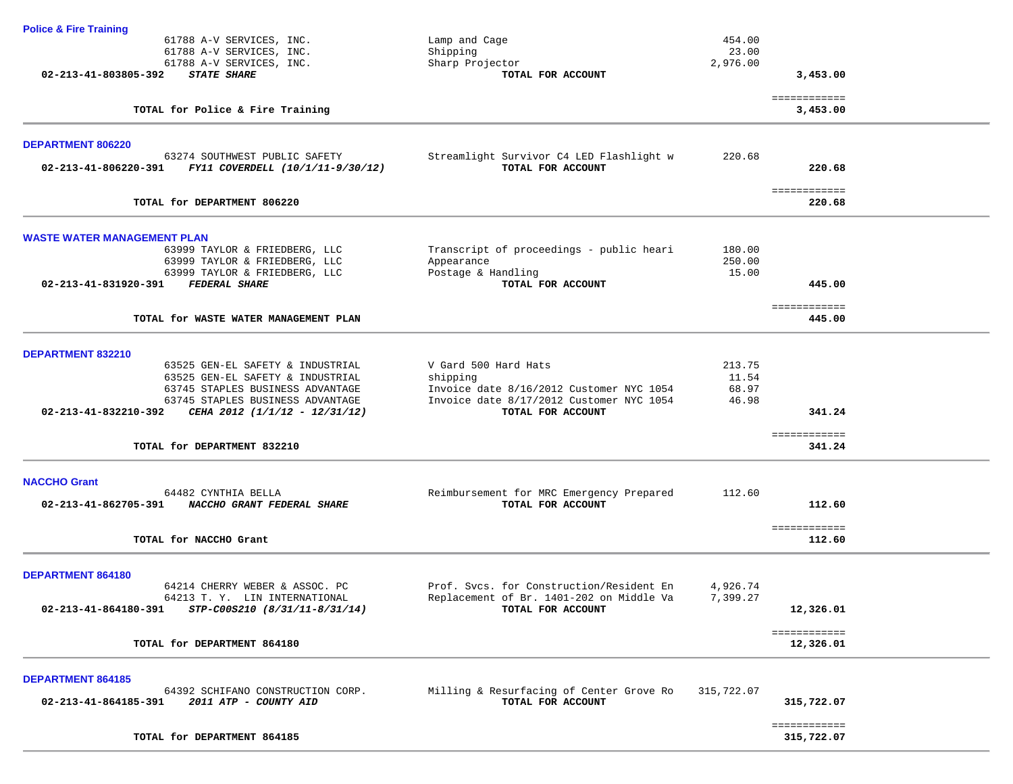| <b>Police &amp; Fire Training</b>                                                      |                                                               |            |                           |
|----------------------------------------------------------------------------------------|---------------------------------------------------------------|------------|---------------------------|
| 61788 A-V SERVICES, INC.                                                               | Lamp and Cage                                                 | 454.00     |                           |
| 61788 A-V SERVICES, INC.                                                               | Shipping                                                      | 23.00      |                           |
| 61788 A-V SERVICES, INC.                                                               | Sharp Projector                                               | 2,976.00   |                           |
| 02-213-41-803805-392<br><b>STATE SHARE</b>                                             | TOTAL FOR ACCOUNT                                             |            | 3,453.00                  |
| TOTAL for Police & Fire Training                                                       |                                                               |            | ============<br>3,453.00  |
|                                                                                        |                                                               |            |                           |
| DEPARTMENT 806220                                                                      |                                                               |            |                           |
| 63274 SOUTHWEST PUBLIC SAFETY<br>02-213-41-806220-391 FY11 COVERDELL (10/1/11-9/30/12) | Streamlight Survivor C4 LED Flashlight w<br>TOTAL FOR ACCOUNT | 220.68     | 220.68                    |
|                                                                                        |                                                               |            | ============              |
| TOTAL for DEPARTMENT 806220                                                            |                                                               |            | 220.68                    |
| <b>WASTE WATER MANAGEMENT PLAN</b>                                                     |                                                               |            |                           |
| 63999 TAYLOR & FRIEDBERG, LLC                                                          | Transcript of proceedings - public heari                      | 180.00     |                           |
| 63999 TAYLOR & FRIEDBERG, LLC                                                          | Appearance                                                    | 250.00     |                           |
| 63999 TAYLOR & FRIEDBERG, LLC                                                          | Postage & Handling                                            | 15.00      |                           |
| 02-213-41-831920-391 FEDERAL SHARE                                                     | TOTAL FOR ACCOUNT                                             |            | 445.00                    |
| TOTAL for WASTE WATER MANAGEMENT PLAN                                                  |                                                               |            | ============<br>445.00    |
|                                                                                        |                                                               |            |                           |
| DEPARTMENT 832210                                                                      |                                                               |            |                           |
| 63525 GEN-EL SAFETY & INDUSTRIAL                                                       | V Gard 500 Hard Hats                                          | 213.75     |                           |
| 63525 GEN-EL SAFETY & INDUSTRIAL                                                       | shipping                                                      | 11.54      |                           |
| 63745 STAPLES BUSINESS ADVANTAGE                                                       | Invoice date 8/16/2012 Customer NYC 1054                      | 68.97      |                           |
| 63745 STAPLES BUSINESS ADVANTAGE                                                       | Invoice date 8/17/2012 Customer NYC 1054                      | 46.98      |                           |
| 02-213-41-832210-392<br>CEHA 2012 (1/1/12 - 12/31/12)                                  | TOTAL FOR ACCOUNT                                             |            | 341.24                    |
|                                                                                        |                                                               |            | ============              |
| TOTAL for DEPARTMENT 832210                                                            |                                                               |            | 341.24                    |
| <b>NACCHO Grant</b>                                                                    |                                                               |            |                           |
| 64482 CYNTHIA BELLA                                                                    | Reimbursement for MRC Emergency Prepared                      | 112.60     |                           |
| 02-213-41-862705-391 NACCHO GRANT FEDERAL SHARE                                        | TOTAL FOR ACCOUNT                                             |            | 112.60                    |
|                                                                                        |                                                               |            |                           |
| TOTAL for NACCHO Grant                                                                 |                                                               |            | ============              |
|                                                                                        |                                                               |            | 112.60                    |
| <b>DEPARTMENT 864180</b>                                                               |                                                               |            |                           |
| 64214 CHERRY WEBER & ASSOC. PC                                                         | Prof. Sycs. for Construction/Resident En                      | 4,926.74   |                           |
| 64213 T.Y. LIN INTERNATIONAL                                                           | Replacement of Br. 1401-202 on Middle Va                      | 7,399.27   |                           |
| STP-C00S210 (8/31/11-8/31/14)<br>02-213-41-864180-391                                  | TOTAL FOR ACCOUNT                                             |            | 12,326.01                 |
| TOTAL for DEPARTMENT 864180                                                            |                                                               |            | ============<br>12,326.01 |
|                                                                                        |                                                               |            |                           |
| <b>DEPARTMENT 864185</b>                                                               |                                                               |            |                           |
| 64392 SCHIFANO CONSTRUCTION CORP.                                                      | Milling & Resurfacing of Center Grove Ro                      | 315,722.07 |                           |
| 02-213-41-864185-391<br>2011 ATP - COUNTY AID                                          | TOTAL FOR ACCOUNT                                             |            | 315,722.07                |
|                                                                                        |                                                               |            |                           |
|                                                                                        |                                                               |            | ============              |
| TOTAL for DEPARTMENT 864185                                                            |                                                               |            | 315,722.07                |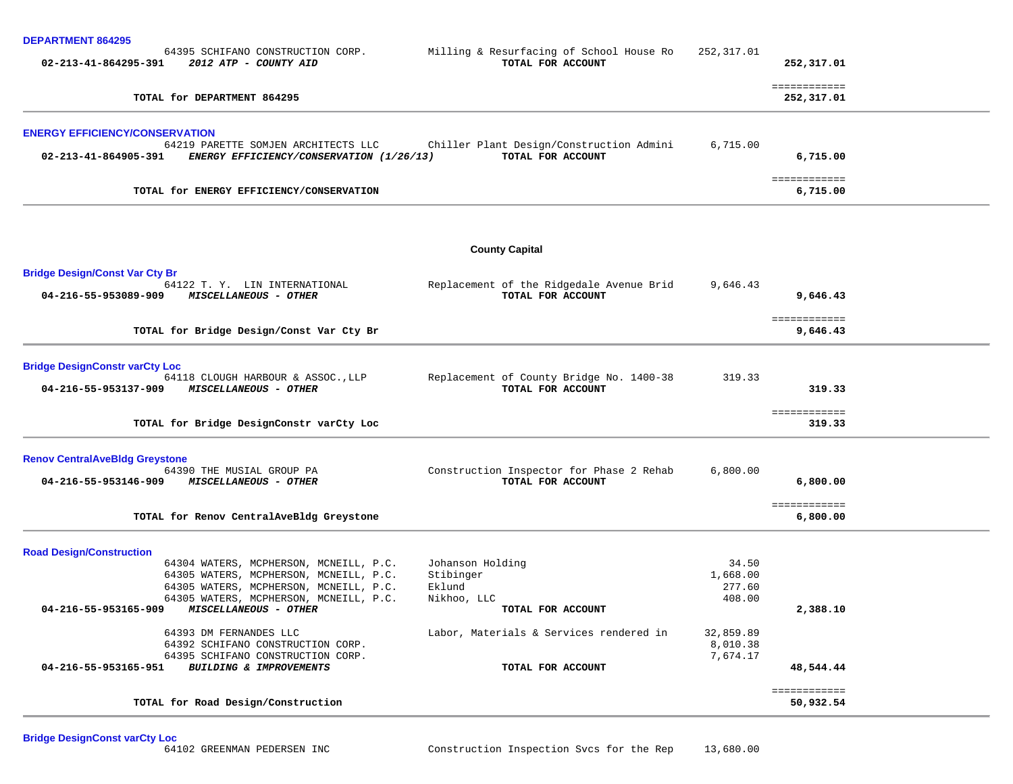| <b>DEPARTMENT 864295</b> |  |  |
|--------------------------|--|--|
|--------------------------|--|--|

| DEPARIMENI 864295<br>64395 SCHIFANO CONSTRUCTION CORP.<br>02-213-41-864295-391<br>2012 ATP - COUNTY AID                    | Milling & Resurfacing of School House Ro<br>TOTAL FOR ACCOUNT | 252,317.01                  | 252,317.01                |  |
|----------------------------------------------------------------------------------------------------------------------------|---------------------------------------------------------------|-----------------------------|---------------------------|--|
|                                                                                                                            |                                                               |                             | ============              |  |
| TOTAL for DEPARTMENT 864295                                                                                                |                                                               |                             | 252,317.01                |  |
| <b>ENERGY EFFICIENCY/CONSERVATION</b>                                                                                      |                                                               |                             |                           |  |
| 64219 PARETTE SOMJEN ARCHITECTS LLC<br>ENERGY EFFICIENCY/CONSERVATION (1/26/13)<br>02-213-41-864905-391                    | Chiller Plant Design/Construction Admini<br>TOTAL FOR ACCOUNT | 6,715.00                    | 6,715.00                  |  |
| TOTAL for ENERGY EFFICIENCY/CONSERVATION                                                                                   |                                                               |                             | ============<br>6,715.00  |  |
|                                                                                                                            | <b>County Capital</b>                                         |                             |                           |  |
| <b>Bridge Design/Const Var Cty Br</b>                                                                                      |                                                               |                             |                           |  |
| 64122 T.Y. LIN INTERNATIONAL<br>04-216-55-953089-909 MISCELLANEOUS - OTHER                                                 | Replacement of the Ridgedale Avenue Brid<br>TOTAL FOR ACCOUNT | 9,646.43                    | 9,646.43                  |  |
| TOTAL for Bridge Design/Const Var Cty Br                                                                                   |                                                               |                             | ============<br>9,646.43  |  |
| <b>Bridge DesignConstr varCty Loc</b>                                                                                      |                                                               |                             |                           |  |
| 64118 CLOUGH HARBOUR & ASSOC., LLP<br>04-216-55-953137-909<br><b>MISCELLANEOUS - OTHER</b>                                 | Replacement of County Bridge No. 1400-38<br>TOTAL FOR ACCOUNT | 319.33                      | 319.33                    |  |
| TOTAL for Bridge DesignConstr varCty Loc                                                                                   |                                                               |                             | ============<br>319.33    |  |
| <b>Renov CentralAveBldg Greystone</b>                                                                                      |                                                               |                             |                           |  |
| 64390 THE MUSIAL GROUP PA<br>04-216-55-953146-909 MISCELLANEOUS - OTHER                                                    | Construction Inspector for Phase 2 Rehab<br>TOTAL FOR ACCOUNT | 6,800.00                    | 6,800.00                  |  |
| TOTAL for Renov CentralAveBldg Greystone                                                                                   |                                                               |                             | ============<br>6,800.00  |  |
| <b>Road Design/Construction</b>                                                                                            |                                                               |                             |                           |  |
| 64304 WATERS, MCPHERSON, MCNEILL, P.C.<br>64305 WATERS, MCPHERSON, MCNEILL, P.C.<br>64305 WATERS, MCPHERSON, MCNEILL, P.C. | Johanson Holding<br>Stibinger<br>Eklund                       | 34.50<br>1,668.00<br>277.60 |                           |  |
| 64305 WATERS, MCPHERSON, MCNEILL, P.C.<br>04-216-55-953165-909<br>MISCELLANEOUS - OTHER                                    | Nikhoo, LLC<br>TOTAL FOR ACCOUNT                              | 408.00                      | 2,388.10                  |  |
| 64393 DM FERNANDES LLC                                                                                                     | Labor, Materials & Services rendered in                       | 32,859.89                   |                           |  |
| 64392 SCHIFANO CONSTRUCTION CORP.                                                                                          |                                                               | 8,010.38                    |                           |  |
| 64395 SCHIFANO CONSTRUCTION CORP.<br>04-216-55-953165-951<br>BUILDING & IMPROVEMENTS                                       | TOTAL FOR ACCOUNT                                             | 7,674.17                    | 48,544.44                 |  |
| TOTAL for Road Design/Construction                                                                                         |                                                               |                             | ============<br>50,932.54 |  |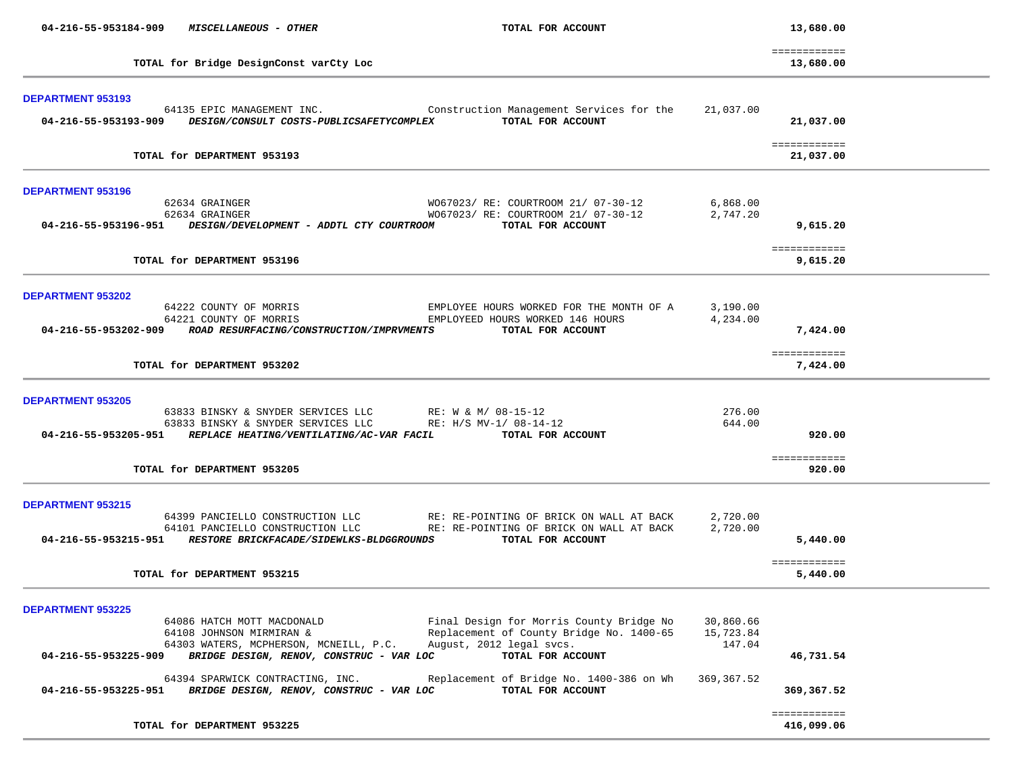| 04-216-55-953184-909<br><b>MISCELLANEOUS - OTHER</b>                                                       | TOTAL FOR ACCOUNT                                                                    |                      | 13,680.00                 |  |
|------------------------------------------------------------------------------------------------------------|--------------------------------------------------------------------------------------|----------------------|---------------------------|--|
| TOTAL for Bridge DesignConst varCty Loc                                                                    |                                                                                      |                      | ============<br>13,680.00 |  |
|                                                                                                            |                                                                                      |                      |                           |  |
| DEPARTMENT 953193                                                                                          |                                                                                      |                      |                           |  |
| 64135 EPIC MANAGEMENT INC.<br>04-216-55-953193-909 DESIGN/CONSULT COSTS-PUBLICSAFETYCOMPLEX                | Construction Management Services for the<br>TOTAL FOR ACCOUNT                        | 21,037.00            | 21,037.00                 |  |
|                                                                                                            |                                                                                      |                      |                           |  |
|                                                                                                            |                                                                                      |                      | ============              |  |
| TOTAL for DEPARTMENT 953193                                                                                |                                                                                      |                      | 21,037.00                 |  |
| <b>DEPARTMENT 953196</b>                                                                                   |                                                                                      |                      |                           |  |
| 62634 GRAINGER                                                                                             | W067023/ RE: COURTROOM 21/ 07-30-12                                                  | 6,868.00             |                           |  |
| 62634 GRAINGER                                                                                             | W067023/ RE: COURTROOM 21/ 07-30-12                                                  | 2,747.20             |                           |  |
| 04-216-55-953196-951 DESIGN/DEVELOPMENT - ADDTL CTY COURTROOM                                              | TOTAL FOR ACCOUNT                                                                    |                      | 9,615.20                  |  |
|                                                                                                            |                                                                                      |                      | ============              |  |
| TOTAL for DEPARTMENT 953196                                                                                |                                                                                      |                      | 9,615.20                  |  |
|                                                                                                            |                                                                                      |                      |                           |  |
| <b>DEPARTMENT 953202</b>                                                                                   |                                                                                      |                      |                           |  |
| 64222 COUNTY OF MORRIS<br>64221 COUNTY OF MORRIS                                                           | EMPLOYEE HOURS WORKED FOR THE MONTH OF A<br>EMPLOYEED HOURS WORKED 146 HOURS         | 3,190.00<br>4,234.00 |                           |  |
| 04-216-55-953202-909 ROAD RESURFACING/CONSTRUCTION/IMPRVMENTS                                              | TOTAL FOR ACCOUNT                                                                    |                      | 7,424.00                  |  |
|                                                                                                            |                                                                                      |                      |                           |  |
| TOTAL for DEPARTMENT 953202                                                                                |                                                                                      |                      | ============<br>7,424.00  |  |
|                                                                                                            |                                                                                      |                      |                           |  |
| <b>DEPARTMENT 953205</b>                                                                                   |                                                                                      |                      |                           |  |
|                                                                                                            | 63833 BINSKY & SNYDER SERVICES LLC RE: W & M/ 08-15-12                               | 276.00               |                           |  |
|                                                                                                            | 63833 BINSKY & SNYDER SERVICES LLC RE: H/S MV-1/ 08-14-12                            | 644.00               |                           |  |
| 04-216-55-953205-951 REPLACE HEATING/VENTILATING/AC-VAR FACIL                                              | TOTAL FOR ACCOUNT                                                                    |                      | 920.00                    |  |
|                                                                                                            |                                                                                      |                      | ============              |  |
| TOTAL for DEPARTMENT 953205                                                                                |                                                                                      |                      | 920.00                    |  |
|                                                                                                            |                                                                                      |                      |                           |  |
| <b>DEPARTMENT 953215</b>                                                                                   |                                                                                      |                      |                           |  |
| 64399 PANCIELLO CONSTRUCTION LLC<br>64101 PANCIELLO CONSTRUCTION LLC                                       | RE: RE-POINTING OF BRICK ON WALL AT BACK<br>RE: RE-POINTING OF BRICK ON WALL AT BACK | 2,720.00<br>2,720.00 |                           |  |
| 04-216-55-953215-951 RESTORE BRICKFACADE/SIDEWLKS-BLDGGROUNDS                                              | TOTAL FOR ACCOUNT                                                                    |                      | 5,440.00                  |  |
|                                                                                                            |                                                                                      |                      |                           |  |
| TOTAL for DEPARTMENT 953215                                                                                |                                                                                      |                      | ============<br>5,440.00  |  |
|                                                                                                            |                                                                                      |                      |                           |  |
| <b>DEPARTMENT 953225</b>                                                                                   |                                                                                      |                      |                           |  |
| 64086 HATCH MOTT MACDONALD                                                                                 | Final Design for Morris County Bridge No                                             | 30,860.66            |                           |  |
| 64108 JOHNSON MIRMIRAN &                                                                                   | Replacement of County Bridge No. 1400-65                                             | 15,723.84            |                           |  |
| 64303 WATERS, MCPHERSON, MCNEILL, P.C.<br>04-216-55-953225-909<br>BRIDGE DESIGN, RENOV, CONSTRUC - VAR LOC | August, 2012 legal svcs.<br>TOTAL FOR ACCOUNT                                        | 147.04               | 46,731.54                 |  |
|                                                                                                            |                                                                                      |                      |                           |  |
| 64394 SPARWICK CONTRACTING, INC.<br>04-216-55-953225-951<br>BRIDGE DESIGN, RENOV, CONSTRUC - VAR LOC       | Replacement of Bridge No. 1400-386 on Wh<br>TOTAL FOR ACCOUNT                        | 369, 367.52          | 369,367.52                |  |
|                                                                                                            |                                                                                      |                      |                           |  |
|                                                                                                            |                                                                                      |                      | ============              |  |
| TOTAL for DEPARTMENT 953225                                                                                |                                                                                      |                      | 416,099.06                |  |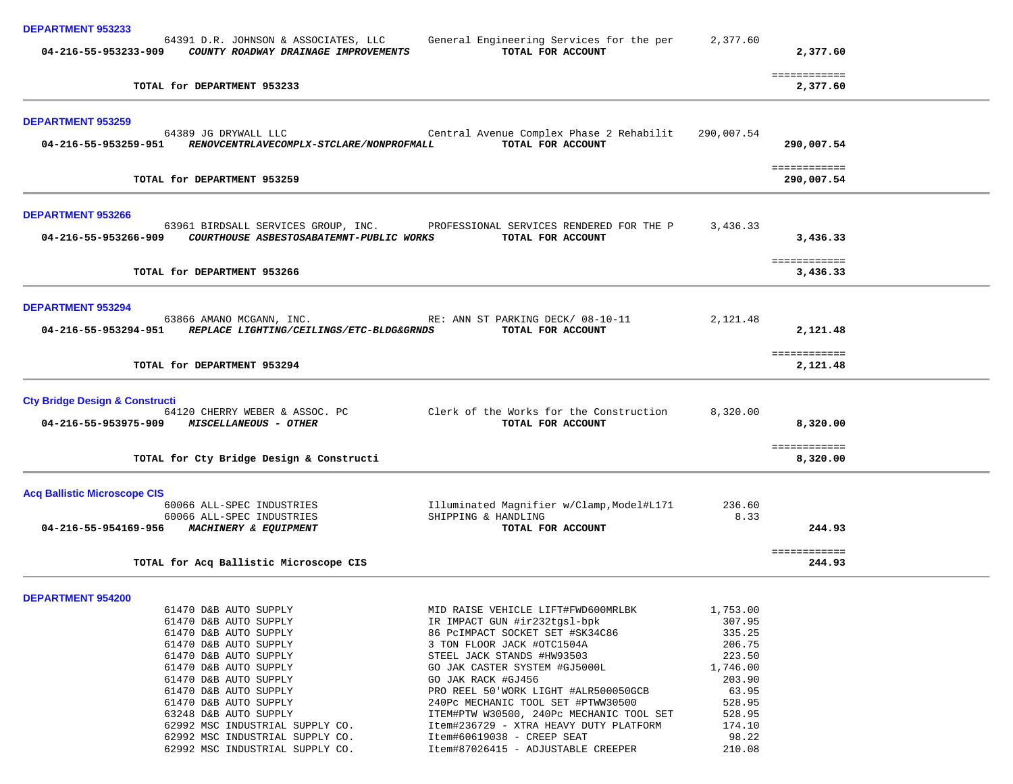| <b>DEPARTMENT 953233</b>                  |                                                                                                   |                                                                  |                  |                            |  |
|-------------------------------------------|---------------------------------------------------------------------------------------------------|------------------------------------------------------------------|------------------|----------------------------|--|
|                                           | 64391 D.R. JOHNSON & ASSOCIATES, LLC<br>04-216-55-953233-909 COUNTY ROADWAY DRAINAGE IMPROVEMENTS | General Engineering Services for the per<br>TOTAL FOR ACCOUNT    | 2,377.60         | 2,377.60                   |  |
|                                           | TOTAL for DEPARTMENT 953233                                                                       |                                                                  |                  | ============<br>2,377.60   |  |
| <b>DEPARTMENT 953259</b>                  |                                                                                                   |                                                                  |                  |                            |  |
|                                           | 64389 JG DRYWALL LLC<br>04-216-55-953259-951 RENOVCENTRLAVECOMPLX-STCLARE/NONPROFMALL             | Central Avenue Complex Phase 2 Rehabilit<br>TOTAL FOR ACCOUNT    | 290,007.54       | 290,007.54                 |  |
|                                           | TOTAL for DEPARTMENT 953259                                                                       |                                                                  |                  | ============<br>290,007.54 |  |
| <b>DEPARTMENT 953266</b>                  |                                                                                                   |                                                                  |                  |                            |  |
| 04-216-55-953266-909                      | 63961 BIRDSALL SERVICES GROUP, INC.<br>COURTHOUSE ASBESTOSABATEMNT-PUBLIC WORKS                   | PROFESSIONAL SERVICES RENDERED FOR THE P<br>TOTAL FOR ACCOUNT    | 3,436.33         | 3,436.33                   |  |
|                                           | TOTAL for DEPARTMENT 953266                                                                       |                                                                  |                  | ============<br>3,436.33   |  |
| <b>DEPARTMENT 953294</b>                  |                                                                                                   |                                                                  |                  |                            |  |
| 04-216-55-953294-951                      | 63866 AMANO MCGANN, INC.<br>REPLACE LIGHTING/CEILINGS/ETC-BLDG&GRNDS                              | RE: ANN ST PARKING DECK/ 08-10-11<br>TOTAL FOR ACCOUNT           | 2,121.48         | 2,121.48                   |  |
| TOTAL for DEPARTMENT 953294               |                                                                                                   |                                                                  |                  | ============<br>2,121.48   |  |
| <b>Cty Bridge Design &amp; Constructi</b> |                                                                                                   |                                                                  |                  |                            |  |
| 04-216-55-953975-909                      | 64120 CHERRY WEBER & ASSOC. PC<br><b>MISCELLANEOUS - OTHER</b>                                    | Clerk of the Works for the Construction<br>TOTAL FOR ACCOUNT     | 8,320.00         | 8,320.00                   |  |
|                                           | TOTAL for Cty Bridge Design & Constructi                                                          |                                                                  |                  | ============<br>8,320.00   |  |
| <b>Acq Ballistic Microscope CIS</b>       |                                                                                                   |                                                                  |                  |                            |  |
|                                           | 60066 ALL-SPEC INDUSTRIES<br>60066 ALL-SPEC INDUSTRIES                                            | Illuminated Magnifier w/Clamp, Model#L171<br>SHIPPING & HANDLING | 236.60<br>8.33   |                            |  |
| 04-216-55-954169-956                      | <i>MACHINERY &amp; EQUIPMENT</i>                                                                  | TOTAL FOR ACCOUNT                                                |                  | 244.93                     |  |
|                                           | TOTAL for Acq Ballistic Microscope CIS                                                            |                                                                  |                  | ============<br>244.93     |  |
| <b>DEPARTMENT 954200</b>                  |                                                                                                   |                                                                  |                  |                            |  |
|                                           | 61470 D&B AUTO SUPPLY                                                                             | MID RAISE VEHICLE LIFT#FWD600MRLBK                               | 1,753.00         |                            |  |
|                                           | 61470 D&B AUTO SUPPLY                                                                             | IR IMPACT GUN #ir232tgsl-bpk                                     | 307.95           |                            |  |
|                                           | 61470 D&B AUTO SUPPLY                                                                             | 86 PCIMPACT SOCKET SET #SK34C86                                  | 335.25           |                            |  |
|                                           | 61470 D&B AUTO SUPPLY<br>61470 D&B AUTO SUPPLY                                                    | 3 TON FLOOR JACK #OTC1504A<br>STEEL JACK STANDS #HW93503         | 206.75<br>223.50 |                            |  |
|                                           | 61470 D&B AUTO SUPPLY                                                                             | GO JAK CASTER SYSTEM #GJ5000L                                    | 1,746.00         |                            |  |
|                                           | 61470 D&B AUTO SUPPLY                                                                             | GO JAK RACK #GJ456                                               | 203.90           |                            |  |
|                                           | 61470 D&B AUTO SUPPLY                                                                             | PRO REEL 50 WORK LIGHT #ALR500050GCB                             | 63.95            |                            |  |
|                                           | 61470 D&B AUTO SUPPLY                                                                             | 240Pc MECHANIC TOOL SET #PTWW30500                               | 528.95           |                            |  |
|                                           | 63248 D&B AUTO SUPPLY                                                                             | ITEM#PTW W30500, 240Pc MECHANIC TOOL SET                         | 528.95           |                            |  |
|                                           | 62992 MSC INDUSTRIAL SUPPLY CO.                                                                   | Item#236729 - XTRA HEAVY DUTY PLATFORM                           | 174.10<br>98.22  |                            |  |
|                                           | 62992 MSC INDUSTRIAL SUPPLY CO.<br>62992 MSC INDUSTRIAL SUPPLY CO.                                | Item#60619038 - CREEP SEAT<br>Item#87026415 - ADJUSTABLE CREEPER | 210.08           |                            |  |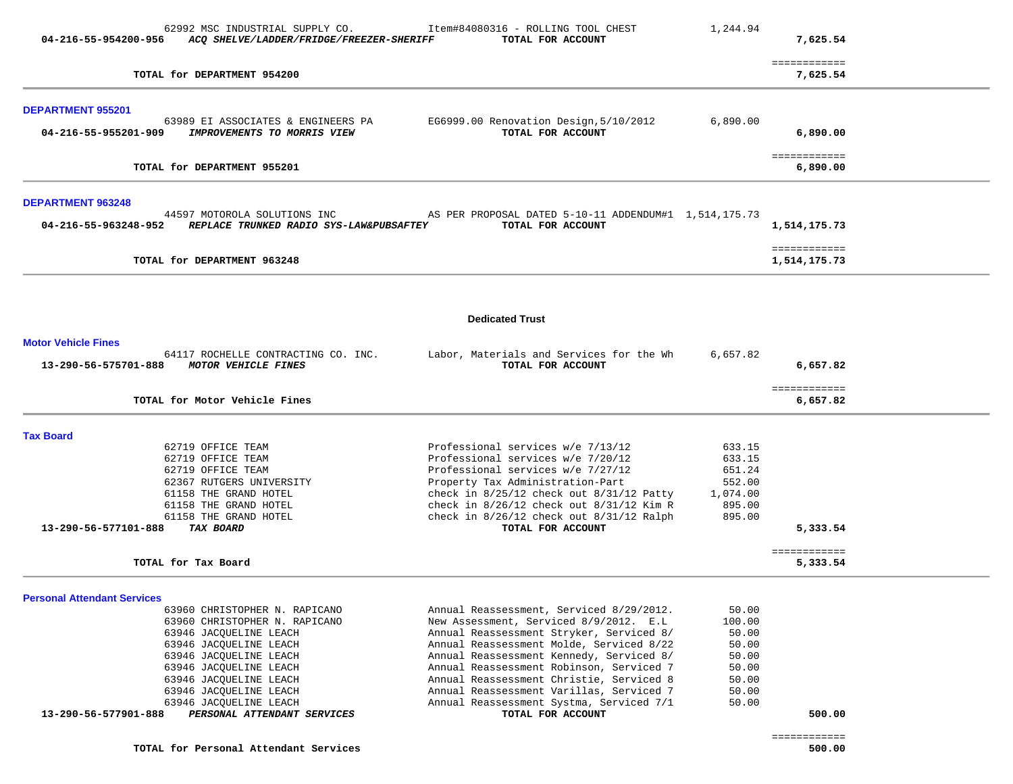| 04-216-55-954200-956                             | 62992 MSC INDUSTRIAL SUPPLY CO.<br>ACO SHELVE/LADDER/FRIDGE/FREEZER-SHERIFF | Item#84080316 - ROLLING TOOL CHEST<br>TOTAL FOR ACCOUNT                              | 1,244.94         | 7,625.54                     |  |
|--------------------------------------------------|-----------------------------------------------------------------------------|--------------------------------------------------------------------------------------|------------------|------------------------------|--|
|                                                  | TOTAL for DEPARTMENT 954200                                                 |                                                                                      |                  | ============<br>7,625.54     |  |
| <b>DEPARTMENT 955201</b>                         |                                                                             |                                                                                      | 6,890.00         |                              |  |
| 04-216-55-955201-909                             | 63989 EI ASSOCIATES & ENGINEERS PA<br>IMPROVEMENTS TO MORRIS VIEW           | EG6999.00 Renovation Design, 5/10/2012<br>TOTAL FOR ACCOUNT                          |                  | 6,890.00                     |  |
|                                                  | TOTAL for DEPARTMENT 955201                                                 |                                                                                      |                  | ============<br>6,890.00     |  |
| <b>DEPARTMENT 963248</b><br>04-216-55-963248-952 | 44597 MOTOROLA SOLUTIONS INC<br>REPLACE TRUNKED RADIO SYS-LAW&PUBSAFTEY     | AS PER PROPOSAL DATED 5-10-11 ADDENDUM#1 1,514,175.73<br>TOTAL FOR ACCOUNT           |                  | 1,514,175.73                 |  |
|                                                  | TOTAL for DEPARTMENT 963248                                                 |                                                                                      |                  | ============<br>1,514,175.73 |  |
|                                                  |                                                                             | <b>Dedicated Trust</b>                                                               |                  |                              |  |
| <b>Motor Vehicle Fines</b>                       |                                                                             |                                                                                      |                  |                              |  |
| 13-290-56-575701-888                             | 64117 ROCHELLE CONTRACTING CO. INC.<br><i>MOTOR VEHICLE FINES</i>           | Labor, Materials and Services for the Wh<br>TOTAL FOR ACCOUNT                        | 6,657.82         | 6,657.82                     |  |
|                                                  | TOTAL for Motor Vehicle Fines                                               |                                                                                      |                  | ============<br>6,657.82     |  |
| <b>Tax Board</b>                                 |                                                                             |                                                                                      |                  |                              |  |
|                                                  | 62719 OFFICE TEAM                                                           | Professional services w/e 7/13/12                                                    | 633.15           |                              |  |
|                                                  | 62719 OFFICE TEAM<br>62719 OFFICE TEAM                                      | Professional services w/e 7/20/12<br>Professional services w/e 7/27/12               | 633.15<br>651.24 |                              |  |
|                                                  | 62367 RUTGERS UNIVERSITY                                                    | Property Tax Administration-Part                                                     | 552.00           |                              |  |
|                                                  | 61158 THE GRAND HOTEL                                                       | check in $8/25/12$ check out $8/31/12$ Patty                                         | 1,074.00         |                              |  |
|                                                  | 61158 THE GRAND HOTEL                                                       | check in $8/26/12$ check out $8/31/12$ Kim R                                         | 895.00           |                              |  |
| 13-290-56-577101-888                             | 61158 THE GRAND HOTEL<br>TAX BOARD                                          | check in $8/26/12$ check out $8/31/12$ Ralph<br>TOTAL FOR ACCOUNT                    | 895.00           | 5,333.54                     |  |
|                                                  |                                                                             |                                                                                      |                  | ============                 |  |
|                                                  | TOTAL for Tax Board                                                         |                                                                                      |                  | 5,333.54                     |  |
| <b>Personal Attendant Services</b>               |                                                                             |                                                                                      |                  |                              |  |
|                                                  | 63960 CHRISTOPHER N. RAPICANO                                               | Annual Reassessment, Serviced 8/29/2012.                                             | 50.00            |                              |  |
|                                                  | 63960 CHRISTOPHER N. RAPICANO                                               | New Assessment, Serviced 8/9/2012. E.L                                               | 100.00           |                              |  |
|                                                  | 63946 JACQUELINE LEACH<br>63946 JACQUELINE LEACH                            | Annual Reassessment Stryker, Serviced 8/<br>Annual Reassessment Molde, Serviced 8/22 | 50.00<br>50.00   |                              |  |
|                                                  | 63946 JACQUELINE LEACH                                                      | Annual Reassessment Kennedy, Serviced 8/                                             | 50.00            |                              |  |
|                                                  | 63946 JACQUELINE LEACH                                                      | Annual Reassessment Robinson, Serviced 7                                             | 50.00            |                              |  |
|                                                  | 63946 JACQUELINE LEACH                                                      | Annual Reassessment Christie, Serviced 8                                             | 50.00            |                              |  |
|                                                  | 63946 JACQUELINE LEACH                                                      | Annual Reassessment Varillas, Serviced 7                                             | 50.00            |                              |  |
|                                                  | 63946 JACQUELINE LEACH                                                      | Annual Reassessment Systma, Serviced 7/1                                             | 50.00            |                              |  |
| 13-290-56-577901-888                             | PERSONAL ATTENDANT SERVICES                                                 | TOTAL FOR ACCOUNT                                                                    |                  | 500.00                       |  |